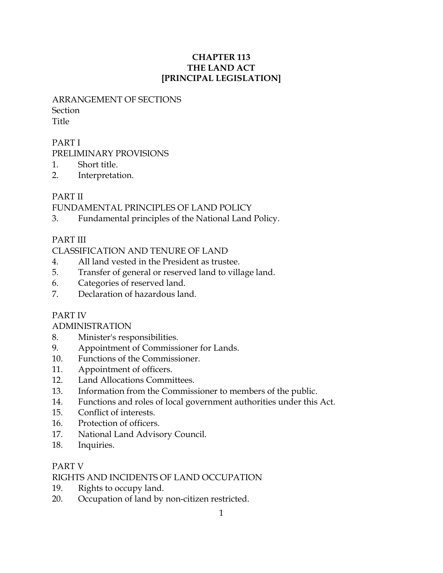### CHAPTER 113 THE LAND ACT [PRINCIPAL LEGISLATION]

# ARRANGEMENT OF SECTIONS **Section**

Title

# PART I

PRELIMINARY PROVISIONS

- 1. Short title.
- 2. Interpretation.

# PART II

FUNDAMENTAL PRINCIPLES OF LAND POLICY

3. Fundamental principles of the National Land Policy.

# PART III

# CLASSIFICATION AND TENURE OF LAND

- 4. All land vested in the President as trustee.
- 5. Transfer of general or reserved land to village land.
- 6. Categories of reserved land.
- 7. Declaration of hazardous land.

# PART IV

# ADMINISTRATION

- 8. Minister's responsibilities.
- 9. Appointment of Commissioner for Lands.
- 10. Functions of the Commissioner.
- 11. Appointment of officers.
- 12. Land Allocations Committees.
- 13. Information from the Commissioner to members of the public.
- 14. Functions and roles of local government authorities under this Act.
- 15. Conflict of interests.
- 16. Protection of officers.
- 17. National Land Advisory Council.
- 18. Inquiries.

# PART V

# RIGHTS AND INCIDENTS OF LAND OCCUPATION

- 19. Rights to occupy land.
- 20. Occupation of land by non-citizen restricted.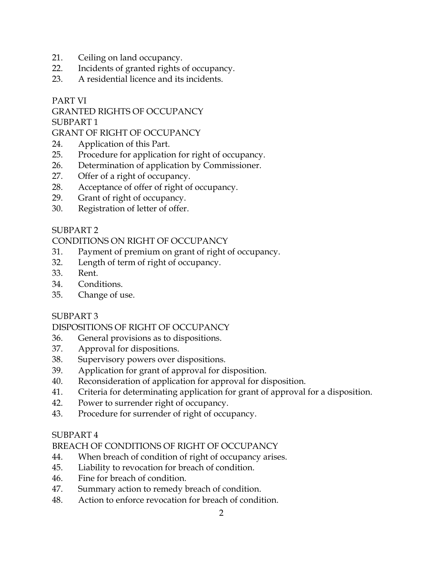- 21. Ceiling on land occupancy.
- 22. Incidents of granted rights of occupancy.
- 23. A residential licence and its incidents.

### PART VI

GRANTED RIGHTS OF OCCUPANCY

SUBPART 1

GRANT OF RIGHT OF OCCUPANCY

- 24. Application of this Part.
- 25. Procedure for application for right of occupancy.
- 26. Determination of application by Commissioner.
- 27. Offer of a right of occupancy.
- 28. Acceptance of offer of right of occupancy.
- 29. Grant of right of occupancy.
- 30. Registration of letter of offer.

### SUBPART 2

### CONDITIONS ON RIGHT OF OCCUPANCY

- 31. Payment of premium on grant of right of occupancy.
- 32. Length of term of right of occupancy.
- 33. Rent.
- 34. Conditions.
- 35. Change of use.

#### SUBPART 3

# DISPOSITIONS OF RIGHT OF OCCUPANCY

- 36. General provisions as to dispositions.
- 37. Approval for dispositions.
- 38. Supervisory powers over dispositions.
- 39. Application for grant of approval for disposition.
- 40. Reconsideration of application for approval for disposition.
- 41. Criteria for determinating application for grant of approval for a disposition.
- 42. Power to surrender right of occupancy.
- 43. Procedure for surrender of right of occupancy.

#### SUBPART 4

# BREACH OF CONDITIONS OF RIGHT OF OCCUPANCY

- 44. When breach of condition of right of occupancy arises.
- 45. Liability to revocation for breach of condition.
- 46. Fine for breach of condition.
- 47. Summary action to remedy breach of condition.
- 48. Action to enforce revocation for breach of condition.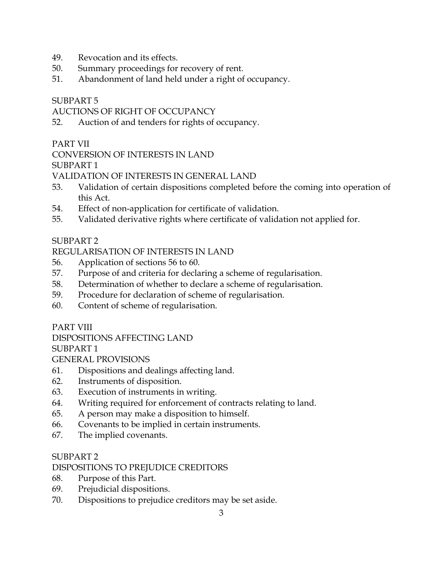- 49. Revocation and its effects.
- 50. Summary proceedings for recovery of rent.
- 51. Abandonment of land held under a right of occupancy.

# AUCTIONS OF RIGHT OF OCCUPANCY

52. Auction of and tenders for rights of occupancy.

# PART VII

CONVERSION OF INTERESTS IN LAND

SUBPART 1

VALIDATION OF INTERESTS IN GENERAL LAND

- 53. Validation of certain dispositions completed before the coming into operation of this Act.
- 54. Effect of non-application for certificate of validation.
- 55. Validated derivative rights where certificate of validation not applied for.

# SUBPART<sub>2</sub>

# REGULARISATION OF INTERESTS IN LAND

- 56. Application of sections 56 to 60.
- 57. Purpose of and criteria for declaring a scheme of regularisation.
- 58. Determination of whether to declare a scheme of regularisation.
- 59. Procedure for declaration of scheme of regularisation.
- 60. Content of scheme of regularisation.

# PART VIII

# DISPOSITIONS AFFECTING LAND

SUBPART 1

GENERAL PROVISIONS

- 61. Dispositions and dealings affecting land.
- 62. Instruments of disposition.
- 63. Execution of instruments in writing.
- 64. Writing required for enforcement of contracts relating to land.
- 65. A person may make a disposition to himself.
- 66. Covenants to be implied in certain instruments.
- 67. The implied covenants.

# SUBPART 2

# DISPOSITIONS TO PREJUDICE CREDITORS

- 68. Purpose of this Part.
- 69. Prejudicial dispositions.
- 70. Dispositions to prejudice creditors may be set aside.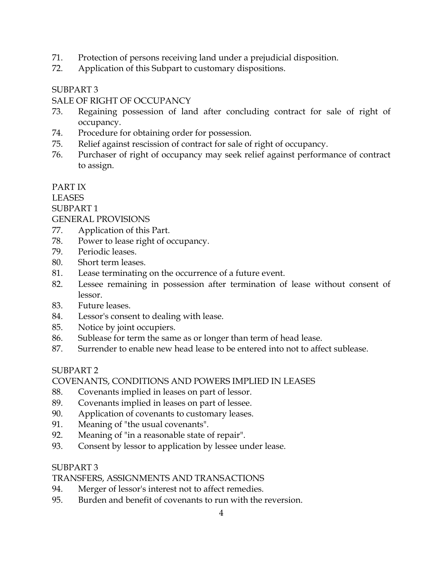- 71. Protection of persons receiving land under a prejudicial disposition.
- 72. Application of this Subpart to customary dispositions.

#### SALE OF RIGHT OF OCCUPANCY

- 73. Regaining possession of land after concluding contract for sale of right of occupancy.
- 74. Procedure for obtaining order for possession.
- 75. Relief against rescission of contract for sale of right of occupancy.
- 76. Purchaser of right of occupancy may seek relief against performance of contract to assign.

### PART IX

### LEASES

### SUBPART 1

### GENERAL PROVISIONS

- 77. Application of this Part.
- 78. Power to lease right of occupancy.
- 79. Periodic leases.
- 80. Short term leases.
- 81. Lease terminating on the occurrence of a future event.
- 82. Lessee remaining in possession after termination of lease without consent of lessor.
- 83. Future leases.
- 84. Lessor's consent to dealing with lease.
- 85. Notice by joint occupiers.
- 86. Sublease for term the same as or longer than term of head lease.
- 87. Surrender to enable new head lease to be entered into not to affect sublease.

# SUBPART 2

# COVENANTS, CONDITIONS AND POWERS IMPLIED IN LEASES

- 88. Covenants implied in leases on part of lessor.
- 89. Covenants implied in leases on part of lessee.
- 90. Application of covenants to customary leases.
- 91. Meaning of "the usual covenants".
- 92. Meaning of "in a reasonable state of repair".
- 93. Consent by lessor to application by lessee under lease.

# SUBPART 3

# TRANSFERS, ASSIGNMENTS AND TRANSACTIONS

- 94. Merger of lessor's interest not to affect remedies.
- 95. Burden and benefit of covenants to run with the reversion.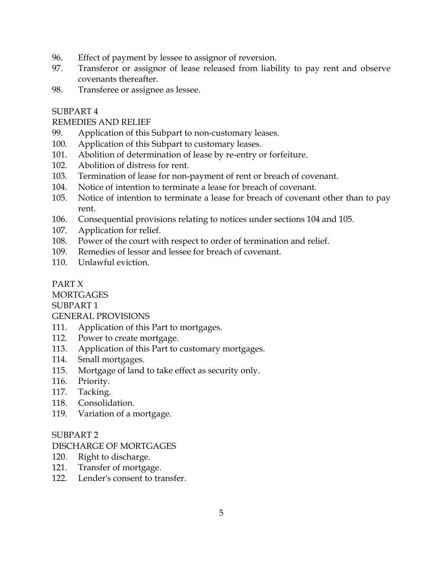- 96. Effect of payment by lessee to assignor of reversion.
- 97. Transferor or assignor of lease released from liability to pay rent and observe covenants thereafter.
- 98. Transferee or assignee as lessee.

### REMEDIES AND RELIEF

- 99. Application of this Subpart to non-customary leases.
- 100. Application of this Subpart to customary leases.
- 101. Abolition of determination of lease by re-entry or forfeiture.
- 102. Abolition of distress for rent.
- 103. Termination of lease for non-payment of rent or breach of covenant.
- 104. Notice of intention to terminate a lease for breach of covenant.
- 105. Notice of intention to terminate a lease for breach of covenant other than to pay rent.
- 106. Consequential provisions relating to notices under sections 104 and 105.
- 107. Application for relief.
- 108. Power of the court with respect to order of termination and relief.
- 109. Remedies of lessor and lessee for breach of covenant.
- 110. Unlawful eviction.

# PART X

**MORTGAGES** 

SUBPART 1

#### GENERAL PROVISIONS

- 111. Application of this Part to mortgages.
- 112. Power to create mortgage.
- 113. Application of this Part to customary mortgages.
- 114. Small mortgages.
- 115. Mortgage of land to take effect as security only.
- 116. Priority.
- 117. Tacking.
- 118. Consolidation.
- 119. Variation of a mortgage.

#### SUBPART 2

#### DISCHARGE OF MORTGAGES

- 120. Right to discharge.
- 121. Transfer of mortgage.
- 122. Lender's consent to transfer.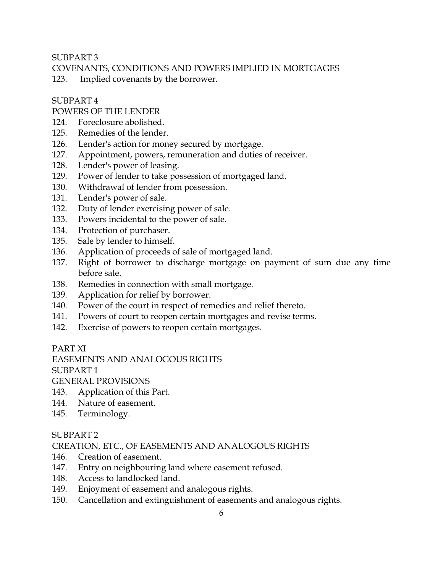SUBPART<sub>3</sub>

COVENANTS, CONDITIONS AND POWERS IMPLIED IN MORTGAGES

123. Implied covenants by the borrower.

#### SUBPART 4

### POWERS OF THE LENDER

- 124. Foreclosure abolished.
- 125. Remedies of the lender.
- 126. Lender's action for money secured by mortgage.
- 127. Appointment, powers, remuneration and duties of receiver.
- 128. Lender's power of leasing.
- 129. Power of lender to take possession of mortgaged land.
- 130. Withdrawal of lender from possession.
- 131. Lender's power of sale.
- 132. Duty of lender exercising power of sale.
- 133. Powers incidental to the power of sale.
- 134. Protection of purchaser.
- 135. Sale by lender to himself.
- 136. Application of proceeds of sale of mortgaged land.
- 137. Right of borrower to discharge mortgage on payment of sum due any time before sale.
- 138. Remedies in connection with small mortgage.
- 139. Application for relief by borrower.
- 140. Power of the court in respect of remedies and relief thereto.
- 141. Powers of court to reopen certain mortgages and revise terms.
- 142. Exercise of powers to reopen certain mortgages.

#### PART XI

#### EASEMENTS AND ANALOGOUS RIGHTS

SUBPART 1

GENERAL PROVISIONS

- 143. Application of this Part.
- 144. Nature of easement.
- 145. Terminology.

#### SUBPART 2

CREATION, ETC., OF EASEMENTS AND ANALOGOUS RIGHTS

- 146. Creation of easement.
- 147. Entry on neighbouring land where easement refused.
- 148. Access to landlocked land.
- 149. Enjoyment of easement and analogous rights.
- 150. Cancellation and extinguishment of easements and analogous rights.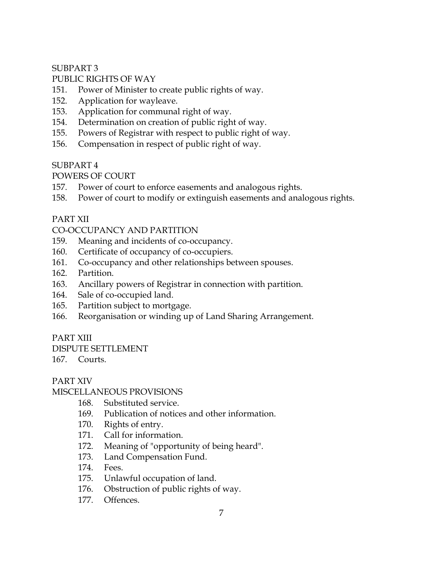# PUBLIC RIGHTS OF WAY

- 151. Power of Minister to create public rights of way.
- 152. Application for wayleave.
- 153. Application for communal right of way.
- 154. Determination on creation of public right of way.
- 155. Powers of Registrar with respect to public right of way.
- 156. Compensation in respect of public right of way.

# SUBPART 4

POWERS OF COURT

- 157. Power of court to enforce easements and analogous rights.
- 158. Power of court to modify or extinguish easements and analogous rights.

### PART XII

### CO-OCCUPANCY AND PARTITION

- 159. Meaning and incidents of co-occupancy.
- 160. Certificate of occupancy of co-occupiers.
- 161. Co-occupancy and other relationships between spouses.
- 162. Partition.
- 163. Ancillary powers of Registrar in connection with partition.
- 164. Sale of co-occupied land.
- 165. Partition subject to mortgage.
- 166. Reorganisation or winding up of Land Sharing Arrangement.

# PART XIII

DISPUTE SETTLEMENT

167. Courts.

# PART XIV

#### MISCELLANEOUS PROVISIONS

- 168. Substituted service.
- 169. Publication of notices and other information.
- 170. Rights of entry.
- 171. Call for information.
- 172. Meaning of "opportunity of being heard".
- 173. Land Compensation Fund.
- 174. Fees.
- 175. Unlawful occupation of land.
- 176. Obstruction of public rights of way.
- 177. Offences.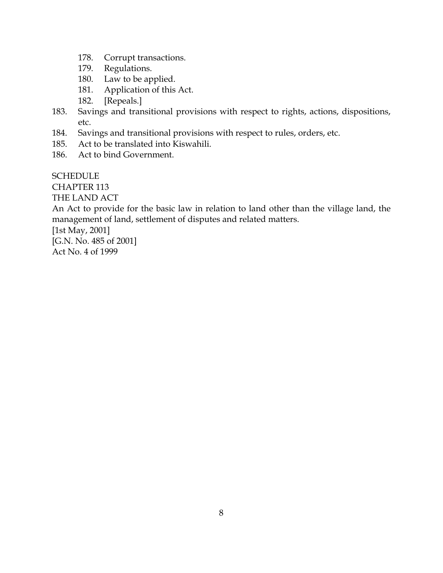- 178. Corrupt transactions.
- 179. Regulations.<br>180. Law to be ap
- Law to be applied.
- 181. Application of this Act.
- 182. [Repeals.]
- 183. Savings and transitional provisions with respect to rights, actions, dispositions, etc.
- 184. Savings and transitional provisions with respect to rules, orders, etc.
- 185. Act to be translated into Kiswahili.
- 186. Act to bind Government.

**SCHEDULE** 

CHAPTER 113

THE LAND ACT

An Act to provide for the basic law in relation to land other than the village land, the management of land, settlement of disputes and related matters.

[1st May, 2001]

[G.N. No. 485 of 2001] Act No. 4 of 1999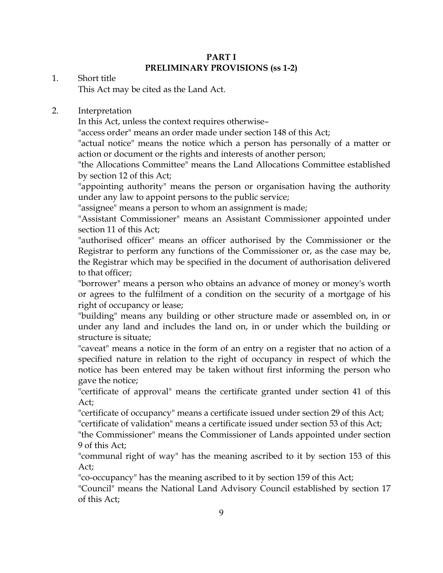#### PART I PRELIMINARY PROVISIONS (ss 1-2)

#### 1. Short title

This Act may be cited as the Land Act.

#### 2. Interpretation

In this Act, unless the context requires otherwise–

"access order" means an order made under section 148 of this Act;

"actual notice" means the notice which a person has personally of a matter or action or document or the rights and interests of another person;

"the Allocations Committee" means the Land Allocations Committee established by section 12 of this Act;

"appointing authority" means the person or organisation having the authority under any law to appoint persons to the public service;

"assignee" means a person to whom an assignment is made;

"Assistant Commissioner" means an Assistant Commissioner appointed under section 11 of this Act;

"authorised officer" means an officer authorised by the Commissioner or the Registrar to perform any functions of the Commissioner or, as the case may be, the Registrar which may be specified in the document of authorisation delivered to that officer;

"borrower" means a person who obtains an advance of money or money's worth or agrees to the fulfilment of a condition on the security of a mortgage of his right of occupancy or lease;

"building" means any building or other structure made or assembled on, in or under any land and includes the land on, in or under which the building or structure is situate;

"caveat" means a notice in the form of an entry on a register that no action of a specified nature in relation to the right of occupancy in respect of which the notice has been entered may be taken without first informing the person who gave the notice;

"certificate of approval" means the certificate granted under section 41 of this Act;

"certificate of occupancy" means a certificate issued under section 29 of this Act;

"certificate of validation" means a certificate issued under section 53 of this Act;

"the Commissioner" means the Commissioner of Lands appointed under section 9 of this Act;

"communal right of way" has the meaning ascribed to it by section 153 of this Act;

"co-occupancy" has the meaning ascribed to it by section 159 of this Act;

"Council" means the National Land Advisory Council established by section 17 of this Act;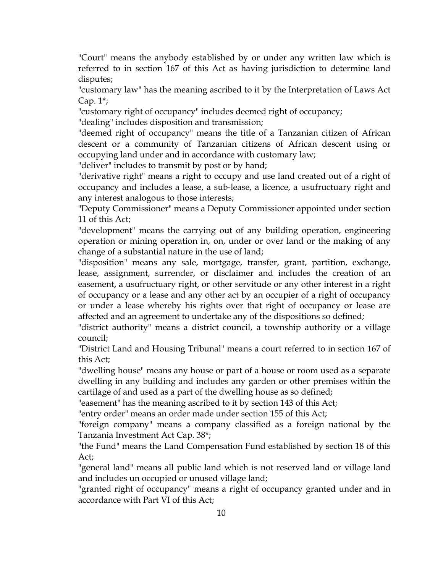"Court" means the anybody established by or under any written law which is referred to in section 167 of this Act as having jurisdiction to determine land disputes;

"customary law" has the meaning ascribed to it by the Interpretation of Laws Act Cap. 1\*;

"customary right of occupancy" includes deemed right of occupancy;

"dealing" includes disposition and transmission;

"deemed right of occupancy" means the title of a Tanzanian citizen of African descent or a community of Tanzanian citizens of African descent using or occupying land under and in accordance with customary law;

"deliver" includes to transmit by post or by hand;

"derivative right" means a right to occupy and use land created out of a right of occupancy and includes a lease, a sub-lease, a licence, a usufructuary right and any interest analogous to those interests;

"Deputy Commissioner" means a Deputy Commissioner appointed under section 11 of this Act;

"development" means the carrying out of any building operation, engineering operation or mining operation in, on, under or over land or the making of any change of a substantial nature in the use of land;

"disposition" means any sale, mortgage, transfer, grant, partition, exchange, lease, assignment, surrender, or disclaimer and includes the creation of an easement, a usufructuary right, or other servitude or any other interest in a right of occupancy or a lease and any other act by an occupier of a right of occupancy or under a lease whereby his rights over that right of occupancy or lease are affected and an agreement to undertake any of the dispositions so defined;

"district authority" means a district council, a township authority or a village council;

"District Land and Housing Tribunal" means a court referred to in section 167 of this Act;

"dwelling house" means any house or part of a house or room used as a separate dwelling in any building and includes any garden or other premises within the cartilage of and used as a part of the dwelling house as so defined;

"easement" has the meaning ascribed to it by section 143 of this Act;

"entry order" means an order made under section 155 of this Act;

"foreign company" means a company classified as a foreign national by the Tanzania Investment Act Cap. 38\*;

"the Fund" means the Land Compensation Fund established by section 18 of this Act;

"general land" means all public land which is not reserved land or village land and includes un occupied or unused village land;

"granted right of occupancy" means a right of occupancy granted under and in accordance with Part VI of this Act;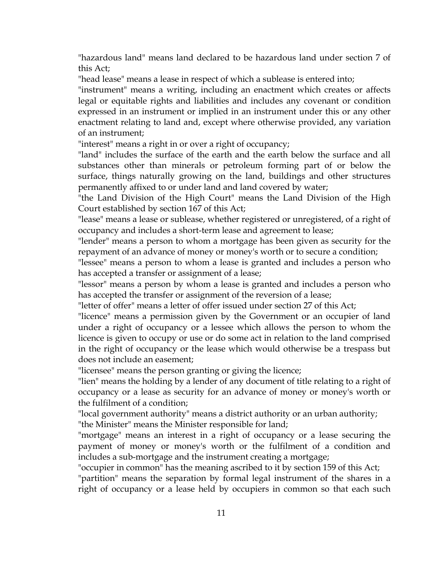"hazardous land" means land declared to be hazardous land under section 7 of this Act;

"head lease" means a lease in respect of which a sublease is entered into;

"instrument" means a writing, including an enactment which creates or affects legal or equitable rights and liabilities and includes any covenant or condition expressed in an instrument or implied in an instrument under this or any other enactment relating to land and, except where otherwise provided, any variation of an instrument;

"interest" means a right in or over a right of occupancy;

"land" includes the surface of the earth and the earth below the surface and all substances other than minerals or petroleum forming part of or below the surface, things naturally growing on the land, buildings and other structures permanently affixed to or under land and land covered by water;

"the Land Division of the High Court" means the Land Division of the High Court established by section 167 of this Act;

"lease" means a lease or sublease, whether registered or unregistered, of a right of occupancy and includes a short-term lease and agreement to lease;

"lender" means a person to whom a mortgage has been given as security for the repayment of an advance of money or money's worth or to secure a condition;

"lessee" means a person to whom a lease is granted and includes a person who has accepted a transfer or assignment of a lease;

"lessor" means a person by whom a lease is granted and includes a person who has accepted the transfer or assignment of the reversion of a lease;

"letter of offer" means a letter of offer issued under section 27 of this Act;

"licence" means a permission given by the Government or an occupier of land under a right of occupancy or a lessee which allows the person to whom the licence is given to occupy or use or do some act in relation to the land comprised in the right of occupancy or the lease which would otherwise be a trespass but does not include an easement;

"licensee" means the person granting or giving the licence;

"lien" means the holding by a lender of any document of title relating to a right of occupancy or a lease as security for an advance of money or money's worth or the fulfilment of a condition;

"local government authority" means a district authority or an urban authority; "the Minister" means the Minister responsible for land;

"mortgage" means an interest in a right of occupancy or a lease securing the payment of money or money's worth or the fulfilment of a condition and includes a sub-mortgage and the instrument creating a mortgage;

"occupier in common" has the meaning ascribed to it by section 159 of this Act;

"partition" means the separation by formal legal instrument of the shares in a right of occupancy or a lease held by occupiers in common so that each such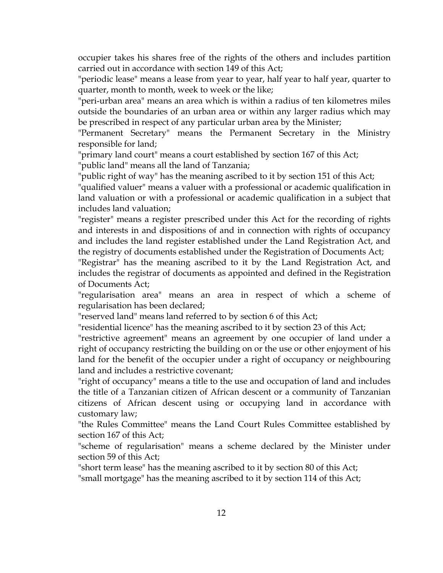occupier takes his shares free of the rights of the others and includes partition carried out in accordance with section 149 of this Act;

"periodic lease" means a lease from year to year, half year to half year, quarter to quarter, month to month, week to week or the like;

"peri-urban area" means an area which is within a radius of ten kilometres miles outside the boundaries of an urban area or within any larger radius which may be prescribed in respect of any particular urban area by the Minister;

"Permanent Secretary" means the Permanent Secretary in the Ministry responsible for land;

"primary land court" means a court established by section 167 of this Act;

"public land" means all the land of Tanzania;

"public right of way" has the meaning ascribed to it by section 151 of this Act;

"qualified valuer" means a valuer with a professional or academic qualification in land valuation or with a professional or academic qualification in a subject that includes land valuation;

"register" means a register prescribed under this Act for the recording of rights and interests in and dispositions of and in connection with rights of occupancy and includes the land register established under the Land Registration Act, and the registry of documents established under the Registration of Documents Act;

"Registrar" has the meaning ascribed to it by the Land Registration Act, and includes the registrar of documents as appointed and defined in the Registration of Documents Act;

"regularisation area" means an area in respect of which a scheme of regularisation has been declared;

"reserved land" means land referred to by section 6 of this Act;

"residential licence" has the meaning ascribed to it by section 23 of this Act;

"restrictive agreement" means an agreement by one occupier of land under a right of occupancy restricting the building on or the use or other enjoyment of his land for the benefit of the occupier under a right of occupancy or neighbouring land and includes a restrictive covenant;

"right of occupancy" means a title to the use and occupation of land and includes the title of a Tanzanian citizen of African descent or a community of Tanzanian citizens of African descent using or occupying land in accordance with customary law;

"the Rules Committee" means the Land Court Rules Committee established by section 167 of this Act;

"scheme of regularisation" means a scheme declared by the Minister under section 59 of this Act;

"short term lease" has the meaning ascribed to it by section 80 of this Act;

"small mortgage" has the meaning ascribed to it by section 114 of this Act;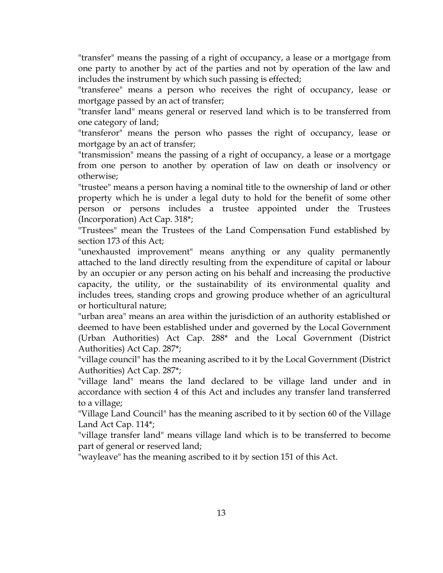"transfer" means the passing of a right of occupancy, a lease or a mortgage from one party to another by act of the parties and not by operation of the law and includes the instrument by which such passing is effected;

"transferee" means a person who receives the right of occupancy, lease or mortgage passed by an act of transfer;

"transfer land" means general or reserved land which is to be transferred from one category of land;

"transferor" means the person who passes the right of occupancy, lease or mortgage by an act of transfer;

"transmission" means the passing of a right of occupancy, a lease or a mortgage from one person to another by operation of law on death or insolvency or otherwise;

"trustee" means a person having a nominal title to the ownership of land or other property which he is under a legal duty to hold for the benefit of some other person or persons includes a trustee appointed under the Trustees (Incorporation) Act Cap. 318\*;

"Trustees" mean the Trustees of the Land Compensation Fund established by section 173 of this Act;

"unexhausted improvement" means anything or any quality permanently attached to the land directly resulting from the expenditure of capital or labour by an occupier or any person acting on his behalf and increasing the productive capacity, the utility, or the sustainability of its environmental quality and includes trees, standing crops and growing produce whether of an agricultural or horticultural nature;

"urban area" means an area within the jurisdiction of an authority established or deemed to have been established under and governed by the Local Government (Urban Authorities) Act Cap. 288\* and the Local Government (District Authorities) Act Cap. 287\*;

"village council" has the meaning ascribed to it by the Local Government (District Authorities) Act Cap. 287\*;

"village land" means the land declared to be village land under and in accordance with section 4 of this Act and includes any transfer land transferred to a village;

"Village Land Council" has the meaning ascribed to it by section 60 of the Village Land Act Cap. 114\*;

"village transfer land" means village land which is to be transferred to become part of general or reserved land;

"wayleave" has the meaning ascribed to it by section 151 of this Act.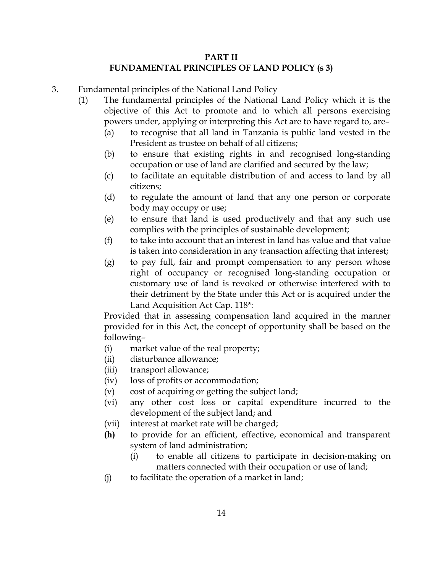#### PART II FUNDAMENTAL PRINCIPLES OF LAND POLICY (s 3)

- 3. Fundamental principles of the National Land Policy
	- (1) The fundamental principles of the National Land Policy which it is the objective of this Act to promote and to which all persons exercising powers under, applying or interpreting this Act are to have regard to, are–
		- (a) to recognise that all land in Tanzania is public land vested in the President as trustee on behalf of all citizens;
		- (b) to ensure that existing rights in and recognised long-standing occupation or use of land are clarified and secured by the law;
		- (c) to facilitate an equitable distribution of and access to land by all citizens;
		- (d) to regulate the amount of land that any one person or corporate body may occupy or use;
		- (e) to ensure that land is used productively and that any such use complies with the principles of sustainable development;
		- (f) to take into account that an interest in land has value and that value is taken into consideration in any transaction affecting that interest;
		- (g) to pay full, fair and prompt compensation to any person whose right of occupancy or recognised long-standing occupation or customary use of land is revoked or otherwise interfered with to their detriment by the State under this Act or is acquired under the Land Acquisition Act Cap. 118\*:

Provided that in assessing compensation land acquired in the manner provided for in this Act, the concept of opportunity shall be based on the following–

- (i) market value of the real property;
- (ii) disturbance allowance;
- (iii) transport allowance;
- (iv) loss of profits or accommodation;
- (v) cost of acquiring or getting the subject land;
- (vi) any other cost loss or capital expenditure incurred to the development of the subject land; and
- (vii) interest at market rate will be charged;
- (h) to provide for an efficient, effective, economical and transparent system of land administration;
	- (i) to enable all citizens to participate in decision-making on matters connected with their occupation or use of land;
- (j) to facilitate the operation of a market in land;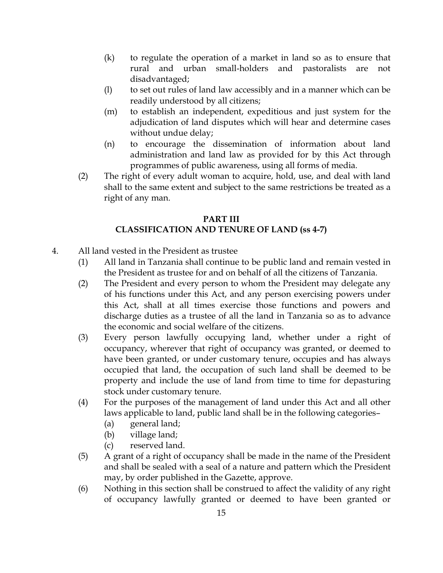- (k) to regulate the operation of a market in land so as to ensure that rural and urban small-holders and pastoralists are not disadvantaged;
- (l) to set out rules of land law accessibly and in a manner which can be readily understood by all citizens;
- (m) to establish an independent, expeditious and just system for the adjudication of land disputes which will hear and determine cases without undue delay;
- (n) to encourage the dissemination of information about land administration and land law as provided for by this Act through programmes of public awareness, using all forms of media.
- (2) The right of every adult woman to acquire, hold, use, and deal with land shall to the same extent and subject to the same restrictions be treated as a right of any man.

# PART III CLASSIFICATION AND TENURE OF LAND (ss 4-7)

- 4. All land vested in the President as trustee
	- (1) All land in Tanzania shall continue to be public land and remain vested in the President as trustee for and on behalf of all the citizens of Tanzania.
	- (2) The President and every person to whom the President may delegate any of his functions under this Act, and any person exercising powers under this Act, shall at all times exercise those functions and powers and discharge duties as a trustee of all the land in Tanzania so as to advance the economic and social welfare of the citizens.
	- (3) Every person lawfully occupying land, whether under a right of occupancy, wherever that right of occupancy was granted, or deemed to have been granted, or under customary tenure, occupies and has always occupied that land, the occupation of such land shall be deemed to be property and include the use of land from time to time for depasturing stock under customary tenure.
	- (4) For the purposes of the management of land under this Act and all other laws applicable to land, public land shall be in the following categories–
		- (a) general land;
		- (b) village land;
		- (c) reserved land.
	- (5) A grant of a right of occupancy shall be made in the name of the President and shall be sealed with a seal of a nature and pattern which the President may, by order published in the Gazette, approve.
	- (6) Nothing in this section shall be construed to affect the validity of any right of occupancy lawfully granted or deemed to have been granted or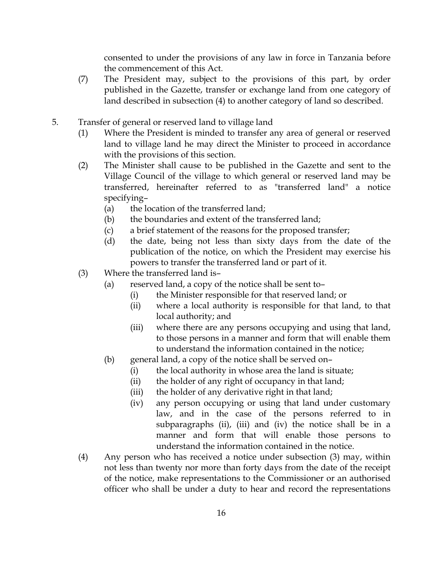consented to under the provisions of any law in force in Tanzania before the commencement of this Act.

- (7) The President may, subject to the provisions of this part, by order published in the Gazette, transfer or exchange land from one category of land described in subsection (4) to another category of land so described.
- 5. Transfer of general or reserved land to village land
	- (1) Where the President is minded to transfer any area of general or reserved land to village land he may direct the Minister to proceed in accordance with the provisions of this section.
	- (2) The Minister shall cause to be published in the Gazette and sent to the Village Council of the village to which general or reserved land may be transferred, hereinafter referred to as "transferred land" a notice specifying–
		- (a) the location of the transferred land;
		- (b) the boundaries and extent of the transferred land;
		- (c) a brief statement of the reasons for the proposed transfer;
		- (d) the date, being not less than sixty days from the date of the publication of the notice, on which the President may exercise his powers to transfer the transferred land or part of it.
	- (3) Where the transferred land is–
		- (a) reserved land, a copy of the notice shall be sent to–
			- (i) the Minister responsible for that reserved land; or
			- (ii) where a local authority is responsible for that land, to that local authority; and
			- (iii) where there are any persons occupying and using that land, to those persons in a manner and form that will enable them to understand the information contained in the notice;
		- (b) general land, a copy of the notice shall be served on–
			- (i) the local authority in whose area the land is situate;
			- (ii) the holder of any right of occupancy in that land;
			- (iii) the holder of any derivative right in that land;
			- (iv) any person occupying or using that land under customary law, and in the case of the persons referred to in subparagraphs (ii), (iii) and (iv) the notice shall be in a manner and form that will enable those persons to understand the information contained in the notice.
	- (4) Any person who has received a notice under subsection (3) may, within not less than twenty nor more than forty days from the date of the receipt of the notice, make representations to the Commissioner or an authorised officer who shall be under a duty to hear and record the representations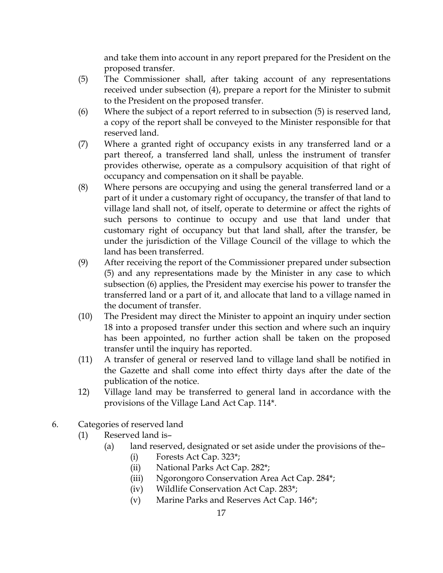and take them into account in any report prepared for the President on the proposed transfer.

- (5) The Commissioner shall, after taking account of any representations received under subsection (4), prepare a report for the Minister to submit to the President on the proposed transfer.
- (6) Where the subject of a report referred to in subsection (5) is reserved land, a copy of the report shall be conveyed to the Minister responsible for that reserved land.
- (7) Where a granted right of occupancy exists in any transferred land or a part thereof, a transferred land shall, unless the instrument of transfer provides otherwise, operate as a compulsory acquisition of that right of occupancy and compensation on it shall be payable.
- (8) Where persons are occupying and using the general transferred land or a part of it under a customary right of occupancy, the transfer of that land to village land shall not, of itself, operate to determine or affect the rights of such persons to continue to occupy and use that land under that customary right of occupancy but that land shall, after the transfer, be under the jurisdiction of the Village Council of the village to which the land has been transferred.
- (9) After receiving the report of the Commissioner prepared under subsection (5) and any representations made by the Minister in any case to which subsection (6) applies, the President may exercise his power to transfer the transferred land or a part of it, and allocate that land to a village named in the document of transfer.
- (10) The President may direct the Minister to appoint an inquiry under section 18 into a proposed transfer under this section and where such an inquiry has been appointed, no further action shall be taken on the proposed transfer until the inquiry has reported.
- (11) A transfer of general or reserved land to village land shall be notified in the Gazette and shall come into effect thirty days after the date of the publication of the notice.
- 12) Village land may be transferred to general land in accordance with the provisions of the Village Land Act Cap. 114\*.
- 6. Categories of reserved land
	- (1) Reserved land is–
		- (a) land reserved, designated or set aside under the provisions of the–
			- (i) Forests Act Cap. 323\*;
			- (ii) National Parks Act Cap. 282\*;
			- (iii) Ngorongoro Conservation Area Act Cap. 284\*;
			- (iv) Wildlife Conservation Act Cap. 283\*;
			- (v) Marine Parks and Reserves Act Cap. 146\*;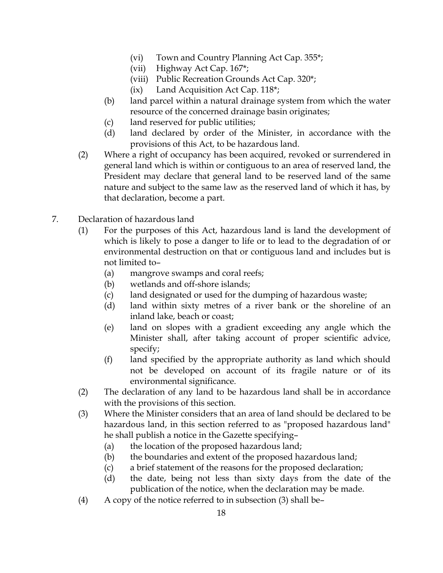- (vi) Town and Country Planning Act Cap. 355\*;
- (vii) Highway Act Cap. 167\*;
- (viii) Public Recreation Grounds Act Cap. 320\*;
- (ix) Land Acquisition Act Cap. 118\*;
- (b) land parcel within a natural drainage system from which the water resource of the concerned drainage basin originates;
- (c) land reserved for public utilities;
- (d) land declared by order of the Minister, in accordance with the provisions of this Act, to be hazardous land.
- (2) Where a right of occupancy has been acquired, revoked or surrendered in general land which is within or contiguous to an area of reserved land, the President may declare that general land to be reserved land of the same nature and subject to the same law as the reserved land of which it has, by that declaration, become a part.
- 7. Declaration of hazardous land
	- (1) For the purposes of this Act, hazardous land is land the development of which is likely to pose a danger to life or to lead to the degradation of or environmental destruction on that or contiguous land and includes but is not limited to–
		- (a) mangrove swamps and coral reefs;
		- (b) wetlands and off-shore islands;
		- (c) land designated or used for the dumping of hazardous waste;
		- (d) land within sixty metres of a river bank or the shoreline of an inland lake, beach or coast;
		- (e) land on slopes with a gradient exceeding any angle which the Minister shall, after taking account of proper scientific advice, specify;
		- (f) land specified by the appropriate authority as land which should not be developed on account of its fragile nature or of its environmental significance.
	- (2) The declaration of any land to be hazardous land shall be in accordance with the provisions of this section.
	- (3) Where the Minister considers that an area of land should be declared to be hazardous land, in this section referred to as "proposed hazardous land" he shall publish a notice in the Gazette specifying–
		- (a) the location of the proposed hazardous land;
		- (b) the boundaries and extent of the proposed hazardous land;
		- (c) a brief statement of the reasons for the proposed declaration;
		- (d) the date, being not less than sixty days from the date of the publication of the notice, when the declaration may be made.
	- (4) A copy of the notice referred to in subsection (3) shall be–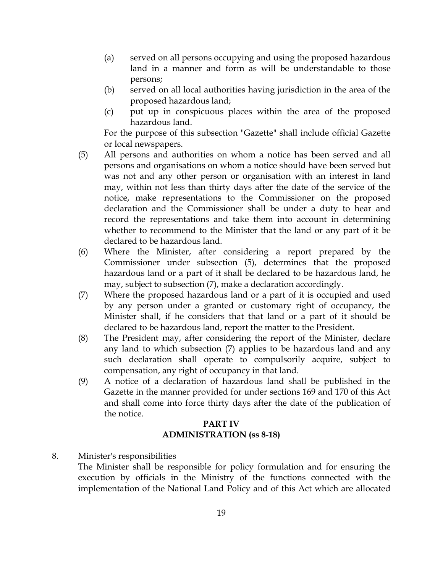- (a) served on all persons occupying and using the proposed hazardous land in a manner and form as will be understandable to those persons;
- (b) served on all local authorities having jurisdiction in the area of the proposed hazardous land;
- (c) put up in conspicuous places within the area of the proposed hazardous land.

For the purpose of this subsection "Gazette" shall include official Gazette or local newspapers.

- (5) All persons and authorities on whom a notice has been served and all persons and organisations on whom a notice should have been served but was not and any other person or organisation with an interest in land may, within not less than thirty days after the date of the service of the notice, make representations to the Commissioner on the proposed declaration and the Commissioner shall be under a duty to hear and record the representations and take them into account in determining whether to recommend to the Minister that the land or any part of it be declared to be hazardous land.
- (6) Where the Minister, after considering a report prepared by the Commissioner under subsection (5), determines that the proposed hazardous land or a part of it shall be declared to be hazardous land, he may, subject to subsection (7), make a declaration accordingly.
- (7) Where the proposed hazardous land or a part of it is occupied and used by any person under a granted or customary right of occupancy, the Minister shall, if he considers that that land or a part of it should be declared to be hazardous land, report the matter to the President.
- (8) The President may, after considering the report of the Minister, declare any land to which subsection (7) applies to be hazardous land and any such declaration shall operate to compulsorily acquire, subject to compensation, any right of occupancy in that land.
- (9) A notice of a declaration of hazardous land shall be published in the Gazette in the manner provided for under sections 169 and 170 of this Act and shall come into force thirty days after the date of the publication of the notice.

#### PART IV ADMINISTRATION (ss 8-18)

#### 8. Minister's responsibilities

The Minister shall be responsible for policy formulation and for ensuring the execution by officials in the Ministry of the functions connected with the implementation of the National Land Policy and of this Act which are allocated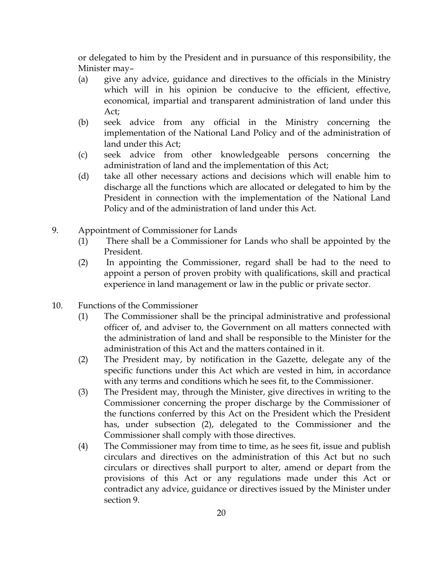or delegated to him by the President and in pursuance of this responsibility, the Minister may–

- (a) give any advice, guidance and directives to the officials in the Ministry which will in his opinion be conducive to the efficient, effective, economical, impartial and transparent administration of land under this Act;
- (b) seek advice from any official in the Ministry concerning the implementation of the National Land Policy and of the administration of land under this Act;
- (c) seek advice from other knowledgeable persons concerning the administration of land and the implementation of this Act;
- (d) take all other necessary actions and decisions which will enable him to discharge all the functions which are allocated or delegated to him by the President in connection with the implementation of the National Land Policy and of the administration of land under this Act.
- 9. Appointment of Commissioner for Lands
	- (1) There shall be a Commissioner for Lands who shall be appointed by the President.
	- (2) In appointing the Commissioner, regard shall be had to the need to appoint a person of proven probity with qualifications, skill and practical experience in land management or law in the public or private sector.
- 10. Functions of the Commissioner
	- (1) The Commissioner shall be the principal administrative and professional officer of, and adviser to, the Government on all matters connected with the administration of land and shall be responsible to the Minister for the administration of this Act and the matters contained in it.
	- (2) The President may, by notification in the Gazette, delegate any of the specific functions under this Act which are vested in him, in accordance with any terms and conditions which he sees fit, to the Commissioner.
	- (3) The President may, through the Minister, give directives in writing to the Commissioner concerning the proper discharge by the Commissioner of the functions conferred by this Act on the President which the President has, under subsection (2), delegated to the Commissioner and the Commissioner shall comply with those directives.
	- (4) The Commissioner may from time to time, as he sees fit, issue and publish circulars and directives on the administration of this Act but no such circulars or directives shall purport to alter, amend or depart from the provisions of this Act or any regulations made under this Act or contradict any advice, guidance or directives issued by the Minister under section 9.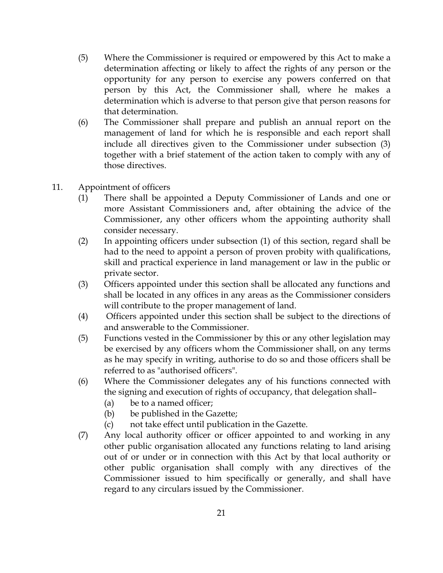- (5) Where the Commissioner is required or empowered by this Act to make a determination affecting or likely to affect the rights of any person or the opportunity for any person to exercise any powers conferred on that person by this Act, the Commissioner shall, where he makes a determination which is adverse to that person give that person reasons for that determination.
- (6) The Commissioner shall prepare and publish an annual report on the management of land for which he is responsible and each report shall include all directives given to the Commissioner under subsection (3) together with a brief statement of the action taken to comply with any of those directives.
- 11. Appointment of officers
	- (1) There shall be appointed a Deputy Commissioner of Lands and one or more Assistant Commissioners and, after obtaining the advice of the Commissioner, any other officers whom the appointing authority shall consider necessary.
	- (2) In appointing officers under subsection (1) of this section, regard shall be had to the need to appoint a person of proven probity with qualifications, skill and practical experience in land management or law in the public or private sector.
	- (3) Officers appointed under this section shall be allocated any functions and shall be located in any offices in any areas as the Commissioner considers will contribute to the proper management of land.
	- (4) Officers appointed under this section shall be subject to the directions of and answerable to the Commissioner.
	- (5) Functions vested in the Commissioner by this or any other legislation may be exercised by any officers whom the Commissioner shall, on any terms as he may specify in writing, authorise to do so and those officers shall be referred to as "authorised officers".
	- (6) Where the Commissioner delegates any of his functions connected with the signing and execution of rights of occupancy, that delegation shall–
		- (a) be to a named officer;
		- (b) be published in the Gazette;
		- (c) not take effect until publication in the Gazette.
	- (7) Any local authority officer or officer appointed to and working in any other public organisation allocated any functions relating to land arising out of or under or in connection with this Act by that local authority or other public organisation shall comply with any directives of the Commissioner issued to him specifically or generally, and shall have regard to any circulars issued by the Commissioner.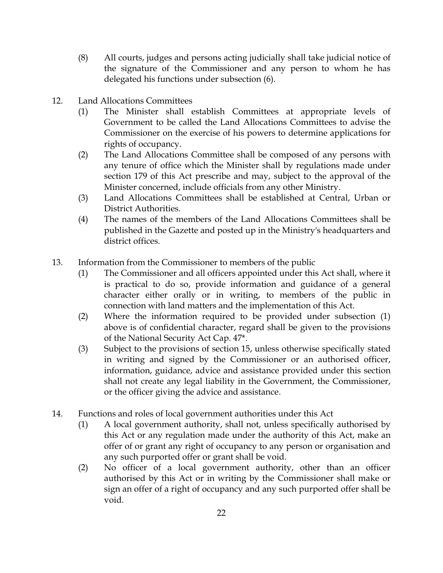- (8) All courts, judges and persons acting judicially shall take judicial notice of the signature of the Commissioner and any person to whom he has delegated his functions under subsection (6).
- 12. Land Allocations Committees
	- (1) The Minister shall establish Committees at appropriate levels of Government to be called the Land Allocations Committees to advise the Commissioner on the exercise of his powers to determine applications for rights of occupancy.
	- (2) The Land Allocations Committee shall be composed of any persons with any tenure of office which the Minister shall by regulations made under section 179 of this Act prescribe and may, subject to the approval of the Minister concerned, include officials from any other Ministry.
	- (3) Land Allocations Committees shall be established at Central, Urban or District Authorities.
	- (4) The names of the members of the Land Allocations Committees shall be published in the Gazette and posted up in the Ministry's headquarters and district offices.
- 13. Information from the Commissioner to members of the public
	- (1) The Commissioner and all officers appointed under this Act shall, where it is practical to do so, provide information and guidance of a general character either orally or in writing, to members of the public in connection with land matters and the implementation of this Act.
	- (2) Where the information required to be provided under subsection (1) above is of confidential character, regard shall be given to the provisions of the National Security Act Cap. 47\*.
	- (3) Subject to the provisions of section 15, unless otherwise specifically stated in writing and signed by the Commissioner or an authorised officer, information, guidance, advice and assistance provided under this section shall not create any legal liability in the Government, the Commissioner, or the officer giving the advice and assistance.
- 14. Functions and roles of local government authorities under this Act
	- (1) A local government authority, shall not, unless specifically authorised by this Act or any regulation made under the authority of this Act, make an offer of or grant any right of occupancy to any person or organisation and any such purported offer or grant shall be void.
	- (2) No officer of a local government authority, other than an officer authorised by this Act or in writing by the Commissioner shall make or sign an offer of a right of occupancy and any such purported offer shall be void.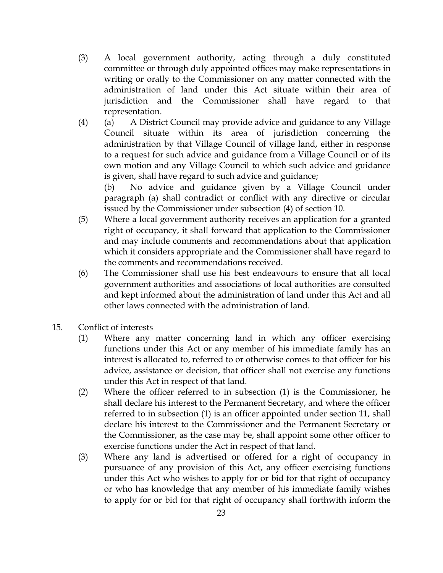- (3) A local government authority, acting through a duly constituted committee or through duly appointed offices may make representations in writing or orally to the Commissioner on any matter connected with the administration of land under this Act situate within their area of jurisdiction and the Commissioner shall have regard to that representation.
- (4) (a) A District Council may provide advice and guidance to any Village Council situate within its area of jurisdiction concerning the administration by that Village Council of village land, either in response to a request for such advice and guidance from a Village Council or of its own motion and any Village Council to which such advice and guidance is given, shall have regard to such advice and guidance;

(b) No advice and guidance given by a Village Council under paragraph (a) shall contradict or conflict with any directive or circular issued by the Commissioner under subsection (4) of section 10.

- (5) Where a local government authority receives an application for a granted right of occupancy, it shall forward that application to the Commissioner and may include comments and recommendations about that application which it considers appropriate and the Commissioner shall have regard to the comments and recommendations received.
- (6) The Commissioner shall use his best endeavours to ensure that all local government authorities and associations of local authorities are consulted and kept informed about the administration of land under this Act and all other laws connected with the administration of land.
- 15. Conflict of interests
	- (1) Where any matter concerning land in which any officer exercising functions under this Act or any member of his immediate family has an interest is allocated to, referred to or otherwise comes to that officer for his advice, assistance or decision, that officer shall not exercise any functions under this Act in respect of that land.
	- (2) Where the officer referred to in subsection (1) is the Commissioner, he shall declare his interest to the Permanent Secretary, and where the officer referred to in subsection (1) is an officer appointed under section 11, shall declare his interest to the Commissioner and the Permanent Secretary or the Commissioner, as the case may be, shall appoint some other officer to exercise functions under the Act in respect of that land.
	- (3) Where any land is advertised or offered for a right of occupancy in pursuance of any provision of this Act, any officer exercising functions under this Act who wishes to apply for or bid for that right of occupancy or who has knowledge that any member of his immediate family wishes to apply for or bid for that right of occupancy shall forthwith inform the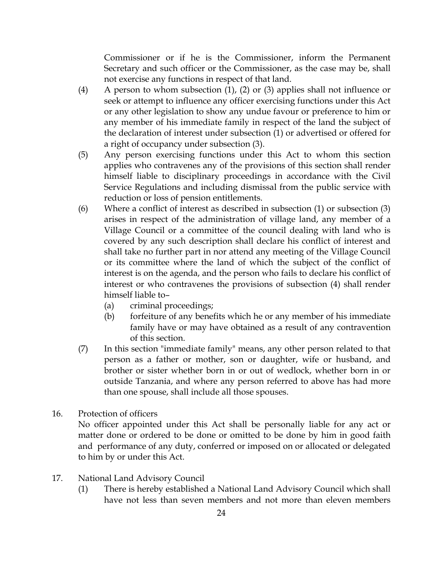Commissioner or if he is the Commissioner, inform the Permanent Secretary and such officer or the Commissioner, as the case may be, shall not exercise any functions in respect of that land.

- (4) A person to whom subsection (1), (2) or (3) applies shall not influence or seek or attempt to influence any officer exercising functions under this Act or any other legislation to show any undue favour or preference to him or any member of his immediate family in respect of the land the subject of the declaration of interest under subsection (1) or advertised or offered for a right of occupancy under subsection (3).
- (5) Any person exercising functions under this Act to whom this section applies who contravenes any of the provisions of this section shall render himself liable to disciplinary proceedings in accordance with the Civil Service Regulations and including dismissal from the public service with reduction or loss of pension entitlements.
- (6) Where a conflict of interest as described in subsection (1) or subsection (3) arises in respect of the administration of village land, any member of a Village Council or a committee of the council dealing with land who is covered by any such description shall declare his conflict of interest and shall take no further part in nor attend any meeting of the Village Council or its committee where the land of which the subject of the conflict of interest is on the agenda, and the person who fails to declare his conflict of interest or who contravenes the provisions of subsection (4) shall render himself liable to–
	- (a) criminal proceedings;
	- (b) forfeiture of any benefits which he or any member of his immediate family have or may have obtained as a result of any contravention of this section.
- (7) In this section "immediate family" means, any other person related to that person as a father or mother, son or daughter, wife or husband, and brother or sister whether born in or out of wedlock, whether born in or outside Tanzania, and where any person referred to above has had more than one spouse, shall include all those spouses.
- 16. Protection of officers

No officer appointed under this Act shall be personally liable for any act or matter done or ordered to be done or omitted to be done by him in good faith and performance of any duty, conferred or imposed on or allocated or delegated to him by or under this Act.

- 17. National Land Advisory Council
	- (1) There is hereby established a National Land Advisory Council which shall have not less than seven members and not more than eleven members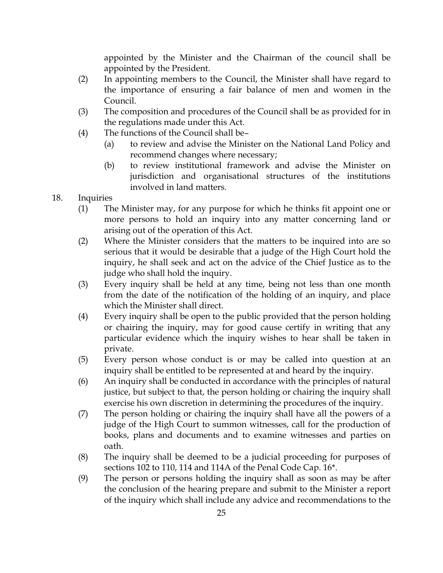appointed by the Minister and the Chairman of the council shall be appointed by the President.

- (2) In appointing members to the Council, the Minister shall have regard to the importance of ensuring a fair balance of men and women in the Council.
- (3) The composition and procedures of the Council shall be as provided for in the regulations made under this Act.
- (4) The functions of the Council shall be–
	- (a) to review and advise the Minister on the National Land Policy and recommend changes where necessary;
	- (b) to review institutional framework and advise the Minister on jurisdiction and organisational structures of the institutions involved in land matters.
- 18. Inquiries
	- (1) The Minister may, for any purpose for which he thinks fit appoint one or more persons to hold an inquiry into any matter concerning land or arising out of the operation of this Act.
	- (2) Where the Minister considers that the matters to be inquired into are so serious that it would be desirable that a judge of the High Court hold the inquiry, he shall seek and act on the advice of the Chief Justice as to the judge who shall hold the inquiry.
	- (3) Every inquiry shall be held at any time, being not less than one month from the date of the notification of the holding of an inquiry, and place which the Minister shall direct.
	- (4) Every inquiry shall be open to the public provided that the person holding or chairing the inquiry, may for good cause certify in writing that any particular evidence which the inquiry wishes to hear shall be taken in private.
	- (5) Every person whose conduct is or may be called into question at an inquiry shall be entitled to be represented at and heard by the inquiry.
	- (6) An inquiry shall be conducted in accordance with the principles of natural justice, but subject to that, the person holding or chairing the inquiry shall exercise his own discretion in determining the procedures of the inquiry.
	- (7) The person holding or chairing the inquiry shall have all the powers of a judge of the High Court to summon witnesses, call for the production of books, plans and documents and to examine witnesses and parties on oath.
	- (8) The inquiry shall be deemed to be a judicial proceeding for purposes of sections 102 to 110, 114 and 114A of the Penal Code Cap. 16\*.
	- (9) The person or persons holding the inquiry shall as soon as may be after the conclusion of the hearing prepare and submit to the Minister a report of the inquiry which shall include any advice and recommendations to the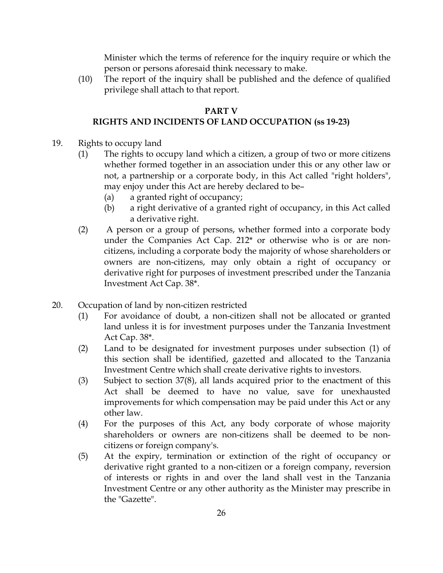Minister which the terms of reference for the inquiry require or which the person or persons aforesaid think necessary to make.

(10) The report of the inquiry shall be published and the defence of qualified privilege shall attach to that report.

#### PART V

#### RIGHTS AND INCIDENTS OF LAND OCCUPATION (ss 19-23)

- 19. Rights to occupy land
	- (1) The rights to occupy land which a citizen, a group of two or more citizens whether formed together in an association under this or any other law or not, a partnership or a corporate body, in this Act called "right holders", may enjoy under this Act are hereby declared to be–
		- (a) a granted right of occupancy;
		- (b) a right derivative of a granted right of occupancy, in this Act called a derivative right.
	- (2) A person or a group of persons, whether formed into a corporate body under the Companies Act Cap. 212\* or otherwise who is or are noncitizens, including a corporate body the majority of whose shareholders or owners are non-citizens, may only obtain a right of occupancy or derivative right for purposes of investment prescribed under the Tanzania Investment Act Cap. 38\*.
- 20. Occupation of land by non-citizen restricted
	- (1) For avoidance of doubt, a non-citizen shall not be allocated or granted land unless it is for investment purposes under the Tanzania Investment Act Cap. 38\*.
	- (2) Land to be designated for investment purposes under subsection (1) of this section shall be identified, gazetted and allocated to the Tanzania Investment Centre which shall create derivative rights to investors.
	- (3) Subject to section 37(8), all lands acquired prior to the enactment of this Act shall be deemed to have no value, save for unexhausted improvements for which compensation may be paid under this Act or any other law.
	- (4) For the purposes of this Act, any body corporate of whose majority shareholders or owners are non-citizens shall be deemed to be noncitizens or foreign company's.
	- (5) At the expiry, termination or extinction of the right of occupancy or derivative right granted to a non-citizen or a foreign company, reversion of interests or rights in and over the land shall vest in the Tanzania Investment Centre or any other authority as the Minister may prescribe in the "Gazette".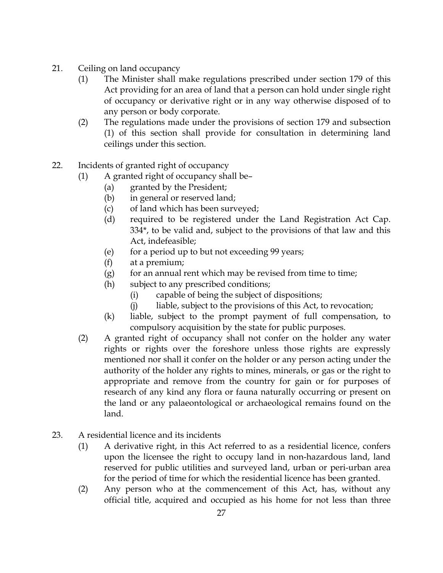- 21. Ceiling on land occupancy
	- (1) The Minister shall make regulations prescribed under section 179 of this Act providing for an area of land that a person can hold under single right of occupancy or derivative right or in any way otherwise disposed of to any person or body corporate.
	- (2) The regulations made under the provisions of section 179 and subsection (1) of this section shall provide for consultation in determining land ceilings under this section.
- 22. Incidents of granted right of occupancy
	- (1) A granted right of occupancy shall be–
		- (a) granted by the President;
		- (b) in general or reserved land;
		- (c) of land which has been surveyed;
		- (d) required to be registered under the Land Registration Act Cap. 334\*, to be valid and, subject to the provisions of that law and this Act, indefeasible;
		- (e) for a period up to but not exceeding 99 years;
		- (f) at a premium;
		- $(g)$  for an annual rent which may be revised from time to time;
		- (h) subject to any prescribed conditions;
			- (i) capable of being the subject of dispositions;
			- (j) liable, subject to the provisions of this Act, to revocation;
		- (k) liable, subject to the prompt payment of full compensation, to compulsory acquisition by the state for public purposes.
		- (2) A granted right of occupancy shall not confer on the holder any water rights or rights over the foreshore unless those rights are expressly mentioned nor shall it confer on the holder or any person acting under the authority of the holder any rights to mines, minerals, or gas or the right to appropriate and remove from the country for gain or for purposes of research of any kind any flora or fauna naturally occurring or present on the land or any palaeontological or archaeological remains found on the land.
- 23. A residential licence and its incidents
	- (1) A derivative right, in this Act referred to as a residential licence, confers upon the licensee the right to occupy land in non-hazardous land, land reserved for public utilities and surveyed land, urban or peri-urban area for the period of time for which the residential licence has been granted.
	- (2) Any person who at the commencement of this Act, has, without any official title, acquired and occupied as his home for not less than three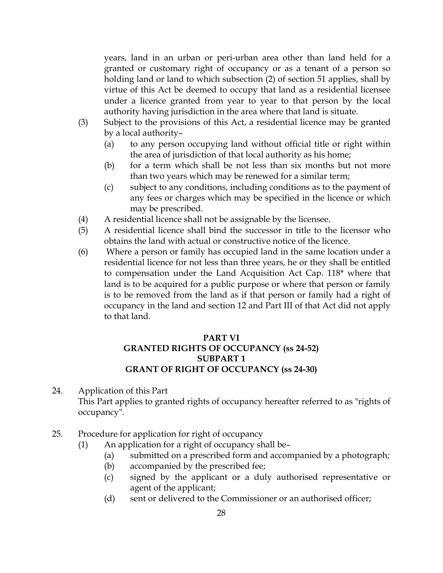years, land in an urban or peri-urban area other than land held for a granted or customary right of occupancy or as a tenant of a person so holding land or land to which subsection (2) of section 51 applies, shall by virtue of this Act be deemed to occupy that land as a residential licensee under a licence granted from year to year to that person by the local authority having jurisdiction in the area where that land is situate.

- (3) Subject to the provisions of this Act, a residential licence may be granted by a local authority–
	- (a) to any person occupying land without official title or right within the area of jurisdiction of that local authority as his home;
	- (b) for a term which shall be not less than six months but not more than two years which may be renewed for a similar term;
	- (c) subject to any conditions, including conditions as to the payment of any fees or charges which may be specified in the licence or which may be prescribed.
- (4) A residential licence shall not be assignable by the licensee.
- (5) A residential licence shall bind the successor in title to the licensor who obtains the land with actual or constructive notice of the licence.
- (6) Where a person or family has occupied land in the same location under a residential licence for not less than three years, he or they shall be entitled to compensation under the Land Acquisition Act Cap. 118\* where that land is to be acquired for a public purpose or where that person or family is to be removed from the land as if that person or family had a right of occupancy in the land and section 12 and Part III of that Act did not apply to that land.

#### PART VI GRANTED RIGHTS OF OCCUPANCY (ss 24-52) SUBPART 1 GRANT OF RIGHT OF OCCUPANCY (ss 24-30)

- 24. Application of this Part This Part applies to granted rights of occupancy hereafter referred to as "rights of occupancy".
- 25. Procedure for application for right of occupancy
	- (1) An application for a right of occupancy shall be–
		- (a) submitted on a prescribed form and accompanied by a photograph;
		- (b) accompanied by the prescribed fee;
		- (c) signed by the applicant or a duly authorised representative or agent of the applicant;
		- (d) sent or delivered to the Commissioner or an authorised officer;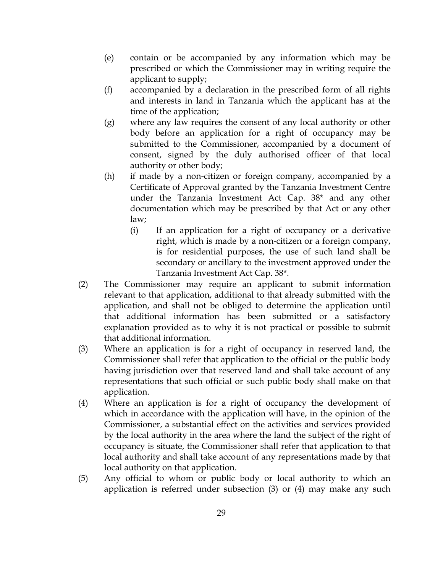- (e) contain or be accompanied by any information which may be prescribed or which the Commissioner may in writing require the applicant to supply;
- (f) accompanied by a declaration in the prescribed form of all rights and interests in land in Tanzania which the applicant has at the time of the application;
- (g) where any law requires the consent of any local authority or other body before an application for a right of occupancy may be submitted to the Commissioner, accompanied by a document of consent, signed by the duly authorised officer of that local authority or other body;
- (h) if made by a non-citizen or foreign company, accompanied by a Certificate of Approval granted by the Tanzania Investment Centre under the Tanzania Investment Act Cap. 38\* and any other documentation which may be prescribed by that Act or any other law;
	- (i) If an application for a right of occupancy or a derivative right, which is made by a non-citizen or a foreign company, is for residential purposes, the use of such land shall be secondary or ancillary to the investment approved under the Tanzania Investment Act Cap. 38\*.
- (2) The Commissioner may require an applicant to submit information relevant to that application, additional to that already submitted with the application, and shall not be obliged to determine the application until that additional information has been submitted or a satisfactory explanation provided as to why it is not practical or possible to submit that additional information.
- (3) Where an application is for a right of occupancy in reserved land, the Commissioner shall refer that application to the official or the public body having jurisdiction over that reserved land and shall take account of any representations that such official or such public body shall make on that application.
- (4) Where an application is for a right of occupancy the development of which in accordance with the application will have, in the opinion of the Commissioner, a substantial effect on the activities and services provided by the local authority in the area where the land the subject of the right of occupancy is situate, the Commissioner shall refer that application to that local authority and shall take account of any representations made by that local authority on that application.
- (5) Any official to whom or public body or local authority to which an application is referred under subsection (3) or (4) may make any such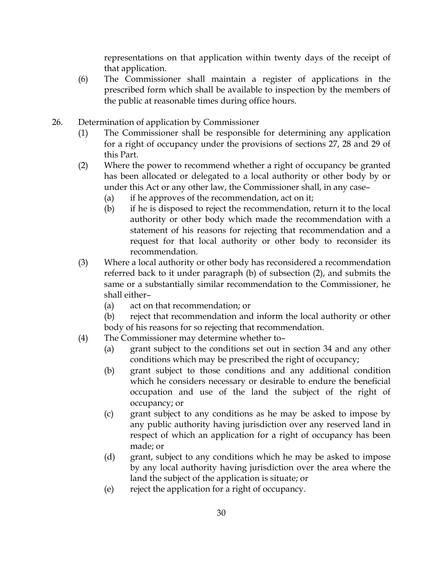representations on that application within twenty days of the receipt of that application.

- (6) The Commissioner shall maintain a register of applications in the prescribed form which shall be available to inspection by the members of the public at reasonable times during office hours.
- 26. Determination of application by Commissioner
	- (1) The Commissioner shall be responsible for determining any application for a right of occupancy under the provisions of sections 27, 28 and 29 of this Part.
	- (2) Where the power to recommend whether a right of occupancy be granted has been allocated or delegated to a local authority or other body by or under this Act or any other law, the Commissioner shall, in any case–
		- (a) if he approves of the recommendation, act on it;
		- (b) if he is disposed to reject the recommendation, return it to the local authority or other body which made the recommendation with a statement of his reasons for rejecting that recommendation and a request for that local authority or other body to reconsider its recommendation.
	- (3) Where a local authority or other body has reconsidered a recommendation referred back to it under paragraph (b) of subsection (2), and submits the same or a substantially similar recommendation to the Commissioner, he shall either–
		- (a) act on that recommendation; or
		- (b) reject that recommendation and inform the local authority or other body of his reasons for so rejecting that recommendation.
	- (4) The Commissioner may determine whether to–
		- (a) grant subject to the conditions set out in section 34 and any other conditions which may be prescribed the right of occupancy;
		- (b) grant subject to those conditions and any additional condition which he considers necessary or desirable to endure the beneficial occupation and use of the land the subject of the right of occupancy; or
		- (c) grant subject to any conditions as he may be asked to impose by any public authority having jurisdiction over any reserved land in respect of which an application for a right of occupancy has been made; or
		- (d) grant, subject to any conditions which he may be asked to impose by any local authority having jurisdiction over the area where the land the subject of the application is situate; or
		- (e) reject the application for a right of occupancy.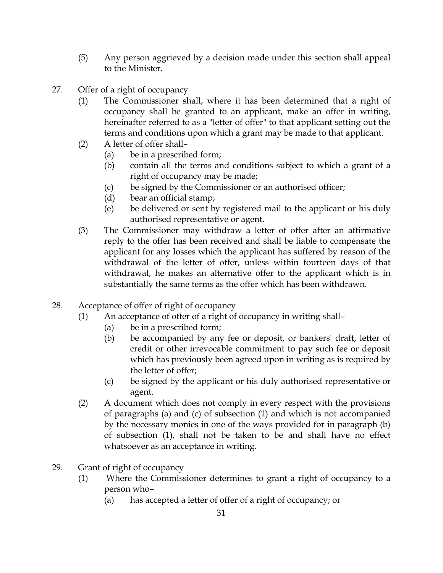- (5) Any person aggrieved by a decision made under this section shall appeal to the Minister.
- 27. Offer of a right of occupancy
	- (1) The Commissioner shall, where it has been determined that a right of occupancy shall be granted to an applicant, make an offer in writing, hereinafter referred to as a "letter of offer" to that applicant setting out the terms and conditions upon which a grant may be made to that applicant.
	- (2) A letter of offer shall–
		- (a) be in a prescribed form;
		- (b) contain all the terms and conditions subject to which a grant of a right of occupancy may be made;
		- (c) be signed by the Commissioner or an authorised officer;
		- (d) bear an official stamp;
		- (e) be delivered or sent by registered mail to the applicant or his duly authorised representative or agent.
	- (3) The Commissioner may withdraw a letter of offer after an affirmative reply to the offer has been received and shall be liable to compensate the applicant for any losses which the applicant has suffered by reason of the withdrawal of the letter of offer, unless within fourteen days of that withdrawal, he makes an alternative offer to the applicant which is in substantially the same terms as the offer which has been withdrawn.
- 28. Acceptance of offer of right of occupancy
	- (1) An acceptance of offer of a right of occupancy in writing shall–
		- (a) be in a prescribed form;
		- (b) be accompanied by any fee or deposit, or bankers' draft, letter of credit or other irrevocable commitment to pay such fee or deposit which has previously been agreed upon in writing as is required by the letter of offer;
		- (c) be signed by the applicant or his duly authorised representative or agent.
	- (2) A document which does not comply in every respect with the provisions of paragraphs (a) and (c) of subsection (1) and which is not accompanied by the necessary monies in one of the ways provided for in paragraph (b) of subsection (1), shall not be taken to be and shall have no effect whatsoever as an acceptance in writing.
- 29. Grant of right of occupancy
	- (1) Where the Commissioner determines to grant a right of occupancy to a person who–
		- (a) has accepted a letter of offer of a right of occupancy; or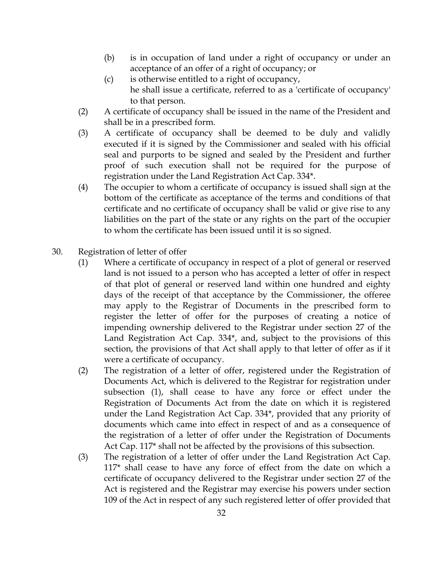- (b) is in occupation of land under a right of occupancy or under an acceptance of an offer of a right of occupancy; or
- (c) is otherwise entitled to a right of occupancy, he shall issue a certificate, referred to as a 'certificate of occupancy' to that person.
- (2) A certificate of occupancy shall be issued in the name of the President and shall be in a prescribed form.
- (3) A certificate of occupancy shall be deemed to be duly and validly executed if it is signed by the Commissioner and sealed with his official seal and purports to be signed and sealed by the President and further proof of such execution shall not be required for the purpose of registration under the Land Registration Act Cap. 334\*.
- (4) The occupier to whom a certificate of occupancy is issued shall sign at the bottom of the certificate as acceptance of the terms and conditions of that certificate and no certificate of occupancy shall be valid or give rise to any liabilities on the part of the state or any rights on the part of the occupier to whom the certificate has been issued until it is so signed.
- 30. Registration of letter of offer
	- (1) Where a certificate of occupancy in respect of a plot of general or reserved land is not issued to a person who has accepted a letter of offer in respect of that plot of general or reserved land within one hundred and eighty days of the receipt of that acceptance by the Commissioner, the offeree may apply to the Registrar of Documents in the prescribed form to register the letter of offer for the purposes of creating a notice of impending ownership delivered to the Registrar under section 27 of the Land Registration Act Cap. 334\*, and, subject to the provisions of this section, the provisions of that Act shall apply to that letter of offer as if it were a certificate of occupancy.
	- (2) The registration of a letter of offer, registered under the Registration of Documents Act, which is delivered to the Registrar for registration under subsection (1), shall cease to have any force or effect under the Registration of Documents Act from the date on which it is registered under the Land Registration Act Cap. 334\*, provided that any priority of documents which came into effect in respect of and as a consequence of the registration of a letter of offer under the Registration of Documents Act Cap. 117\* shall not be affected by the provisions of this subsection.
	- (3) The registration of a letter of offer under the Land Registration Act Cap. 117\* shall cease to have any force of effect from the date on which a certificate of occupancy delivered to the Registrar under section 27 of the Act is registered and the Registrar may exercise his powers under section 109 of the Act in respect of any such registered letter of offer provided that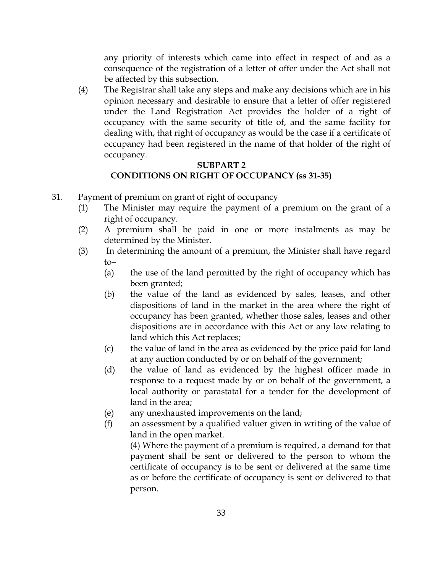any priority of interests which came into effect in respect of and as a consequence of the registration of a letter of offer under the Act shall not be affected by this subsection.

(4) The Registrar shall take any steps and make any decisions which are in his opinion necessary and desirable to ensure that a letter of offer registered under the Land Registration Act provides the holder of a right of occupancy with the same security of title of, and the same facility for dealing with, that right of occupancy as would be the case if a certificate of occupancy had been registered in the name of that holder of the right of occupancy.

### SUBPART 2 CONDITIONS ON RIGHT OF OCCUPANCY (ss 31-35)

- 31. Payment of premium on grant of right of occupancy
	- (1) The Minister may require the payment of a premium on the grant of a right of occupancy.
	- (2) A premium shall be paid in one or more instalments as may be determined by the Minister.
	- (3) In determining the amount of a premium, the Minister shall have regard to–
		- (a) the use of the land permitted by the right of occupancy which has been granted;
		- (b) the value of the land as evidenced by sales, leases, and other dispositions of land in the market in the area where the right of occupancy has been granted, whether those sales, leases and other dispositions are in accordance with this Act or any law relating to land which this Act replaces;
		- (c) the value of land in the area as evidenced by the price paid for land at any auction conducted by or on behalf of the government;
		- (d) the value of land as evidenced by the highest officer made in response to a request made by or on behalf of the government, a local authority or parastatal for a tender for the development of land in the area;
		- (e) any unexhausted improvements on the land;
		- (f) an assessment by a qualified valuer given in writing of the value of land in the open market.

(4) Where the payment of a premium is required, a demand for that payment shall be sent or delivered to the person to whom the certificate of occupancy is to be sent or delivered at the same time as or before the certificate of occupancy is sent or delivered to that person.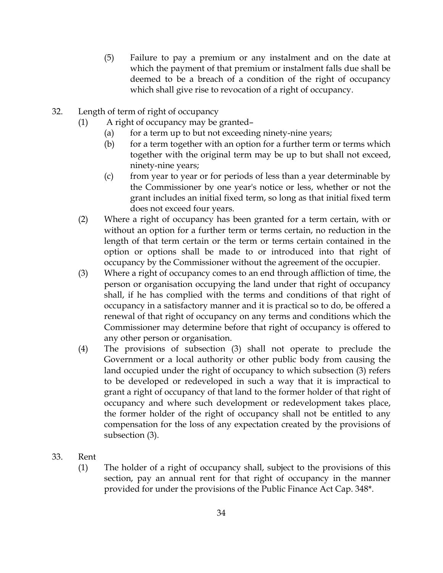- (5) Failure to pay a premium or any instalment and on the date at which the payment of that premium or instalment falls due shall be deemed to be a breach of a condition of the right of occupancy which shall give rise to revocation of a right of occupancy.
- 32. Length of term of right of occupancy
	- (1) A right of occupancy may be granted–
		- (a) for a term up to but not exceeding ninety-nine years;
		- (b) for a term together with an option for a further term or terms which together with the original term may be up to but shall not exceed, ninety-nine years;
		- (c) from year to year or for periods of less than a year determinable by the Commissioner by one year's notice or less, whether or not the grant includes an initial fixed term, so long as that initial fixed term does not exceed four years.
	- (2) Where a right of occupancy has been granted for a term certain, with or without an option for a further term or terms certain, no reduction in the length of that term certain or the term or terms certain contained in the option or options shall be made to or introduced into that right of occupancy by the Commissioner without the agreement of the occupier.
	- (3) Where a right of occupancy comes to an end through affliction of time, the person or organisation occupying the land under that right of occupancy shall, if he has complied with the terms and conditions of that right of occupancy in a satisfactory manner and it is practical so to do, be offered a renewal of that right of occupancy on any terms and conditions which the Commissioner may determine before that right of occupancy is offered to any other person or organisation.
	- (4) The provisions of subsection (3) shall not operate to preclude the Government or a local authority or other public body from causing the land occupied under the right of occupancy to which subsection (3) refers to be developed or redeveloped in such a way that it is impractical to grant a right of occupancy of that land to the former holder of that right of occupancy and where such development or redevelopment takes place, the former holder of the right of occupancy shall not be entitled to any compensation for the loss of any expectation created by the provisions of subsection (3).
- 33. Rent
	- (1) The holder of a right of occupancy shall, subject to the provisions of this section, pay an annual rent for that right of occupancy in the manner provided for under the provisions of the Public Finance Act Cap. 348\*.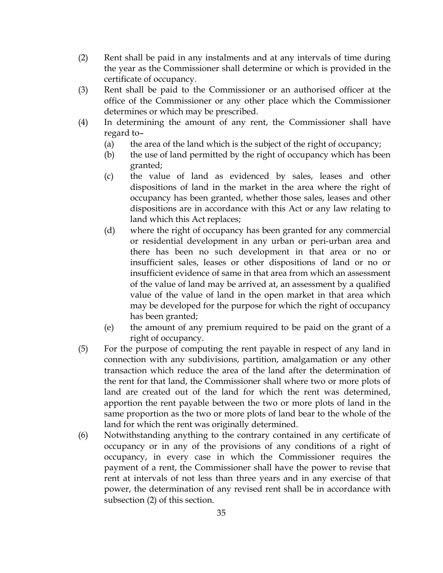- (2) Rent shall be paid in any instalments and at any intervals of time during the year as the Commissioner shall determine or which is provided in the certificate of occupancy.
- (3) Rent shall be paid to the Commissioner or an authorised officer at the office of the Commissioner or any other place which the Commissioner determines or which may be prescribed.
- (4) In determining the amount of any rent, the Commissioner shall have regard to–
	- (a) the area of the land which is the subject of the right of occupancy;
	- (b) the use of land permitted by the right of occupancy which has been granted;
	- (c) the value of land as evidenced by sales, leases and other dispositions of land in the market in the area where the right of occupancy has been granted, whether those sales, leases and other dispositions are in accordance with this Act or any law relating to land which this Act replaces;
	- (d) where the right of occupancy has been granted for any commercial or residential development in any urban or peri-urban area and there has been no such development in that area or no or insufficient sales, leases or other dispositions of land or no or insufficient evidence of same in that area from which an assessment of the value of land may be arrived at, an assessment by a qualified value of the value of land in the open market in that area which may be developed for the purpose for which the right of occupancy has been granted;
	- (e) the amount of any premium required to be paid on the grant of a right of occupancy.
- (5) For the purpose of computing the rent payable in respect of any land in connection with any subdivisions, partition, amalgamation or any other transaction which reduce the area of the land after the determination of the rent for that land, the Commissioner shall where two or more plots of land are created out of the land for which the rent was determined, apportion the rent payable between the two or more plots of land in the same proportion as the two or more plots of land bear to the whole of the land for which the rent was originally determined.
- (6) Notwithstanding anything to the contrary contained in any certificate of occupancy or in any of the provisions of any conditions of a right of occupancy, in every case in which the Commissioner requires the payment of a rent, the Commissioner shall have the power to revise that rent at intervals of not less than three years and in any exercise of that power, the determination of any revised rent shall be in accordance with subsection (2) of this section.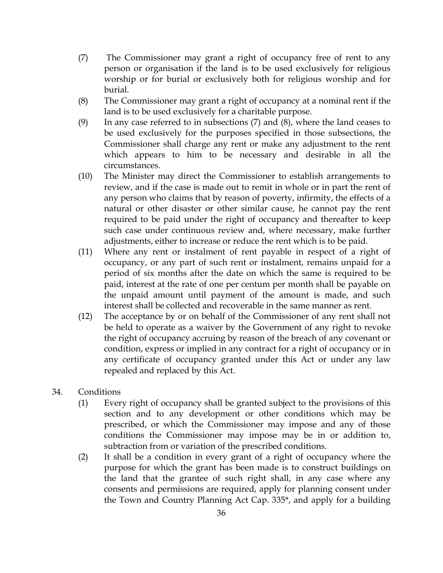- (7) The Commissioner may grant a right of occupancy free of rent to any person or organisation if the land is to be used exclusively for religious worship or for burial or exclusively both for religious worship and for burial.
- (8) The Commissioner may grant a right of occupancy at a nominal rent if the land is to be used exclusively for a charitable purpose.
- (9) In any case referred to in subsections  $(7)$  and  $(8)$ , where the land ceases to be used exclusively for the purposes specified in those subsections, the Commissioner shall charge any rent or make any adjustment to the rent which appears to him to be necessary and desirable in all the circumstances.
- (10) The Minister may direct the Commissioner to establish arrangements to review, and if the case is made out to remit in whole or in part the rent of any person who claims that by reason of poverty, infirmity, the effects of a natural or other disaster or other similar cause, he cannot pay the rent required to be paid under the right of occupancy and thereafter to keep such case under continuous review and, where necessary, make further adjustments, either to increase or reduce the rent which is to be paid.
- (11) Where any rent or instalment of rent payable in respect of a right of occupancy, or any part of such rent or instalment, remains unpaid for a period of six months after the date on which the same is required to be paid, interest at the rate of one per centum per month shall be payable on the unpaid amount until payment of the amount is made, and such interest shall be collected and recoverable in the same manner as rent.
- (12) The acceptance by or on behalf of the Commissioner of any rent shall not be held to operate as a waiver by the Government of any right to revoke the right of occupancy accruing by reason of the breach of any covenant or condition, express or implied in any contract for a right of occupancy or in any certificate of occupancy granted under this Act or under any law repealed and replaced by this Act.
- 34. Conditions
	- (1) Every right of occupancy shall be granted subject to the provisions of this section and to any development or other conditions which may be prescribed, or which the Commissioner may impose and any of those conditions the Commissioner may impose may be in or addition to, subtraction from or variation of the prescribed conditions.
	- (2) It shall be a condition in every grant of a right of occupancy where the purpose for which the grant has been made is to construct buildings on the land that the grantee of such right shall, in any case where any consents and permissions are required, apply for planning consent under the Town and Country Planning Act Cap. 335\*, and apply for a building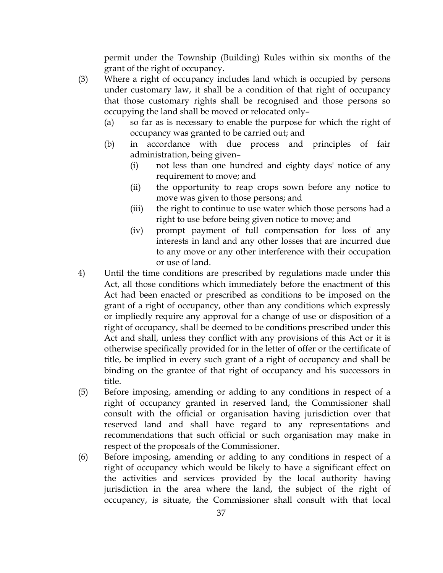permit under the Township (Building) Rules within six months of the grant of the right of occupancy.

- (3) Where a right of occupancy includes land which is occupied by persons under customary law, it shall be a condition of that right of occupancy that those customary rights shall be recognised and those persons so occupying the land shall be moved or relocated only–
	- (a) so far as is necessary to enable the purpose for which the right of occupancy was granted to be carried out; and
	- (b) in accordance with due process and principles of fair administration, being given–
		- (i) not less than one hundred and eighty days' notice of any requirement to move; and
		- (ii) the opportunity to reap crops sown before any notice to move was given to those persons; and
		- (iii) the right to continue to use water which those persons had a right to use before being given notice to move; and
		- (iv) prompt payment of full compensation for loss of any interests in land and any other losses that are incurred due to any move or any other interference with their occupation or use of land.
- 4) Until the time conditions are prescribed by regulations made under this Act, all those conditions which immediately before the enactment of this Act had been enacted or prescribed as conditions to be imposed on the grant of a right of occupancy, other than any conditions which expressly or impliedly require any approval for a change of use or disposition of a right of occupancy, shall be deemed to be conditions prescribed under this Act and shall, unless they conflict with any provisions of this Act or it is otherwise specifically provided for in the letter of offer or the certificate of title, be implied in every such grant of a right of occupancy and shall be binding on the grantee of that right of occupancy and his successors in title.
- (5) Before imposing, amending or adding to any conditions in respect of a right of occupancy granted in reserved land, the Commissioner shall consult with the official or organisation having jurisdiction over that reserved land and shall have regard to any representations and recommendations that such official or such organisation may make in respect of the proposals of the Commissioner.
- (6) Before imposing, amending or adding to any conditions in respect of a right of occupancy which would be likely to have a significant effect on the activities and services provided by the local authority having jurisdiction in the area where the land, the subject of the right of occupancy, is situate, the Commissioner shall consult with that local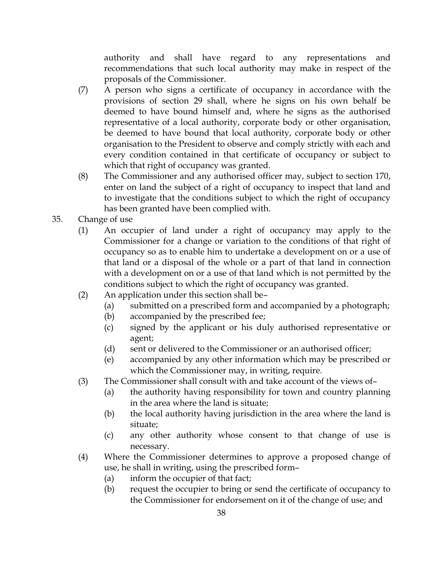authority and shall have regard to any representations and recommendations that such local authority may make in respect of the proposals of the Commissioner.

- (7) A person who signs a certificate of occupancy in accordance with the provisions of section 29 shall, where he signs on his own behalf be deemed to have bound himself and, where he signs as the authorised representative of a local authority, corporate body or other organisation, be deemed to have bound that local authority, corporate body or other organisation to the President to observe and comply strictly with each and every condition contained in that certificate of occupancy or subject to which that right of occupancy was granted.
- (8) The Commissioner and any authorised officer may, subject to section 170, enter on land the subject of a right of occupancy to inspect that land and to investigate that the conditions subject to which the right of occupancy has been granted have been complied with.
- 35. Change of use
	- (1) An occupier of land under a right of occupancy may apply to the Commissioner for a change or variation to the conditions of that right of occupancy so as to enable him to undertake a development on or a use of that land or a disposal of the whole or a part of that land in connection with a development on or a use of that land which is not permitted by the conditions subject to which the right of occupancy was granted.
	- (2) An application under this section shall be–
		- (a) submitted on a prescribed form and accompanied by a photograph;
		- (b) accompanied by the prescribed fee;
		- (c) signed by the applicant or his duly authorised representative or agent;
		- (d) sent or delivered to the Commissioner or an authorised officer;
		- (e) accompanied by any other information which may be prescribed or which the Commissioner may, in writing, require.
	- (3) The Commissioner shall consult with and take account of the views of–
		- (a) the authority having responsibility for town and country planning in the area where the land is situate;
		- (b) the local authority having jurisdiction in the area where the land is situate;
		- (c) any other authority whose consent to that change of use is necessary.
	- (4) Where the Commissioner determines to approve a proposed change of use, he shall in writing, using the prescribed form–
		- (a) inform the occupier of that fact;
		- (b) request the occupier to bring or send the certificate of occupancy to the Commissioner for endorsement on it of the change of use; and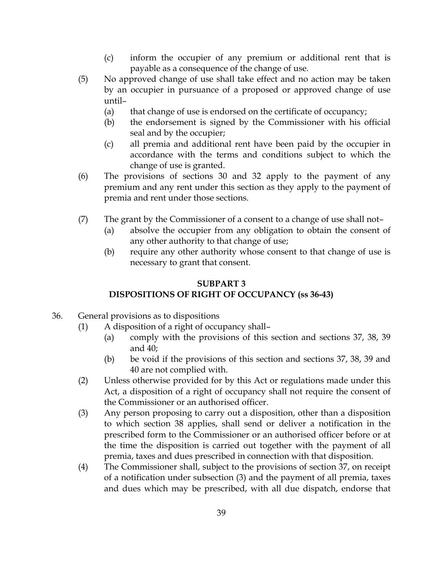- (c) inform the occupier of any premium or additional rent that is payable as a consequence of the change of use.
- (5) No approved change of use shall take effect and no action may be taken by an occupier in pursuance of a proposed or approved change of use until–
	- (a) that change of use is endorsed on the certificate of occupancy;
	- (b) the endorsement is signed by the Commissioner with his official seal and by the occupier;
	- (c) all premia and additional rent have been paid by the occupier in accordance with the terms and conditions subject to which the change of use is granted.
- (6) The provisions of sections 30 and 32 apply to the payment of any premium and any rent under this section as they apply to the payment of premia and rent under those sections.
- (7) The grant by the Commissioner of a consent to a change of use shall not–
	- (a) absolve the occupier from any obligation to obtain the consent of any other authority to that change of use;
	- (b) require any other authority whose consent to that change of use is necessary to grant that consent.

# SUBPART 3 DISPOSITIONS OF RIGHT OF OCCUPANCY (ss 36-43)

- 36. General provisions as to dispositions
	- (1) A disposition of a right of occupancy shall–
		- (a) comply with the provisions of this section and sections 37, 38, 39 and 40;
		- (b) be void if the provisions of this section and sections 37, 38, 39 and 40 are not complied with.
	- (2) Unless otherwise provided for by this Act or regulations made under this Act, a disposition of a right of occupancy shall not require the consent of the Commissioner or an authorised officer.
	- (3) Any person proposing to carry out a disposition, other than a disposition to which section 38 applies, shall send or deliver a notification in the prescribed form to the Commissioner or an authorised officer before or at the time the disposition is carried out together with the payment of all premia, taxes and dues prescribed in connection with that disposition.
	- (4) The Commissioner shall, subject to the provisions of section 37, on receipt of a notification under subsection (3) and the payment of all premia, taxes and dues which may be prescribed, with all due dispatch, endorse that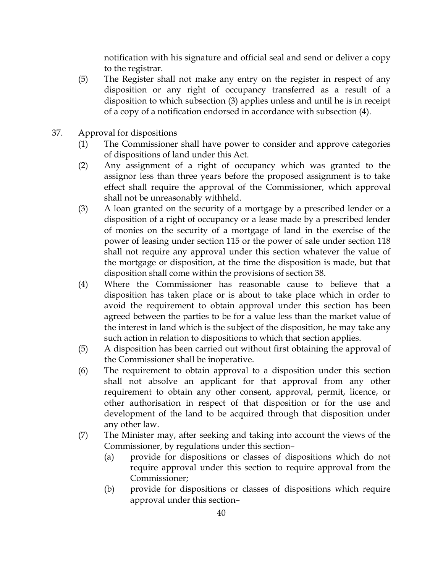notification with his signature and official seal and send or deliver a copy to the registrar.

- (5) The Register shall not make any entry on the register in respect of any disposition or any right of occupancy transferred as a result of a disposition to which subsection (3) applies unless and until he is in receipt of a copy of a notification endorsed in accordance with subsection (4).
- 37. Approval for dispositions
	- (1) The Commissioner shall have power to consider and approve categories of dispositions of land under this Act.
	- (2) Any assignment of a right of occupancy which was granted to the assignor less than three years before the proposed assignment is to take effect shall require the approval of the Commissioner, which approval shall not be unreasonably withheld.
	- (3) A loan granted on the security of a mortgage by a prescribed lender or a disposition of a right of occupancy or a lease made by a prescribed lender of monies on the security of a mortgage of land in the exercise of the power of leasing under section 115 or the power of sale under section 118 shall not require any approval under this section whatever the value of the mortgage or disposition, at the time the disposition is made, but that disposition shall come within the provisions of section 38.
	- (4) Where the Commissioner has reasonable cause to believe that a disposition has taken place or is about to take place which in order to avoid the requirement to obtain approval under this section has been agreed between the parties to be for a value less than the market value of the interest in land which is the subject of the disposition, he may take any such action in relation to dispositions to which that section applies.
	- (5) A disposition has been carried out without first obtaining the approval of the Commissioner shall be inoperative.
	- (6) The requirement to obtain approval to a disposition under this section shall not absolve an applicant for that approval from any other requirement to obtain any other consent, approval, permit, licence, or other authorisation in respect of that disposition or for the use and development of the land to be acquired through that disposition under any other law.
	- (7) The Minister may, after seeking and taking into account the views of the Commissioner, by regulations under this section–
		- (a) provide for dispositions or classes of dispositions which do not require approval under this section to require approval from the Commissioner;
		- (b) provide for dispositions or classes of dispositions which require approval under this section–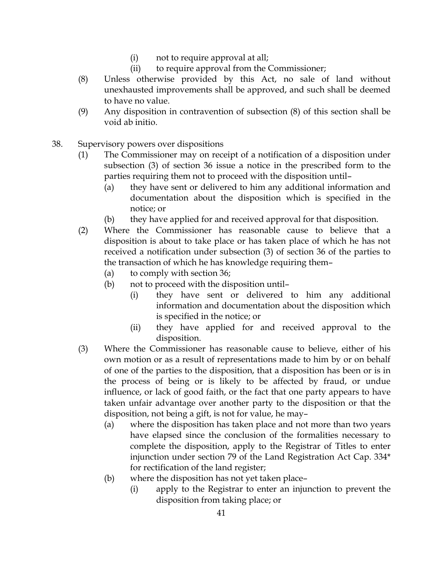- (i) not to require approval at all;
- (ii) to require approval from the Commissioner;
- (8) Unless otherwise provided by this Act, no sale of land without unexhausted improvements shall be approved, and such shall be deemed to have no value.
- (9) Any disposition in contravention of subsection (8) of this section shall be void ab initio.
- 38. Supervisory powers over dispositions
	- (1) The Commissioner may on receipt of a notification of a disposition under subsection (3) of section 36 issue a notice in the prescribed form to the parties requiring them not to proceed with the disposition until–
		- (a) they have sent or delivered to him any additional information and documentation about the disposition which is specified in the notice; or
		- (b) they have applied for and received approval for that disposition.
	- (2) Where the Commissioner has reasonable cause to believe that a disposition is about to take place or has taken place of which he has not received a notification under subsection (3) of section 36 of the parties to the transaction of which he has knowledge requiring them–
		- (a) to comply with section 36;
		- (b) not to proceed with the disposition until–
			- (i) they have sent or delivered to him any additional information and documentation about the disposition which is specified in the notice; or
			- (ii) they have applied for and received approval to the disposition.
	- (3) Where the Commissioner has reasonable cause to believe, either of his own motion or as a result of representations made to him by or on behalf of one of the parties to the disposition, that a disposition has been or is in the process of being or is likely to be affected by fraud, or undue influence, or lack of good faith, or the fact that one party appears to have taken unfair advantage over another party to the disposition or that the disposition, not being a gift, is not for value, he may–
		- (a) where the disposition has taken place and not more than two years have elapsed since the conclusion of the formalities necessary to complete the disposition, apply to the Registrar of Titles to enter injunction under section 79 of the Land Registration Act Cap. 334\* for rectification of the land register;
		- (b) where the disposition has not yet taken place–
			- (i) apply to the Registrar to enter an injunction to prevent the disposition from taking place; or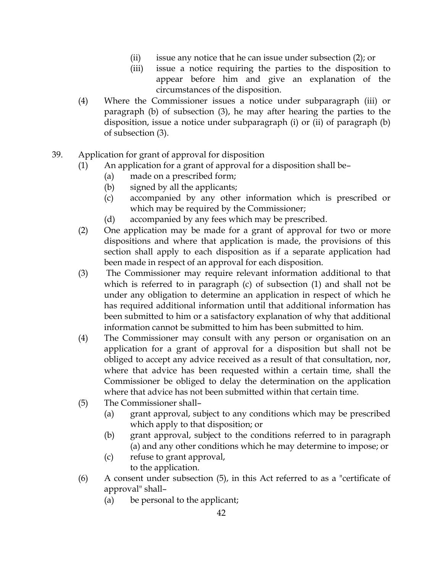- (ii) issue any notice that he can issue under subsection (2); or
- (iii) issue a notice requiring the parties to the disposition to appear before him and give an explanation of the circumstances of the disposition.
- (4) Where the Commissioner issues a notice under subparagraph (iii) or paragraph (b) of subsection (3), he may after hearing the parties to the disposition, issue a notice under subparagraph (i) or (ii) of paragraph (b) of subsection (3).
- 39. Application for grant of approval for disposition
	- (1) An application for a grant of approval for a disposition shall be–
		- (a) made on a prescribed form;
		- (b) signed by all the applicants;
		- (c) accompanied by any other information which is prescribed or which may be required by the Commissioner;
		- (d) accompanied by any fees which may be prescribed.
	- (2) One application may be made for a grant of approval for two or more dispositions and where that application is made, the provisions of this section shall apply to each disposition as if a separate application had been made in respect of an approval for each disposition.
	- (3) The Commissioner may require relevant information additional to that which is referred to in paragraph (c) of subsection (1) and shall not be under any obligation to determine an application in respect of which he has required additional information until that additional information has been submitted to him or a satisfactory explanation of why that additional information cannot be submitted to him has been submitted to him.
	- (4) The Commissioner may consult with any person or organisation on an application for a grant of approval for a disposition but shall not be obliged to accept any advice received as a result of that consultation, nor, where that advice has been requested within a certain time, shall the Commissioner be obliged to delay the determination on the application where that advice has not been submitted within that certain time.
	- (5) The Commissioner shall–
		- (a) grant approval, subject to any conditions which may be prescribed which apply to that disposition; or
		- (b) grant approval, subject to the conditions referred to in paragraph (a) and any other conditions which he may determine to impose; or
		- (c) refuse to grant approval, to the application.
	- (6) A consent under subsection (5), in this Act referred to as a "certificate of approval" shall–
		- (a) be personal to the applicant;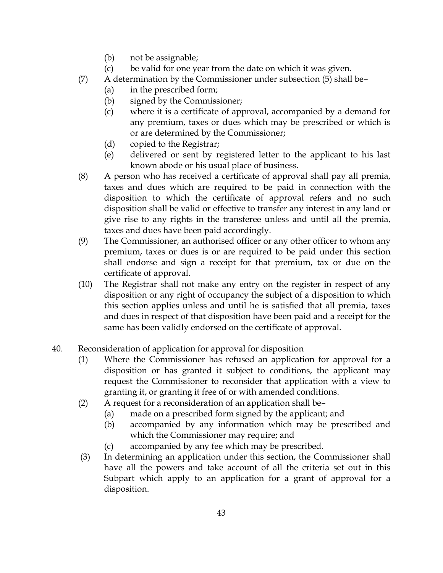- (b) not be assignable;
- (c) be valid for one year from the date on which it was given.
- (7) A determination by the Commissioner under subsection (5) shall be–
	- (a) in the prescribed form;
	- (b) signed by the Commissioner;
	- (c) where it is a certificate of approval, accompanied by a demand for any premium, taxes or dues which may be prescribed or which is or are determined by the Commissioner;
	- (d) copied to the Registrar;
	- (e) delivered or sent by registered letter to the applicant to his last known abode or his usual place of business.
- (8) A person who has received a certificate of approval shall pay all premia, taxes and dues which are required to be paid in connection with the disposition to which the certificate of approval refers and no such disposition shall be valid or effective to transfer any interest in any land or give rise to any rights in the transferee unless and until all the premia, taxes and dues have been paid accordingly.
- (9) The Commissioner, an authorised officer or any other officer to whom any premium, taxes or dues is or are required to be paid under this section shall endorse and sign a receipt for that premium, tax or due on the certificate of approval.
- (10) The Registrar shall not make any entry on the register in respect of any disposition or any right of occupancy the subject of a disposition to which this section applies unless and until he is satisfied that all premia, taxes and dues in respect of that disposition have been paid and a receipt for the same has been validly endorsed on the certificate of approval.
- 40. Reconsideration of application for approval for disposition
	- (1) Where the Commissioner has refused an application for approval for a disposition or has granted it subject to conditions, the applicant may request the Commissioner to reconsider that application with a view to granting it, or granting it free of or with amended conditions.
	- (2) A request for a reconsideration of an application shall be–
		- (a) made on a prescribed form signed by the applicant; and
			- (b) accompanied by any information which may be prescribed and which the Commissioner may require; and
			- (c) accompanied by any fee which may be prescribed.
	- (3) In determining an application under this section, the Commissioner shall have all the powers and take account of all the criteria set out in this Subpart which apply to an application for a grant of approval for a disposition.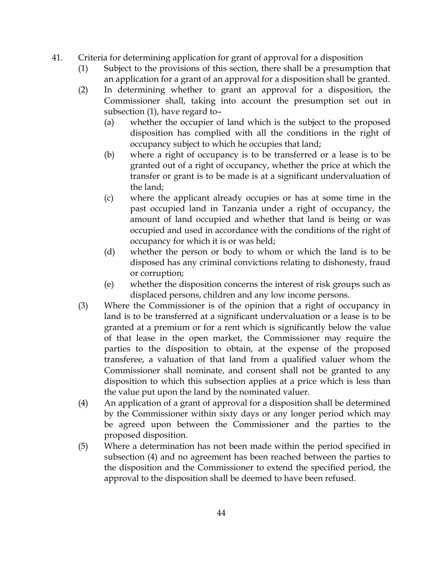- 41. Criteria for determining application for grant of approval for a disposition
	- (1) Subject to the provisions of this section, there shall be a presumption that an application for a grant of an approval for a disposition shall be granted.
	- (2) In determining whether to grant an approval for a disposition, the Commissioner shall, taking into account the presumption set out in subsection (1), have regard to–
		- (a) whether the occupier of land which is the subject to the proposed disposition has complied with all the conditions in the right of occupancy subject to which he occupies that land;
		- (b) where a right of occupancy is to be transferred or a lease is to be granted out of a right of occupancy, whether the price at which the transfer or grant is to be made is at a significant undervaluation of the land;
		- (c) where the applicant already occupies or has at some time in the past occupied land in Tanzania under a right of occupancy, the amount of land occupied and whether that land is being or was occupied and used in accordance with the conditions of the right of occupancy for which it is or was held;
		- (d) whether the person or body to whom or which the land is to be disposed has any criminal convictions relating to dishonesty, fraud or corruption;
		- (e) whether the disposition concerns the interest of risk groups such as displaced persons, children and any low income persons.
	- (3) Where the Commissioner is of the opinion that a right of occupancy in land is to be transferred at a significant undervaluation or a lease is to be granted at a premium or for a rent which is significantly below the value of that lease in the open market, the Commissioner may require the parties to the disposition to obtain, at the expense of the proposed transferee, a valuation of that land from a qualified valuer whom the Commissioner shall nominate, and consent shall not be granted to any disposition to which this subsection applies at a price which is less than the value put upon the land by the nominated valuer.
	- (4) An application of a grant of approval for a disposition shall be determined by the Commissioner within sixty days or any longer period which may be agreed upon between the Commissioner and the parties to the proposed disposition.
	- (5) Where a determination has not been made within the period specified in subsection (4) and no agreement has been reached between the parties to the disposition and the Commissioner to extend the specified period, the approval to the disposition shall be deemed to have been refused.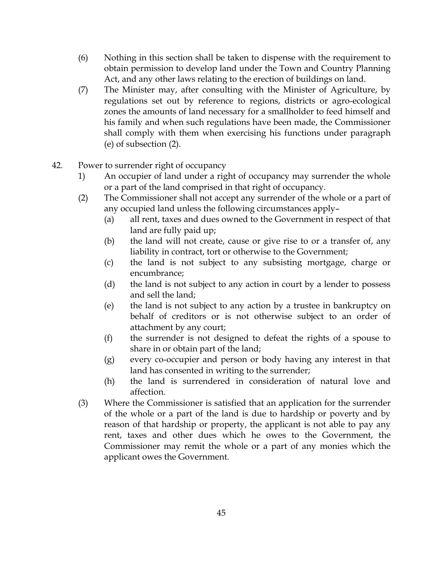- (6) Nothing in this section shall be taken to dispense with the requirement to obtain permission to develop land under the Town and Country Planning Act, and any other laws relating to the erection of buildings on land.
- (7) The Minister may, after consulting with the Minister of Agriculture, by regulations set out by reference to regions, districts or agro-ecological zones the amounts of land necessary for a smallholder to feed himself and his family and when such regulations have been made, the Commissioner shall comply with them when exercising his functions under paragraph (e) of subsection (2).
- 42. Power to surrender right of occupancy
	- 1) An occupier of land under a right of occupancy may surrender the whole or a part of the land comprised in that right of occupancy.
	- (2) The Commissioner shall not accept any surrender of the whole or a part of any occupied land unless the following circumstances apply–
		- (a) all rent, taxes and dues owned to the Government in respect of that land are fully paid up;
		- (b) the land will not create, cause or give rise to or a transfer of, any liability in contract, tort or otherwise to the Government;
		- (c) the land is not subject to any subsisting mortgage, charge or encumbrance;
		- (d) the land is not subject to any action in court by a lender to possess and sell the land;
		- (e) the land is not subject to any action by a trustee in bankruptcy on behalf of creditors or is not otherwise subject to an order of attachment by any court;
		- (f) the surrender is not designed to defeat the rights of a spouse to share in or obtain part of the land;
		- (g) every co-occupier and person or body having any interest in that land has consented in writing to the surrender;
		- (h) the land is surrendered in consideration of natural love and affection.
	- (3) Where the Commissioner is satisfied that an application for the surrender of the whole or a part of the land is due to hardship or poverty and by reason of that hardship or property, the applicant is not able to pay any rent, taxes and other dues which he owes to the Government, the Commissioner may remit the whole or a part of any monies which the applicant owes the Government.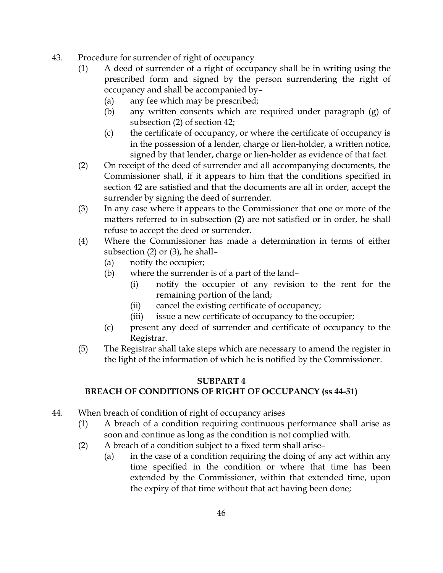- 43. Procedure for surrender of right of occupancy
	- (1) A deed of surrender of a right of occupancy shall be in writing using the prescribed form and signed by the person surrendering the right of occupancy and shall be accompanied by–
		- (a) any fee which may be prescribed;
		- (b) any written consents which are required under paragraph (g) of subsection (2) of section 42;
		- (c) the certificate of occupancy, or where the certificate of occupancy is in the possession of a lender, charge or lien-holder, a written notice, signed by that lender, charge or lien-holder as evidence of that fact.
	- (2) On receipt of the deed of surrender and all accompanying documents, the Commissioner shall, if it appears to him that the conditions specified in section 42 are satisfied and that the documents are all in order, accept the surrender by signing the deed of surrender.
	- (3) In any case where it appears to the Commissioner that one or more of the matters referred to in subsection (2) are not satisfied or in order, he shall refuse to accept the deed or surrender.
	- (4) Where the Commissioner has made a determination in terms of either subsection (2) or (3), he shall–
		- (a) notify the occupier;
		- (b) where the surrender is of a part of the land–
			- (i) notify the occupier of any revision to the rent for the remaining portion of the land;
			- (ii) cancel the existing certificate of occupancy;
			- (iii) issue a new certificate of occupancy to the occupier;
		- (c) present any deed of surrender and certificate of occupancy to the Registrar.
	- (5) The Registrar shall take steps which are necessary to amend the register in the light of the information of which he is notified by the Commissioner.

#### SUBPART 4 BREACH OF CONDITIONS OF RIGHT OF OCCUPANCY (ss 44-51)

- 44. When breach of condition of right of occupancy arises
	- (1) A breach of a condition requiring continuous performance shall arise as soon and continue as long as the condition is not complied with.
	- (2) A breach of a condition subject to a fixed term shall arise–
		- (a) in the case of a condition requiring the doing of any act within any time specified in the condition or where that time has been extended by the Commissioner, within that extended time, upon the expiry of that time without that act having been done;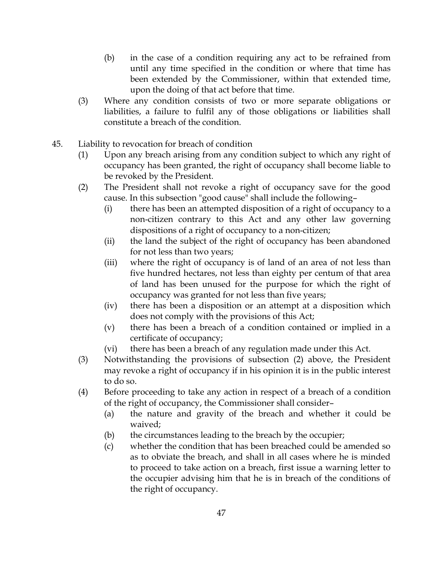- (b) in the case of a condition requiring any act to be refrained from until any time specified in the condition or where that time has been extended by the Commissioner, within that extended time, upon the doing of that act before that time.
- (3) Where any condition consists of two or more separate obligations or liabilities, a failure to fulfil any of those obligations or liabilities shall constitute a breach of the condition.
- 45. Liability to revocation for breach of condition
	- (1) Upon any breach arising from any condition subject to which any right of occupancy has been granted, the right of occupancy shall become liable to be revoked by the President.
	- (2) The President shall not revoke a right of occupancy save for the good cause. In this subsection "good cause" shall include the following–
		- (i) there has been an attempted disposition of a right of occupancy to a non-citizen contrary to this Act and any other law governing dispositions of a right of occupancy to a non-citizen;
		- (ii) the land the subject of the right of occupancy has been abandoned for not less than two years;
		- (iii) where the right of occupancy is of land of an area of not less than five hundred hectares, not less than eighty per centum of that area of land has been unused for the purpose for which the right of occupancy was granted for not less than five years;
		- (iv) there has been a disposition or an attempt at a disposition which does not comply with the provisions of this Act;
		- (v) there has been a breach of a condition contained or implied in a certificate of occupancy;
		- (vi) there has been a breach of any regulation made under this Act.
	- (3) Notwithstanding the provisions of subsection (2) above, the President may revoke a right of occupancy if in his opinion it is in the public interest to do so.
	- (4) Before proceeding to take any action in respect of a breach of a condition of the right of occupancy, the Commissioner shall consider–
		- (a) the nature and gravity of the breach and whether it could be waived;
		- (b) the circumstances leading to the breach by the occupier;
		- (c) whether the condition that has been breached could be amended so as to obviate the breach, and shall in all cases where he is minded to proceed to take action on a breach, first issue a warning letter to the occupier advising him that he is in breach of the conditions of the right of occupancy.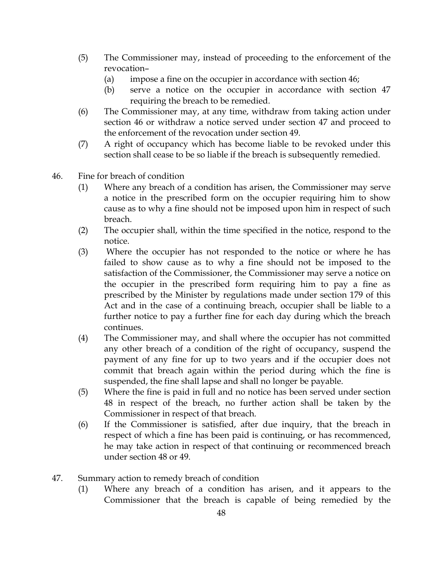- (5) The Commissioner may, instead of proceeding to the enforcement of the revocation–
	- (a) impose a fine on the occupier in accordance with section 46;
	- (b) serve a notice on the occupier in accordance with section 47 requiring the breach to be remedied.
- (6) The Commissioner may, at any time, withdraw from taking action under section 46 or withdraw a notice served under section 47 and proceed to the enforcement of the revocation under section 49.
- (7) A right of occupancy which has become liable to be revoked under this section shall cease to be so liable if the breach is subsequently remedied.
- 46. Fine for breach of condition
	- (1) Where any breach of a condition has arisen, the Commissioner may serve a notice in the prescribed form on the occupier requiring him to show cause as to why a fine should not be imposed upon him in respect of such breach.
	- (2) The occupier shall, within the time specified in the notice, respond to the notice.
	- (3) Where the occupier has not responded to the notice or where he has failed to show cause as to why a fine should not be imposed to the satisfaction of the Commissioner, the Commissioner may serve a notice on the occupier in the prescribed form requiring him to pay a fine as prescribed by the Minister by regulations made under section 179 of this Act and in the case of a continuing breach, occupier shall be liable to a further notice to pay a further fine for each day during which the breach continues.
	- (4) The Commissioner may, and shall where the occupier has not committed any other breach of a condition of the right of occupancy, suspend the payment of any fine for up to two years and if the occupier does not commit that breach again within the period during which the fine is suspended, the fine shall lapse and shall no longer be payable.
	- (5) Where the fine is paid in full and no notice has been served under section 48 in respect of the breach, no further action shall be taken by the Commissioner in respect of that breach.
	- (6) If the Commissioner is satisfied, after due inquiry, that the breach in respect of which a fine has been paid is continuing, or has recommenced, he may take action in respect of that continuing or recommenced breach under section 48 or 49.
- 47. Summary action to remedy breach of condition
	- (1) Where any breach of a condition has arisen, and it appears to the Commissioner that the breach is capable of being remedied by the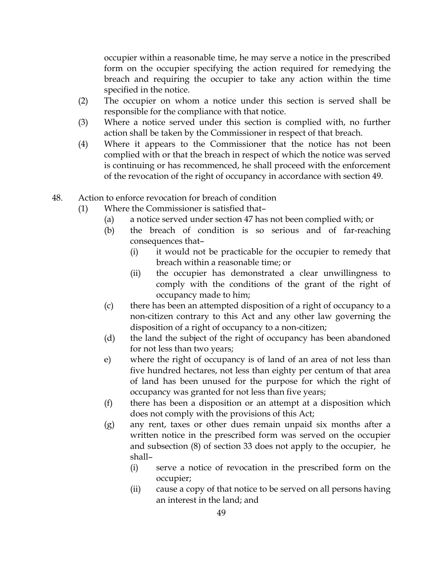occupier within a reasonable time, he may serve a notice in the prescribed form on the occupier specifying the action required for remedying the breach and requiring the occupier to take any action within the time specified in the notice.

- (2) The occupier on whom a notice under this section is served shall be responsible for the compliance with that notice.
- (3) Where a notice served under this section is complied with, no further action shall be taken by the Commissioner in respect of that breach.
- (4) Where it appears to the Commissioner that the notice has not been complied with or that the breach in respect of which the notice was served is continuing or has recommenced, he shall proceed with the enforcement of the revocation of the right of occupancy in accordance with section 49.
- 48. Action to enforce revocation for breach of condition
	- (1) Where the Commissioner is satisfied that–
		- (a) a notice served under section 47 has not been complied with; or
		- (b) the breach of condition is so serious and of far-reaching consequences that–
			- (i) it would not be practicable for the occupier to remedy that breach within a reasonable time; or
			- (ii) the occupier has demonstrated a clear unwillingness to comply with the conditions of the grant of the right of occupancy made to him;
		- (c) there has been an attempted disposition of a right of occupancy to a non-citizen contrary to this Act and any other law governing the disposition of a right of occupancy to a non-citizen;
		- (d) the land the subject of the right of occupancy has been abandoned for not less than two years;
		- e) where the right of occupancy is of land of an area of not less than five hundred hectares, not less than eighty per centum of that area of land has been unused for the purpose for which the right of occupancy was granted for not less than five years;
		- (f) there has been a disposition or an attempt at a disposition which does not comply with the provisions of this Act;
		- (g) any rent, taxes or other dues remain unpaid six months after a written notice in the prescribed form was served on the occupier and subsection (8) of section 33 does not apply to the occupier, he shall–
			- (i) serve a notice of revocation in the prescribed form on the occupier;
			- (ii) cause a copy of that notice to be served on all persons having an interest in the land; and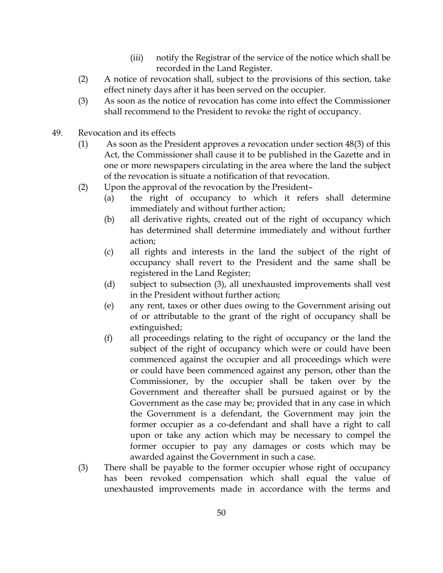- (iii) notify the Registrar of the service of the notice which shall be recorded in the Land Register.
- (2) A notice of revocation shall, subject to the provisions of this section, take effect ninety days after it has been served on the occupier.
- (3) As soon as the notice of revocation has come into effect the Commissioner shall recommend to the President to revoke the right of occupancy.
- 49. Revocation and its effects
	- (1) As soon as the President approves a revocation under section 48(3) of this Act, the Commissioner shall cause it to be published in the Gazette and in one or more newspapers circulating in the area where the land the subject of the revocation is situate a notification of that revocation.
	- (2) Upon the approval of the revocation by the President–
		- (a) the right of occupancy to which it refers shall determine immediately and without further action;
		- (b) all derivative rights, created out of the right of occupancy which has determined shall determine immediately and without further action;
		- (c) all rights and interests in the land the subject of the right of occupancy shall revert to the President and the same shall be registered in the Land Register;
		- (d) subject to subsection (3), all unexhausted improvements shall vest in the President without further action;
		- (e) any rent, taxes or other dues owing to the Government arising out of or attributable to the grant of the right of occupancy shall be extinguished;
		- (f) all proceedings relating to the right of occupancy or the land the subject of the right of occupancy which were or could have been commenced against the occupier and all proceedings which were or could have been commenced against any person, other than the Commissioner, by the occupier shall be taken over by the Government and thereafter shall be pursued against or by the Government as the case may be; provided that in any case in which the Government is a defendant, the Government may join the former occupier as a co-defendant and shall have a right to call upon or take any action which may be necessary to compel the former occupier to pay any damages or costs which may be awarded against the Government in such a case.
	- (3) There shall be payable to the former occupier whose right of occupancy has been revoked compensation which shall equal the value of unexhausted improvements made in accordance with the terms and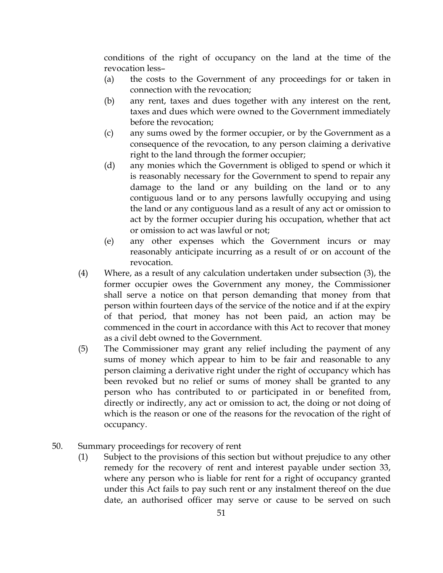conditions of the right of occupancy on the land at the time of the revocation less–

- (a) the costs to the Government of any proceedings for or taken in connection with the revocation;
- (b) any rent, taxes and dues together with any interest on the rent, taxes and dues which were owned to the Government immediately before the revocation;
- (c) any sums owed by the former occupier, or by the Government as a consequence of the revocation, to any person claiming a derivative right to the land through the former occupier;
- (d) any monies which the Government is obliged to spend or which it is reasonably necessary for the Government to spend to repair any damage to the land or any building on the land or to any contiguous land or to any persons lawfully occupying and using the land or any contiguous land as a result of any act or omission to act by the former occupier during his occupation, whether that act or omission to act was lawful or not;
- (e) any other expenses which the Government incurs or may reasonably anticipate incurring as a result of or on account of the revocation.
- (4) Where, as a result of any calculation undertaken under subsection (3), the former occupier owes the Government any money, the Commissioner shall serve a notice on that person demanding that money from that person within fourteen days of the service of the notice and if at the expiry of that period, that money has not been paid, an action may be commenced in the court in accordance with this Act to recover that money as a civil debt owned to the Government.
- (5) The Commissioner may grant any relief including the payment of any sums of money which appear to him to be fair and reasonable to any person claiming a derivative right under the right of occupancy which has been revoked but no relief or sums of money shall be granted to any person who has contributed to or participated in or benefited from, directly or indirectly, any act or omission to act, the doing or not doing of which is the reason or one of the reasons for the revocation of the right of occupancy.
- 50. Summary proceedings for recovery of rent
	- (1) Subject to the provisions of this section but without prejudice to any other remedy for the recovery of rent and interest payable under section 33, where any person who is liable for rent for a right of occupancy granted under this Act fails to pay such rent or any instalment thereof on the due date, an authorised officer may serve or cause to be served on such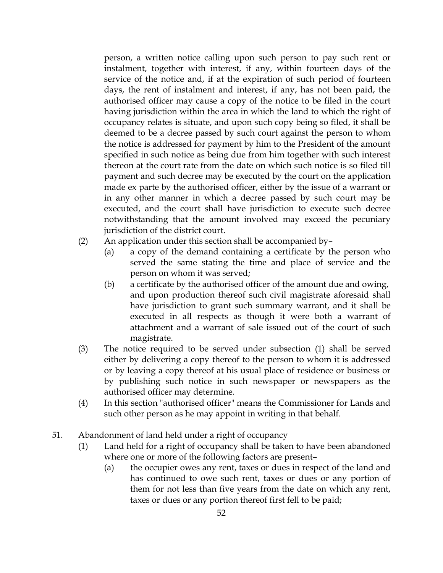person, a written notice calling upon such person to pay such rent or instalment, together with interest, if any, within fourteen days of the service of the notice and, if at the expiration of such period of fourteen days, the rent of instalment and interest, if any, has not been paid, the authorised officer may cause a copy of the notice to be filed in the court having jurisdiction within the area in which the land to which the right of occupancy relates is situate, and upon such copy being so filed, it shall be deemed to be a decree passed by such court against the person to whom the notice is addressed for payment by him to the President of the amount specified in such notice as being due from him together with such interest thereon at the court rate from the date on which such notice is so filed till payment and such decree may be executed by the court on the application made ex parte by the authorised officer, either by the issue of a warrant or in any other manner in which a decree passed by such court may be executed, and the court shall have jurisdiction to execute such decree notwithstanding that the amount involved may exceed the pecuniary jurisdiction of the district court.

- (2) An application under this section shall be accompanied by–
	- (a) a copy of the demand containing a certificate by the person who served the same stating the time and place of service and the person on whom it was served;
	- (b) a certificate by the authorised officer of the amount due and owing, and upon production thereof such civil magistrate aforesaid shall have jurisdiction to grant such summary warrant, and it shall be executed in all respects as though it were both a warrant of attachment and a warrant of sale issued out of the court of such magistrate.
- (3) The notice required to be served under subsection (1) shall be served either by delivering a copy thereof to the person to whom it is addressed or by leaving a copy thereof at his usual place of residence or business or by publishing such notice in such newspaper or newspapers as the authorised officer may determine.
- (4) In this section "authorised officer" means the Commissioner for Lands and such other person as he may appoint in writing in that behalf.
- 51. Abandonment of land held under a right of occupancy
	- (1) Land held for a right of occupancy shall be taken to have been abandoned where one or more of the following factors are present–
		- (a) the occupier owes any rent, taxes or dues in respect of the land and has continued to owe such rent, taxes or dues or any portion of them for not less than five years from the date on which any rent, taxes or dues or any portion thereof first fell to be paid;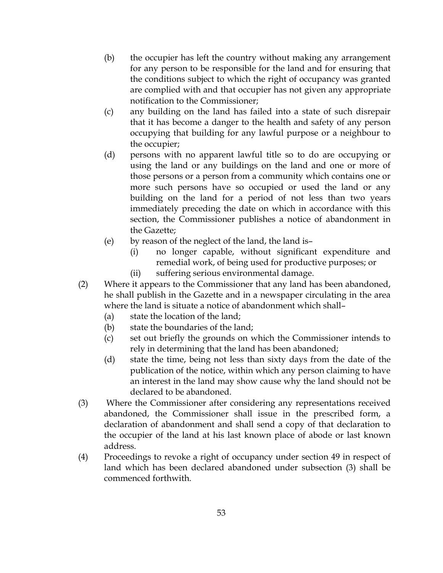- (b) the occupier has left the country without making any arrangement for any person to be responsible for the land and for ensuring that the conditions subject to which the right of occupancy was granted are complied with and that occupier has not given any appropriate notification to the Commissioner;
- (c) any building on the land has failed into a state of such disrepair that it has become a danger to the health and safety of any person occupying that building for any lawful purpose or a neighbour to the occupier;
- (d) persons with no apparent lawful title so to do are occupying or using the land or any buildings on the land and one or more of those persons or a person from a community which contains one or more such persons have so occupied or used the land or any building on the land for a period of not less than two years immediately preceding the date on which in accordance with this section, the Commissioner publishes a notice of abandonment in the Gazette;
- (e) by reason of the neglect of the land, the land is–
	- (i) no longer capable, without significant expenditure and remedial work, of being used for productive purposes; or
	- (ii) suffering serious environmental damage.
- (2) Where it appears to the Commissioner that any land has been abandoned, he shall publish in the Gazette and in a newspaper circulating in the area where the land is situate a notice of abandonment which shall–
	- (a) state the location of the land;
	- (b) state the boundaries of the land;
	- (c) set out briefly the grounds on which the Commissioner intends to rely in determining that the land has been abandoned;
	- (d) state the time, being not less than sixty days from the date of the publication of the notice, within which any person claiming to have an interest in the land may show cause why the land should not be declared to be abandoned.
- (3) Where the Commissioner after considering any representations received abandoned, the Commissioner shall issue in the prescribed form, a declaration of abandonment and shall send a copy of that declaration to the occupier of the land at his last known place of abode or last known address.
- (4) Proceedings to revoke a right of occupancy under section 49 in respect of land which has been declared abandoned under subsection (3) shall be commenced forthwith.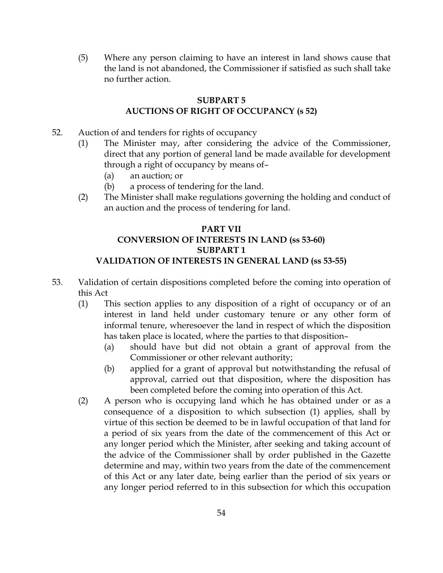(5) Where any person claiming to have an interest in land shows cause that the land is not abandoned, the Commissioner if satisfied as such shall take no further action.

### SUBPART 5 AUCTIONS OF RIGHT OF OCCUPANCY (s 52)

- 52. Auction of and tenders for rights of occupancy
	- (1) The Minister may, after considering the advice of the Commissioner, direct that any portion of general land be made available for development through a right of occupancy by means of–
		- (a) an auction; or
		- (b) a process of tendering for the land.
	- (2) The Minister shall make regulations governing the holding and conduct of an auction and the process of tendering for land.

# PART VII CONVERSION OF INTERESTS IN LAND (ss 53-60) SUBPART 1 VALIDATION OF INTERESTS IN GENERAL LAND (ss 53-55)

- 53. Validation of certain dispositions completed before the coming into operation of this Act
	- (1) This section applies to any disposition of a right of occupancy or of an interest in land held under customary tenure or any other form of informal tenure, wheresoever the land in respect of which the disposition has taken place is located, where the parties to that disposition–
		- (a) should have but did not obtain a grant of approval from the Commissioner or other relevant authority;
		- (b) applied for a grant of approval but notwithstanding the refusal of approval, carried out that disposition, where the disposition has been completed before the coming into operation of this Act.
	- (2) A person who is occupying land which he has obtained under or as a consequence of a disposition to which subsection (1) applies, shall by virtue of this section be deemed to be in lawful occupation of that land for a period of six years from the date of the commencement of this Act or any longer period which the Minister, after seeking and taking account of the advice of the Commissioner shall by order published in the Gazette determine and may, within two years from the date of the commencement of this Act or any later date, being earlier than the period of six years or any longer period referred to in this subsection for which this occupation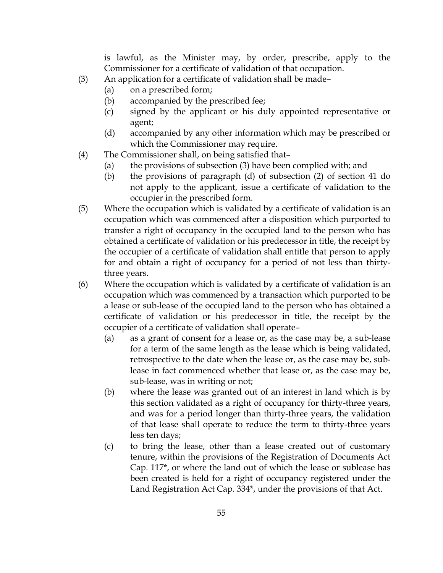is lawful, as the Minister may, by order, prescribe, apply to the Commissioner for a certificate of validation of that occupation.

- (3) An application for a certificate of validation shall be made–
	- (a) on a prescribed form;
	- (b) accompanied by the prescribed fee;
	- (c) signed by the applicant or his duly appointed representative or agent;
	- (d) accompanied by any other information which may be prescribed or which the Commissioner may require.
- (4) The Commissioner shall, on being satisfied that–
	- (a) the provisions of subsection (3) have been complied with; and
	- (b) the provisions of paragraph (d) of subsection (2) of section 41 do not apply to the applicant, issue a certificate of validation to the occupier in the prescribed form.
- (5) Where the occupation which is validated by a certificate of validation is an occupation which was commenced after a disposition which purported to transfer a right of occupancy in the occupied land to the person who has obtained a certificate of validation or his predecessor in title, the receipt by the occupier of a certificate of validation shall entitle that person to apply for and obtain a right of occupancy for a period of not less than thirtythree years.
- (6) Where the occupation which is validated by a certificate of validation is an occupation which was commenced by a transaction which purported to be a lease or sub-lease of the occupied land to the person who has obtained a certificate of validation or his predecessor in title, the receipt by the occupier of a certificate of validation shall operate–
	- (a) as a grant of consent for a lease or, as the case may be, a sub-lease for a term of the same length as the lease which is being validated, retrospective to the date when the lease or, as the case may be, sublease in fact commenced whether that lease or, as the case may be, sub-lease, was in writing or not;
	- (b) where the lease was granted out of an interest in land which is by this section validated as a right of occupancy for thirty-three years, and was for a period longer than thirty-three years, the validation of that lease shall operate to reduce the term to thirty-three years less ten days;
	- (c) to bring the lease, other than a lease created out of customary tenure, within the provisions of the Registration of Documents Act Cap. 117\*, or where the land out of which the lease or sublease has been created is held for a right of occupancy registered under the Land Registration Act Cap. 334\*, under the provisions of that Act.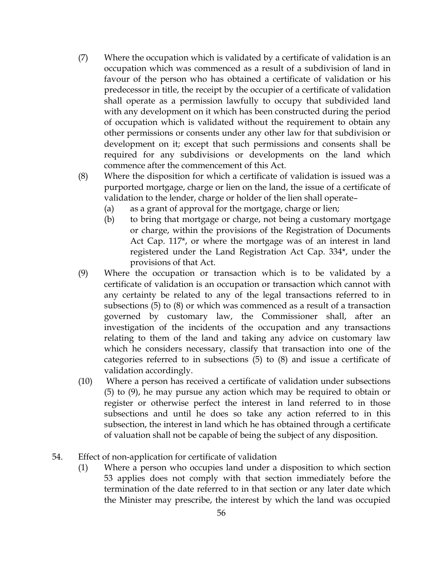- (7) Where the occupation which is validated by a certificate of validation is an occupation which was commenced as a result of a subdivision of land in favour of the person who has obtained a certificate of validation or his predecessor in title, the receipt by the occupier of a certificate of validation shall operate as a permission lawfully to occupy that subdivided land with any development on it which has been constructed during the period of occupation which is validated without the requirement to obtain any other permissions or consents under any other law for that subdivision or development on it; except that such permissions and consents shall be required for any subdivisions or developments on the land which commence after the commencement of this Act.
- (8) Where the disposition for which a certificate of validation is issued was a purported mortgage, charge or lien on the land, the issue of a certificate of validation to the lender, charge or holder of the lien shall operate–
	- (a) as a grant of approval for the mortgage, charge or lien;
	- (b) to bring that mortgage or charge, not being a customary mortgage or charge, within the provisions of the Registration of Documents Act Cap. 117\*, or where the mortgage was of an interest in land registered under the Land Registration Act Cap. 334\*, under the provisions of that Act.
- (9) Where the occupation or transaction which is to be validated by a certificate of validation is an occupation or transaction which cannot with any certainty be related to any of the legal transactions referred to in subsections (5) to (8) or which was commenced as a result of a transaction governed by customary law, the Commissioner shall, after an investigation of the incidents of the occupation and any transactions relating to them of the land and taking any advice on customary law which he considers necessary, classify that transaction into one of the categories referred to in subsections (5) to (8) and issue a certificate of validation accordingly.
- (10) Where a person has received a certificate of validation under subsections (5) to (9), he may pursue any action which may be required to obtain or register or otherwise perfect the interest in land referred to in those subsections and until he does so take any action referred to in this subsection, the interest in land which he has obtained through a certificate of valuation shall not be capable of being the subject of any disposition.
- 54. Effect of non-application for certificate of validation
	- (1) Where a person who occupies land under a disposition to which section 53 applies does not comply with that section immediately before the termination of the date referred to in that section or any later date which the Minister may prescribe, the interest by which the land was occupied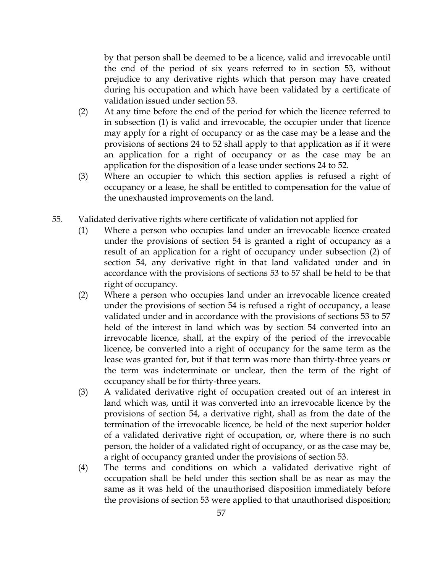by that person shall be deemed to be a licence, valid and irrevocable until the end of the period of six years referred to in section 53, without prejudice to any derivative rights which that person may have created during his occupation and which have been validated by a certificate of validation issued under section 53.

- (2) At any time before the end of the period for which the licence referred to in subsection (1) is valid and irrevocable, the occupier under that licence may apply for a right of occupancy or as the case may be a lease and the provisions of sections 24 to 52 shall apply to that application as if it were an application for a right of occupancy or as the case may be an application for the disposition of a lease under sections 24 to 52.
- (3) Where an occupier to which this section applies is refused a right of occupancy or a lease, he shall be entitled to compensation for the value of the unexhausted improvements on the land.
- 55. Validated derivative rights where certificate of validation not applied for
	- (1) Where a person who occupies land under an irrevocable licence created under the provisions of section 54 is granted a right of occupancy as a result of an application for a right of occupancy under subsection (2) of section 54, any derivative right in that land validated under and in accordance with the provisions of sections 53 to 57 shall be held to be that right of occupancy.
	- (2) Where a person who occupies land under an irrevocable licence created under the provisions of section 54 is refused a right of occupancy, a lease validated under and in accordance with the provisions of sections 53 to 57 held of the interest in land which was by section 54 converted into an irrevocable licence, shall, at the expiry of the period of the irrevocable licence, be converted into a right of occupancy for the same term as the lease was granted for, but if that term was more than thirty-three years or the term was indeterminate or unclear, then the term of the right of occupancy shall be for thirty-three years.
	- (3) A validated derivative right of occupation created out of an interest in land which was, until it was converted into an irrevocable licence by the provisions of section 54, a derivative right, shall as from the date of the termination of the irrevocable licence, be held of the next superior holder of a validated derivative right of occupation, or, where there is no such person, the holder of a validated right of occupancy, or as the case may be, a right of occupancy granted under the provisions of section 53.
	- (4) The terms and conditions on which a validated derivative right of occupation shall be held under this section shall be as near as may the same as it was held of the unauthorised disposition immediately before the provisions of section 53 were applied to that unauthorised disposition;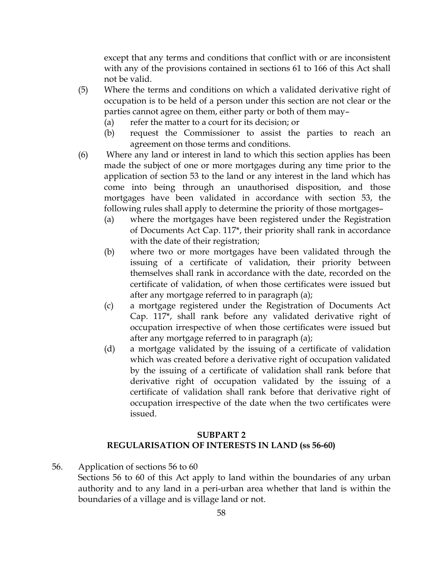except that any terms and conditions that conflict with or are inconsistent with any of the provisions contained in sections 61 to 166 of this Act shall not be valid.

- (5) Where the terms and conditions on which a validated derivative right of occupation is to be held of a person under this section are not clear or the parties cannot agree on them, either party or both of them may–
	- (a) refer the matter to a court for its decision; or
	- (b) request the Commissioner to assist the parties to reach an agreement on those terms and conditions.
- (6) Where any land or interest in land to which this section applies has been made the subject of one or more mortgages during any time prior to the application of section 53 to the land or any interest in the land which has come into being through an unauthorised disposition, and those mortgages have been validated in accordance with section 53, the following rules shall apply to determine the priority of those mortgages–
	- (a) where the mortgages have been registered under the Registration of Documents Act Cap. 117\*, their priority shall rank in accordance with the date of their registration;
	- (b) where two or more mortgages have been validated through the issuing of a certificate of validation, their priority between themselves shall rank in accordance with the date, recorded on the certificate of validation, of when those certificates were issued but after any mortgage referred to in paragraph (a);
	- (c) a mortgage registered under the Registration of Documents Act Cap. 117\*, shall rank before any validated derivative right of occupation irrespective of when those certificates were issued but after any mortgage referred to in paragraph (a);
	- (d) a mortgage validated by the issuing of a certificate of validation which was created before a derivative right of occupation validated by the issuing of a certificate of validation shall rank before that derivative right of occupation validated by the issuing of a certificate of validation shall rank before that derivative right of occupation irrespective of the date when the two certificates were issued.

#### SUBPART 2 REGULARISATION OF INTERESTS IN LAND (ss 56-60)

- 56. Application of sections 56 to 60
	- Sections 56 to 60 of this Act apply to land within the boundaries of any urban authority and to any land in a peri-urban area whether that land is within the boundaries of a village and is village land or not.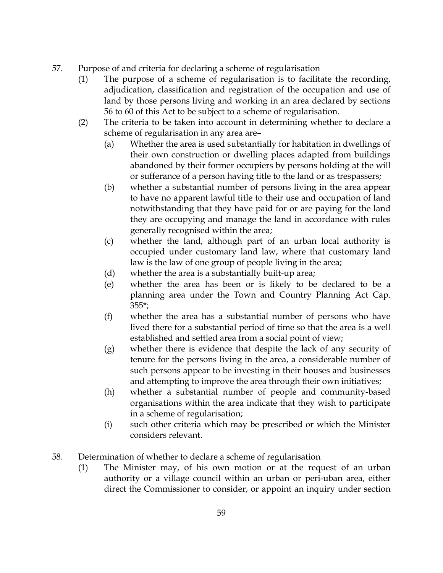- 57. Purpose of and criteria for declaring a scheme of regularisation
	- (1) The purpose of a scheme of regularisation is to facilitate the recording, adjudication, classification and registration of the occupation and use of land by those persons living and working in an area declared by sections 56 to 60 of this Act to be subject to a scheme of regularisation.
	- (2) The criteria to be taken into account in determining whether to declare a scheme of regularisation in any area are–
		- (a) Whether the area is used substantially for habitation in dwellings of their own construction or dwelling places adapted from buildings abandoned by their former occupiers by persons holding at the will or sufferance of a person having title to the land or as trespassers;
		- (b) whether a substantial number of persons living in the area appear to have no apparent lawful title to their use and occupation of land notwithstanding that they have paid for or are paying for the land they are occupying and manage the land in accordance with rules generally recognised within the area;
		- (c) whether the land, although part of an urban local authority is occupied under customary land law, where that customary land law is the law of one group of people living in the area;
		- (d) whether the area is a substantially built-up area;
		- (e) whether the area has been or is likely to be declared to be a planning area under the Town and Country Planning Act Cap. 355\*;
		- (f) whether the area has a substantial number of persons who have lived there for a substantial period of time so that the area is a well established and settled area from a social point of view;
		- (g) whether there is evidence that despite the lack of any security of tenure for the persons living in the area, a considerable number of such persons appear to be investing in their houses and businesses and attempting to improve the area through their own initiatives;
		- (h) whether a substantial number of people and community-based organisations within the area indicate that they wish to participate in a scheme of regularisation;
		- (i) such other criteria which may be prescribed or which the Minister considers relevant.
- 58. Determination of whether to declare a scheme of regularisation
	- (1) The Minister may, of his own motion or at the request of an urban authority or a village council within an urban or peri-uban area, either direct the Commissioner to consider, or appoint an inquiry under section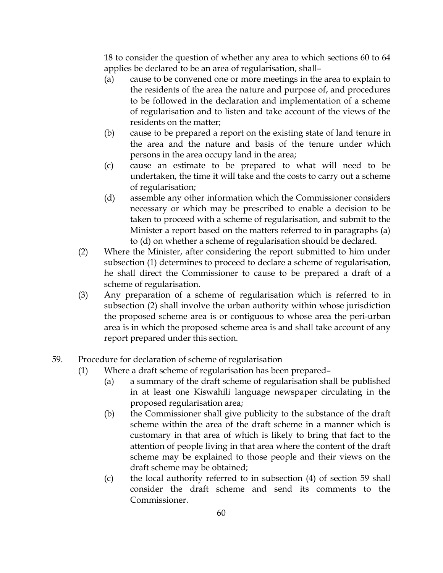18 to consider the question of whether any area to which sections 60 to 64 applies be declared to be an area of regularisation, shall–

- (a) cause to be convened one or more meetings in the area to explain to the residents of the area the nature and purpose of, and procedures to be followed in the declaration and implementation of a scheme of regularisation and to listen and take account of the views of the residents on the matter;
- (b) cause to be prepared a report on the existing state of land tenure in the area and the nature and basis of the tenure under which persons in the area occupy land in the area;
- (c) cause an estimate to be prepared to what will need to be undertaken, the time it will take and the costs to carry out a scheme of regularisation;
- (d) assemble any other information which the Commissioner considers necessary or which may be prescribed to enable a decision to be taken to proceed with a scheme of regularisation, and submit to the Minister a report based on the matters referred to in paragraphs (a) to (d) on whether a scheme of regularisation should be declared.
- (2) Where the Minister, after considering the report submitted to him under subsection (1) determines to proceed to declare a scheme of regularisation, he shall direct the Commissioner to cause to be prepared a draft of a scheme of regularisation.
- (3) Any preparation of a scheme of regularisation which is referred to in subsection (2) shall involve the urban authority within whose jurisdiction the proposed scheme area is or contiguous to whose area the peri-urban area is in which the proposed scheme area is and shall take account of any report prepared under this section.
- 59. Procedure for declaration of scheme of regularisation
	- (1) Where a draft scheme of regularisation has been prepared–
		- (a) a summary of the draft scheme of regularisation shall be published in at least one Kiswahili language newspaper circulating in the proposed regularisation area;
		- (b) the Commissioner shall give publicity to the substance of the draft scheme within the area of the draft scheme in a manner which is customary in that area of which is likely to bring that fact to the attention of people living in that area where the content of the draft scheme may be explained to those people and their views on the draft scheme may be obtained;
		- (c) the local authority referred to in subsection (4) of section 59 shall consider the draft scheme and send its comments to the Commissioner.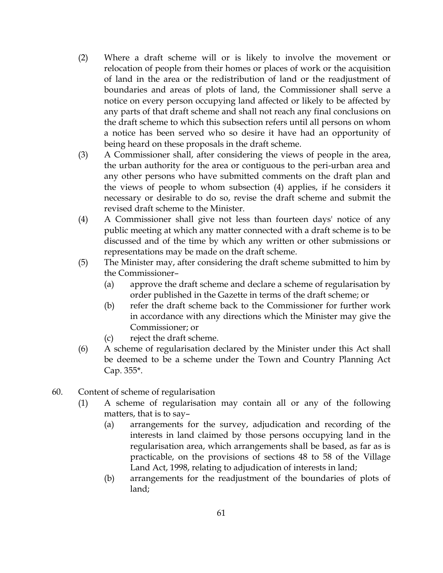- (2) Where a draft scheme will or is likely to involve the movement or relocation of people from their homes or places of work or the acquisition of land in the area or the redistribution of land or the readjustment of boundaries and areas of plots of land, the Commissioner shall serve a notice on every person occupying land affected or likely to be affected by any parts of that draft scheme and shall not reach any final conclusions on the draft scheme to which this subsection refers until all persons on whom a notice has been served who so desire it have had an opportunity of being heard on these proposals in the draft scheme.
- (3) A Commissioner shall, after considering the views of people in the area, the urban authority for the area or contiguous to the peri-urban area and any other persons who have submitted comments on the draft plan and the views of people to whom subsection (4) applies, if he considers it necessary or desirable to do so, revise the draft scheme and submit the revised draft scheme to the Minister.
- (4) A Commissioner shall give not less than fourteen days' notice of any public meeting at which any matter connected with a draft scheme is to be discussed and of the time by which any written or other submissions or representations may be made on the draft scheme.
- (5) The Minister may, after considering the draft scheme submitted to him by the Commissioner–
	- (a) approve the draft scheme and declare a scheme of regularisation by order published in the Gazette in terms of the draft scheme; or
	- (b) refer the draft scheme back to the Commissioner for further work in accordance with any directions which the Minister may give the Commissioner; or
	- (c) reject the draft scheme.
- (6) A scheme of regularisation declared by the Minister under this Act shall be deemed to be a scheme under the Town and Country Planning Act Cap. 355\*.
- 60. Content of scheme of regularisation
	- (1) A scheme of regularisation may contain all or any of the following matters, that is to say–
		- (a) arrangements for the survey, adjudication and recording of the interests in land claimed by those persons occupying land in the regularisation area, which arrangements shall be based, as far as is practicable, on the provisions of sections 48 to 58 of the Village Land Act, 1998, relating to adjudication of interests in land;
		- (b) arrangements for the readjustment of the boundaries of plots of land;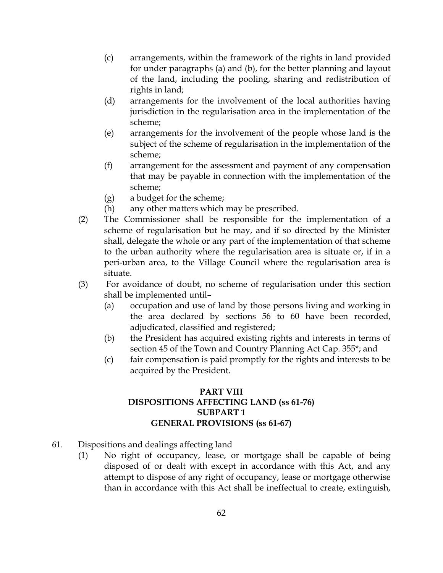- (c) arrangements, within the framework of the rights in land provided for under paragraphs (a) and (b), for the better planning and layout of the land, including the pooling, sharing and redistribution of rights in land;
- (d) arrangements for the involvement of the local authorities having jurisdiction in the regularisation area in the implementation of the scheme;
- (e) arrangements for the involvement of the people whose land is the subject of the scheme of regularisation in the implementation of the scheme;
- (f) arrangement for the assessment and payment of any compensation that may be payable in connection with the implementation of the scheme;
- (g) a budget for the scheme;
- (h) any other matters which may be prescribed.
- (2) The Commissioner shall be responsible for the implementation of a scheme of regularisation but he may, and if so directed by the Minister shall, delegate the whole or any part of the implementation of that scheme to the urban authority where the regularisation area is situate or, if in a peri-urban area, to the Village Council where the regularisation area is situate.
- (3) For avoidance of doubt, no scheme of regularisation under this section shall be implemented until–
	- (a) occupation and use of land by those persons living and working in the area declared by sections 56 to 60 have been recorded, adjudicated, classified and registered;
	- (b) the President has acquired existing rights and interests in terms of section 45 of the Town and Country Planning Act Cap. 355\*; and
	- (c) fair compensation is paid promptly for the rights and interests to be acquired by the President.

### PART VIII DISPOSITIONS AFFECTING LAND (ss 61-76) SUBPART 1 GENERAL PROVISIONS (ss 61-67)

- 61. Dispositions and dealings affecting land
	- (1) No right of occupancy, lease, or mortgage shall be capable of being disposed of or dealt with except in accordance with this Act, and any attempt to dispose of any right of occupancy, lease or mortgage otherwise than in accordance with this Act shall be ineffectual to create, extinguish,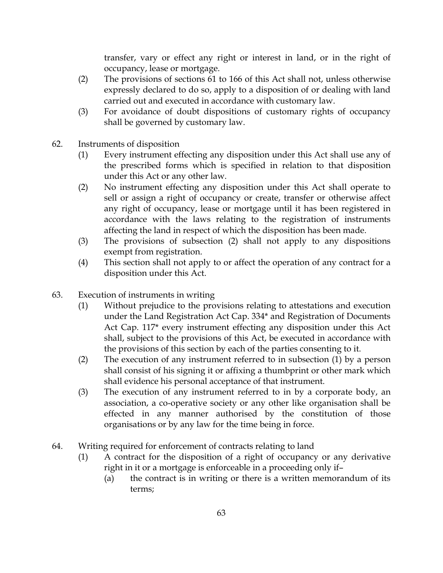transfer, vary or effect any right or interest in land, or in the right of occupancy, lease or mortgage.

- (2) The provisions of sections 61 to 166 of this Act shall not, unless otherwise expressly declared to do so, apply to a disposition of or dealing with land carried out and executed in accordance with customary law.
- (3) For avoidance of doubt dispositions of customary rights of occupancy shall be governed by customary law.
- 62. Instruments of disposition
	- (1) Every instrument effecting any disposition under this Act shall use any of the prescribed forms which is specified in relation to that disposition under this Act or any other law.
	- (2) No instrument effecting any disposition under this Act shall operate to sell or assign a right of occupancy or create, transfer or otherwise affect any right of occupancy, lease or mortgage until it has been registered in accordance with the laws relating to the registration of instruments affecting the land in respect of which the disposition has been made.
	- (3) The provisions of subsection (2) shall not apply to any dispositions exempt from registration.
	- (4) This section shall not apply to or affect the operation of any contract for a disposition under this Act.
- 63. Execution of instruments in writing
	- (1) Without prejudice to the provisions relating to attestations and execution under the Land Registration Act Cap. 334\* and Registration of Documents Act Cap. 117\* every instrument effecting any disposition under this Act shall, subject to the provisions of this Act, be executed in accordance with the provisions of this section by each of the parties consenting to it.
	- (2) The execution of any instrument referred to in subsection (1) by a person shall consist of his signing it or affixing a thumbprint or other mark which shall evidence his personal acceptance of that instrument.
	- (3) The execution of any instrument referred to in by a corporate body, an association, a co-operative society or any other like organisation shall be effected in any manner authorised by the constitution of those organisations or by any law for the time being in force.
- 64. Writing required for enforcement of contracts relating to land
	- (1) A contract for the disposition of a right of occupancy or any derivative right in it or a mortgage is enforceable in a proceeding only if–
		- (a) the contract is in writing or there is a written memorandum of its terms;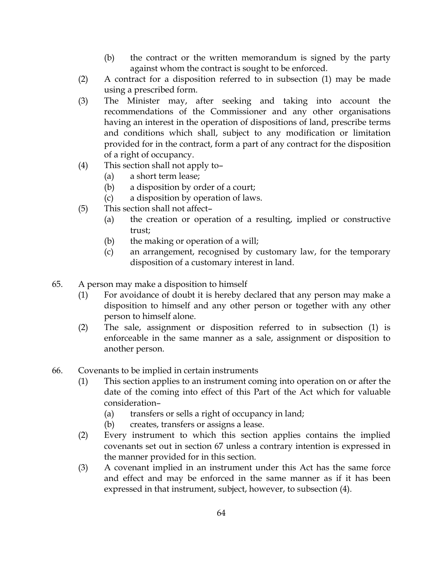- (b) the contract or the written memorandum is signed by the party against whom the contract is sought to be enforced.
- (2) A contract for a disposition referred to in subsection (1) may be made using a prescribed form.
- (3) The Minister may, after seeking and taking into account the recommendations of the Commissioner and any other organisations having an interest in the operation of dispositions of land, prescribe terms and conditions which shall, subject to any modification or limitation provided for in the contract, form a part of any contract for the disposition of a right of occupancy.
- (4) This section shall not apply to–
	- (a) a short term lease;
	- (b) a disposition by order of a court;
	- (c) a disposition by operation of laws.
- (5) This section shall not affect–
	- (a) the creation or operation of a resulting, implied or constructive trust;
	- (b) the making or operation of a will;
	- (c) an arrangement, recognised by customary law, for the temporary disposition of a customary interest in land.
- 65. A person may make a disposition to himself
	- (1) For avoidance of doubt it is hereby declared that any person may make a disposition to himself and any other person or together with any other person to himself alone.
	- (2) The sale, assignment or disposition referred to in subsection (1) is enforceable in the same manner as a sale, assignment or disposition to another person.
- 66. Covenants to be implied in certain instruments
	- (1) This section applies to an instrument coming into operation on or after the date of the coming into effect of this Part of the Act which for valuable consideration–
		- (a) transfers or sells a right of occupancy in land;
		- (b) creates, transfers or assigns a lease.
	- (2) Every instrument to which this section applies contains the implied covenants set out in section 67 unless a contrary intention is expressed in the manner provided for in this section.
	- (3) A covenant implied in an instrument under this Act has the same force and effect and may be enforced in the same manner as if it has been expressed in that instrument, subject, however, to subsection (4).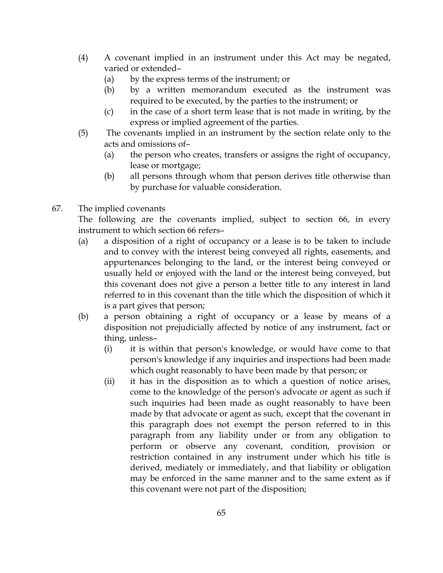- (4) A covenant implied in an instrument under this Act may be negated, varied or extended–
	- (a) by the express terms of the instrument; or
	- (b) by a written memorandum executed as the instrument was required to be executed, by the parties to the instrument; or
	- (c) in the case of a short term lease that is not made in writing, by the express or implied agreement of the parties.
- (5) The covenants implied in an instrument by the section relate only to the acts and omissions of–
	- (a) the person who creates, transfers or assigns the right of occupancy, lease or mortgage;
	- (b) all persons through whom that person derives title otherwise than by purchase for valuable consideration.
- 67. The implied covenants

The following are the covenants implied, subject to section 66, in every instrument to which section 66 refers–

- (a) a disposition of a right of occupancy or a lease is to be taken to include and to convey with the interest being conveyed all rights, easements, and appurtenances belonging to the land, or the interest being conveyed or usually held or enjoyed with the land or the interest being conveyed, but this covenant does not give a person a better title to any interest in land referred to in this covenant than the title which the disposition of which it is a part gives that person;
- (b) a person obtaining a right of occupancy or a lease by means of a disposition not prejudicially affected by notice of any instrument, fact or thing, unless–
	- (i) it is within that person's knowledge, or would have come to that person's knowledge if any inquiries and inspections had been made which ought reasonably to have been made by that person; or
	- (ii) it has in the disposition as to which a question of notice arises, come to the knowledge of the person's advocate or agent as such if such inquiries had been made as ought reasonably to have been made by that advocate or agent as such, except that the covenant in this paragraph does not exempt the person referred to in this paragraph from any liability under or from any obligation to perform or observe any covenant, condition, provision or restriction contained in any instrument under which his title is derived, mediately or immediately, and that liability or obligation may be enforced in the same manner and to the same extent as if this covenant were not part of the disposition;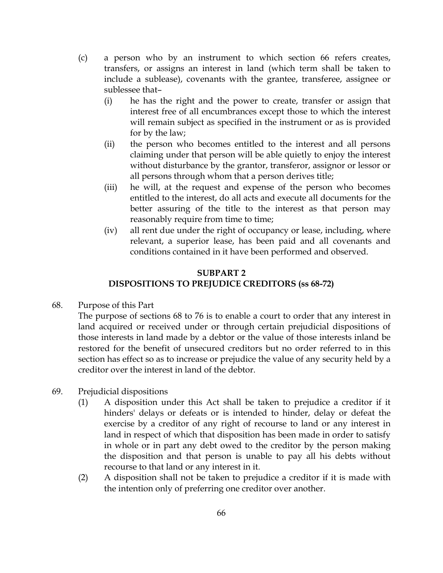- (c) a person who by an instrument to which section 66 refers creates, transfers, or assigns an interest in land (which term shall be taken to include a sublease), covenants with the grantee, transferee, assignee or sublessee that–
	- (i) he has the right and the power to create, transfer or assign that interest free of all encumbrances except those to which the interest will remain subject as specified in the instrument or as is provided for by the law;
	- (ii) the person who becomes entitled to the interest and all persons claiming under that person will be able quietly to enjoy the interest without disturbance by the grantor, transferor, assignor or lessor or all persons through whom that a person derives title;
	- (iii) he will, at the request and expense of the person who becomes entitled to the interest, do all acts and execute all documents for the better assuring of the title to the interest as that person may reasonably require from time to time;
	- (iv) all rent due under the right of occupancy or lease, including, where relevant, a superior lease, has been paid and all covenants and conditions contained in it have been performed and observed.

# SUBPART 2 DISPOSITIONS TO PREJUDICE CREDITORS (ss 68-72)

68. Purpose of this Part

The purpose of sections 68 to 76 is to enable a court to order that any interest in land acquired or received under or through certain prejudicial dispositions of those interests in land made by a debtor or the value of those interests inland be restored for the benefit of unsecured creditors but no order referred to in this section has effect so as to increase or prejudice the value of any security held by a creditor over the interest in land of the debtor.

- 69. Prejudicial dispositions
	- (1) A disposition under this Act shall be taken to prejudice a creditor if it hinders' delays or defeats or is intended to hinder, delay or defeat the exercise by a creditor of any right of recourse to land or any interest in land in respect of which that disposition has been made in order to satisfy in whole or in part any debt owed to the creditor by the person making the disposition and that person is unable to pay all his debts without recourse to that land or any interest in it.
	- (2) A disposition shall not be taken to prejudice a creditor if it is made with the intention only of preferring one creditor over another.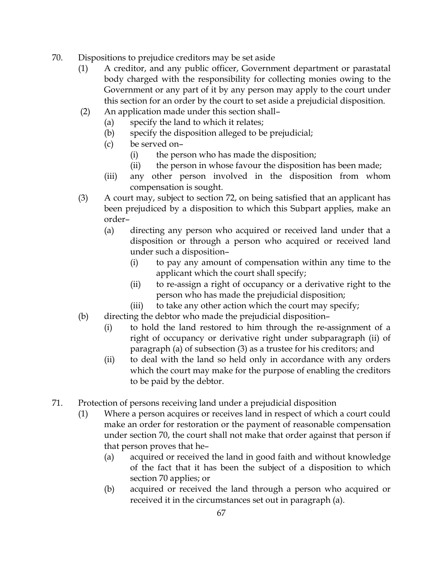- 70. Dispositions to prejudice creditors may be set aside
	- (1) A creditor, and any public officer, Government department or parastatal body charged with the responsibility for collecting monies owing to the Government or any part of it by any person may apply to the court under this section for an order by the court to set aside a prejudicial disposition.
	- (2) An application made under this section shall–
		- (a) specify the land to which it relates;
		- (b) specify the disposition alleged to be prejudicial;
		- (c) be served on–
			- (i) the person who has made the disposition;
			- (ii) the person in whose favour the disposition has been made;
		- (iii) any other person involved in the disposition from whom compensation is sought.
	- (3) A court may, subject to section 72, on being satisfied that an applicant has been prejudiced by a disposition to which this Subpart applies, make an order–
		- (a) directing any person who acquired or received land under that a disposition or through a person who acquired or received land under such a disposition–
			- (i) to pay any amount of compensation within any time to the applicant which the court shall specify;
			- (ii) to re-assign a right of occupancy or a derivative right to the person who has made the prejudicial disposition;
			- (iii) to take any other action which the court may specify;
	- (b) directing the debtor who made the prejudicial disposition–
		- (i) to hold the land restored to him through the re-assignment of a right of occupancy or derivative right under subparagraph (ii) of paragraph (a) of subsection (3) as a trustee for his creditors; and
		- (ii) to deal with the land so held only in accordance with any orders which the court may make for the purpose of enabling the creditors to be paid by the debtor.
- 71. Protection of persons receiving land under a prejudicial disposition
	- (1) Where a person acquires or receives land in respect of which a court could make an order for restoration or the payment of reasonable compensation under section 70, the court shall not make that order against that person if that person proves that he–
		- (a) acquired or received the land in good faith and without knowledge of the fact that it has been the subject of a disposition to which section 70 applies; or
		- (b) acquired or received the land through a person who acquired or received it in the circumstances set out in paragraph (a).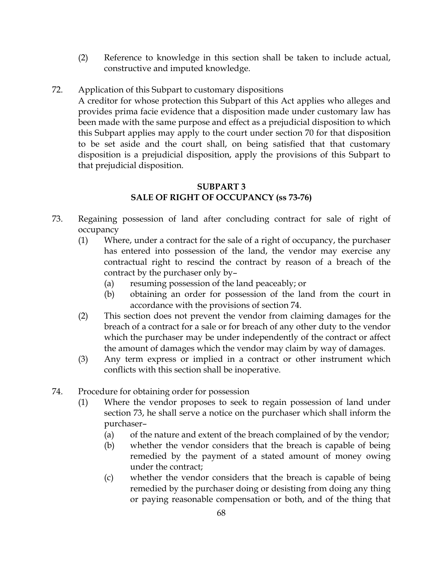- (2) Reference to knowledge in this section shall be taken to include actual, constructive and imputed knowledge.
- 72. Application of this Subpart to customary dispositions

A creditor for whose protection this Subpart of this Act applies who alleges and provides prima facie evidence that a disposition made under customary law has been made with the same purpose and effect as a prejudicial disposition to which this Subpart applies may apply to the court under section 70 for that disposition to be set aside and the court shall, on being satisfied that that customary disposition is a prejudicial disposition, apply the provisions of this Subpart to that prejudicial disposition.

# SUBPART 3 SALE OF RIGHT OF OCCUPANCY (ss 73-76)

- 73. Regaining possession of land after concluding contract for sale of right of occupancy
	- (1) Where, under a contract for the sale of a right of occupancy, the purchaser has entered into possession of the land, the vendor may exercise any contractual right to rescind the contract by reason of a breach of the contract by the purchaser only by–
		- (a) resuming possession of the land peaceably; or
		- (b) obtaining an order for possession of the land from the court in accordance with the provisions of section 74.
	- (2) This section does not prevent the vendor from claiming damages for the breach of a contract for a sale or for breach of any other duty to the vendor which the purchaser may be under independently of the contract or affect the amount of damages which the vendor may claim by way of damages.
	- (3) Any term express or implied in a contract or other instrument which conflicts with this section shall be inoperative.
- 74. Procedure for obtaining order for possession
	- (1) Where the vendor proposes to seek to regain possession of land under section 73, he shall serve a notice on the purchaser which shall inform the purchaser–
		- (a) of the nature and extent of the breach complained of by the vendor;
		- (b) whether the vendor considers that the breach is capable of being remedied by the payment of a stated amount of money owing under the contract;
		- (c) whether the vendor considers that the breach is capable of being remedied by the purchaser doing or desisting from doing any thing or paying reasonable compensation or both, and of the thing that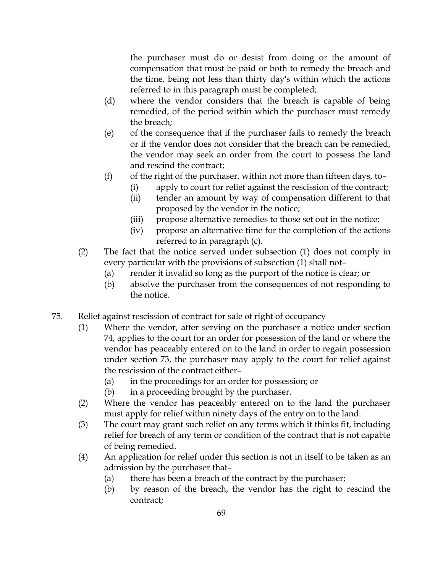the purchaser must do or desist from doing or the amount of compensation that must be paid or both to remedy the breach and the time, being not less than thirty day's within which the actions referred to in this paragraph must be completed;

- (d) where the vendor considers that the breach is capable of being remedied, of the period within which the purchaser must remedy the breach;
- (e) of the consequence that if the purchaser fails to remedy the breach or if the vendor does not consider that the breach can be remedied, the vendor may seek an order from the court to possess the land and rescind the contract;
- (f) of the right of the purchaser, within not more than fifteen days, to-
	- (i) apply to court for relief against the rescission of the contract;
	- (ii) tender an amount by way of compensation different to that proposed by the vendor in the notice;
	- (iii) propose alternative remedies to those set out in the notice;
	- (iv) propose an alternative time for the completion of the actions referred to in paragraph (c).
- (2) The fact that the notice served under subsection (1) does not comply in every particular with the provisions of subsection (1) shall not–
	- (a) render it invalid so long as the purport of the notice is clear; or
	- (b) absolve the purchaser from the consequences of not responding to the notice.
- 75. Relief against rescission of contract for sale of right of occupancy
	- (1) Where the vendor, after serving on the purchaser a notice under section 74, applies to the court for an order for possession of the land or where the vendor has peaceably entered on to the land in order to regain possession under section 73, the purchaser may apply to the court for relief against the rescission of the contract either–
		- (a) in the proceedings for an order for possession; or
		- (b) in a proceeding brought by the purchaser.
	- (2) Where the vendor has peaceably entered on to the land the purchaser must apply for relief within ninety days of the entry on to the land.
	- (3) The court may grant such relief on any terms which it thinks fit, including relief for breach of any term or condition of the contract that is not capable of being remedied.
	- (4) An application for relief under this section is not in itself to be taken as an admission by the purchaser that–
		- (a) there has been a breach of the contract by the purchaser;
		- (b) by reason of the breach, the vendor has the right to rescind the contract;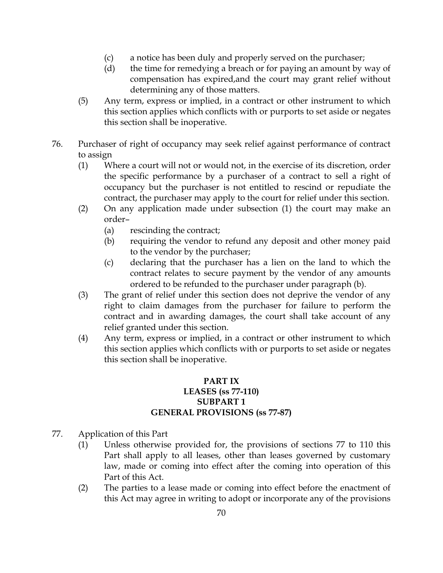- (c) a notice has been duly and properly served on the purchaser;
- (d) the time for remedying a breach or for paying an amount by way of compensation has expired,and the court may grant relief without determining any of those matters.
- (5) Any term, express or implied, in a contract or other instrument to which this section applies which conflicts with or purports to set aside or negates this section shall be inoperative.
- 76. Purchaser of right of occupancy may seek relief against performance of contract to assign
	- (1) Where a court will not or would not, in the exercise of its discretion, order the specific performance by a purchaser of a contract to sell a right of occupancy but the purchaser is not entitled to rescind or repudiate the contract, the purchaser may apply to the court for relief under this section.
	- (2) On any application made under subsection (1) the court may make an order–
		- (a) rescinding the contract;
		- (b) requiring the vendor to refund any deposit and other money paid to the vendor by the purchaser;
		- (c) declaring that the purchaser has a lien on the land to which the contract relates to secure payment by the vendor of any amounts ordered to be refunded to the purchaser under paragraph (b).
	- (3) The grant of relief under this section does not deprive the vendor of any right to claim damages from the purchaser for failure to perform the contract and in awarding damages, the court shall take account of any relief granted under this section.
	- (4) Any term, express or implied, in a contract or other instrument to which this section applies which conflicts with or purports to set aside or negates this section shall be inoperative.

# PART IX LEASES (ss 77-110) SUBPART 1 GENERAL PROVISIONS (ss 77-87)

- 77. Application of this Part
	- (1) Unless otherwise provided for, the provisions of sections 77 to 110 this Part shall apply to all leases, other than leases governed by customary law, made or coming into effect after the coming into operation of this Part of this Act.
	- (2) The parties to a lease made or coming into effect before the enactment of this Act may agree in writing to adopt or incorporate any of the provisions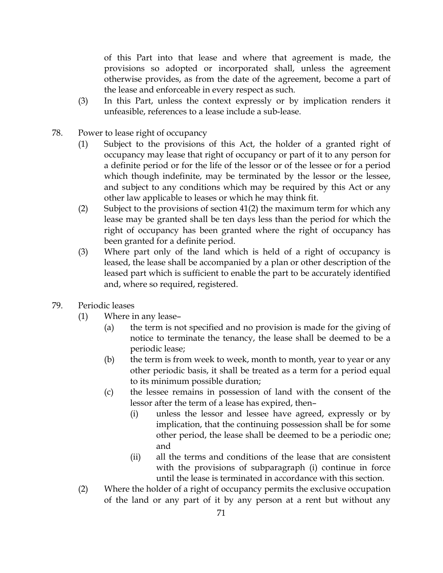of this Part into that lease and where that agreement is made, the provisions so adopted or incorporated shall, unless the agreement otherwise provides, as from the date of the agreement, become a part of the lease and enforceable in every respect as such.

- (3) In this Part, unless the context expressly or by implication renders it unfeasible, references to a lease include a sub-lease.
- 78. Power to lease right of occupancy
	- (1) Subject to the provisions of this Act, the holder of a granted right of occupancy may lease that right of occupancy or part of it to any person for a definite period or for the life of the lessor or of the lessee or for a period which though indefinite, may be terminated by the lessor or the lessee, and subject to any conditions which may be required by this Act or any other law applicable to leases or which he may think fit.
	- (2) Subject to the provisions of section 41(2) the maximum term for which any lease may be granted shall be ten days less than the period for which the right of occupancy has been granted where the right of occupancy has been granted for a definite period.
	- (3) Where part only of the land which is held of a right of occupancy is leased, the lease shall be accompanied by a plan or other description of the leased part which is sufficient to enable the part to be accurately identified and, where so required, registered.
- 79. Periodic leases
	- (1) Where in any lease–
		- (a) the term is not specified and no provision is made for the giving of notice to terminate the tenancy, the lease shall be deemed to be a periodic lease;
		- (b) the term is from week to week, month to month, year to year or any other periodic basis, it shall be treated as a term for a period equal to its minimum possible duration;
		- (c) the lessee remains in possession of land with the consent of the lessor after the term of a lease has expired, then–
			- (i) unless the lessor and lessee have agreed, expressly or by implication, that the continuing possession shall be for some other period, the lease shall be deemed to be a periodic one; and
			- (ii) all the terms and conditions of the lease that are consistent with the provisions of subparagraph (i) continue in force until the lease is terminated in accordance with this section.
	- (2) Where the holder of a right of occupancy permits the exclusive occupation of the land or any part of it by any person at a rent but without any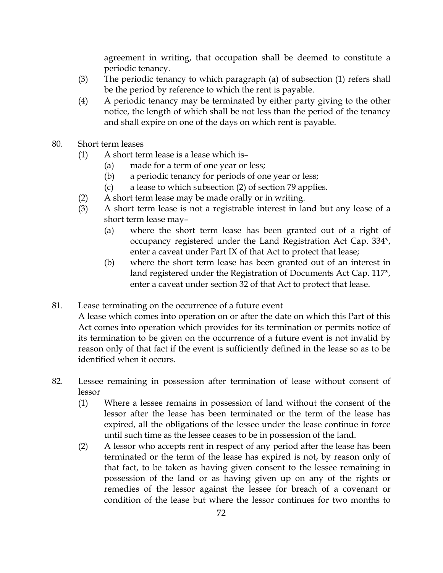agreement in writing, that occupation shall be deemed to constitute a periodic tenancy.

- (3) The periodic tenancy to which paragraph (a) of subsection (1) refers shall be the period by reference to which the rent is payable.
- (4) A periodic tenancy may be terminated by either party giving to the other notice, the length of which shall be not less than the period of the tenancy and shall expire on one of the days on which rent is payable.
- 80. Short term leases
	- (1) A short term lease is a lease which is–
		- (a) made for a term of one year or less;
		- (b) a periodic tenancy for periods of one year or less;
		- (c) a lease to which subsection (2) of section 79 applies.
	- (2) A short term lease may be made orally or in writing.
	- (3) A short term lease is not a registrable interest in land but any lease of a short term lease may–
		- (a) where the short term lease has been granted out of a right of occupancy registered under the Land Registration Act Cap. 334\*, enter a caveat under Part IX of that Act to protect that lease;
		- (b) where the short term lease has been granted out of an interest in land registered under the Registration of Documents Act Cap. 117\*, enter a caveat under section 32 of that Act to protect that lease.
- 81. Lease terminating on the occurrence of a future event
	- A lease which comes into operation on or after the date on which this Part of this Act comes into operation which provides for its termination or permits notice of its termination to be given on the occurrence of a future event is not invalid by reason only of that fact if the event is sufficiently defined in the lease so as to be identified when it occurs.
- 82. Lessee remaining in possession after termination of lease without consent of lessor
	- (1) Where a lessee remains in possession of land without the consent of the lessor after the lease has been terminated or the term of the lease has expired, all the obligations of the lessee under the lease continue in force until such time as the lessee ceases to be in possession of the land.
	- (2) A lessor who accepts rent in respect of any period after the lease has been terminated or the term of the lease has expired is not, by reason only of that fact, to be taken as having given consent to the lessee remaining in possession of the land or as having given up on any of the rights or remedies of the lessor against the lessee for breach of a covenant or condition of the lease but where the lessor continues for two months to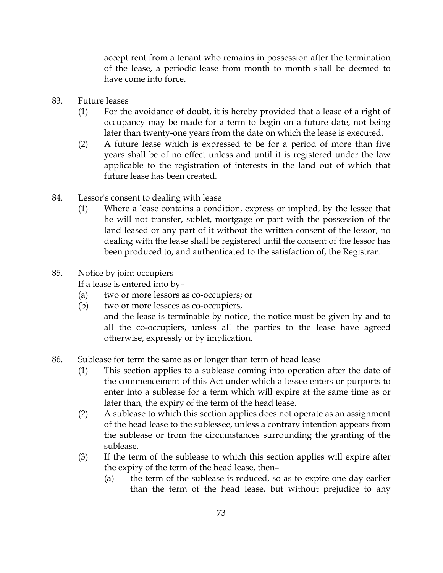accept rent from a tenant who remains in possession after the termination of the lease, a periodic lease from month to month shall be deemed to have come into force.

- 83. Future leases
	- (1) For the avoidance of doubt, it is hereby provided that a lease of a right of occupancy may be made for a term to begin on a future date, not being later than twenty-one years from the date on which the lease is executed.
	- (2) A future lease which is expressed to be for a period of more than five years shall be of no effect unless and until it is registered under the law applicable to the registration of interests in the land out of which that future lease has been created.
- 84. Lessor's consent to dealing with lease
	- (1) Where a lease contains a condition, express or implied, by the lessee that he will not transfer, sublet, mortgage or part with the possession of the land leased or any part of it without the written consent of the lessor, no dealing with the lease shall be registered until the consent of the lessor has been produced to, and authenticated to the satisfaction of, the Registrar.
- 85. Notice by joint occupiers

If a lease is entered into by–

- (a) two or more lessors as co-occupiers; or
- (b) two or more lessees as co-occupiers, and the lease is terminable by notice, the notice must be given by and to all the co-occupiers, unless all the parties to the lease have agreed otherwise, expressly or by implication.
- 86. Sublease for term the same as or longer than term of head lease
	- (1) This section applies to a sublease coming into operation after the date of the commencement of this Act under which a lessee enters or purports to enter into a sublease for a term which will expire at the same time as or later than, the expiry of the term of the head lease.
	- (2) A sublease to which this section applies does not operate as an assignment of the head lease to the sublessee, unless a contrary intention appears from the sublease or from the circumstances surrounding the granting of the sublease.
	- (3) If the term of the sublease to which this section applies will expire after the expiry of the term of the head lease, then–
		- (a) the term of the sublease is reduced, so as to expire one day earlier than the term of the head lease, but without prejudice to any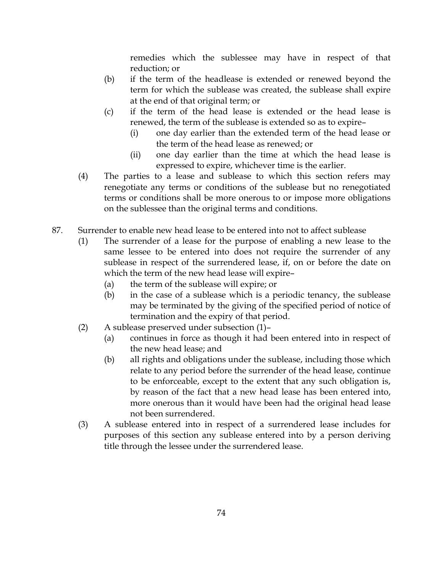remedies which the sublessee may have in respect of that reduction; or

- (b) if the term of the headlease is extended or renewed beyond the term for which the sublease was created, the sublease shall expire at the end of that original term; or
- (c) if the term of the head lease is extended or the head lease is renewed, the term of the sublease is extended so as to expire–
	- (i) one day earlier than the extended term of the head lease or the term of the head lease as renewed; or
	- (ii) one day earlier than the time at which the head lease is expressed to expire, whichever time is the earlier.
- (4) The parties to a lease and sublease to which this section refers may renegotiate any terms or conditions of the sublease but no renegotiated terms or conditions shall be more onerous to or impose more obligations on the sublessee than the original terms and conditions.
- 87. Surrender to enable new head lease to be entered into not to affect sublease
	- (1) The surrender of a lease for the purpose of enabling a new lease to the same lessee to be entered into does not require the surrender of any sublease in respect of the surrendered lease, if, on or before the date on which the term of the new head lease will expire–
		- (a) the term of the sublease will expire; or
		- (b) in the case of a sublease which is a periodic tenancy, the sublease may be terminated by the giving of the specified period of notice of termination and the expiry of that period.
	- (2) A sublease preserved under subsection (1)–
		- (a) continues in force as though it had been entered into in respect of the new head lease; and
		- (b) all rights and obligations under the sublease, including those which relate to any period before the surrender of the head lease, continue to be enforceable, except to the extent that any such obligation is, by reason of the fact that a new head lease has been entered into, more onerous than it would have been had the original head lease not been surrendered.
	- (3) A sublease entered into in respect of a surrendered lease includes for purposes of this section any sublease entered into by a person deriving title through the lessee under the surrendered lease.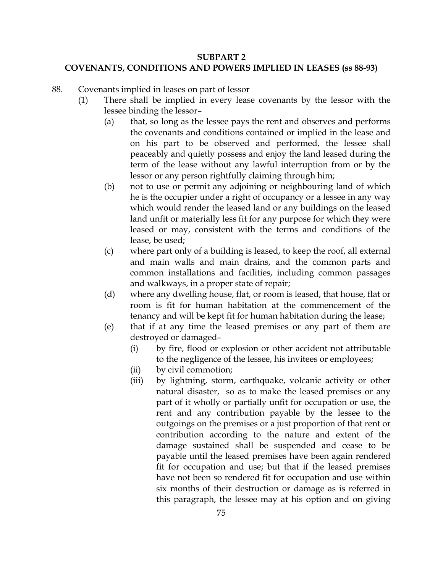## SUBPART 2

# COVENANTS, CONDITIONS AND POWERS IMPLIED IN LEASES (ss 88-93)

- 88. Covenants implied in leases on part of lessor
	- (1) There shall be implied in every lease covenants by the lessor with the lessee binding the lessor–
		- (a) that, so long as the lessee pays the rent and observes and performs the covenants and conditions contained or implied in the lease and on his part to be observed and performed, the lessee shall peaceably and quietly possess and enjoy the land leased during the term of the lease without any lawful interruption from or by the lessor or any person rightfully claiming through him;
		- (b) not to use or permit any adjoining or neighbouring land of which he is the occupier under a right of occupancy or a lessee in any way which would render the leased land or any buildings on the leased land unfit or materially less fit for any purpose for which they were leased or may, consistent with the terms and conditions of the lease, be used;
		- (c) where part only of a building is leased, to keep the roof, all external and main walls and main drains, and the common parts and common installations and facilities, including common passages and walkways, in a proper state of repair;
		- (d) where any dwelling house, flat, or room is leased, that house, flat or room is fit for human habitation at the commencement of the tenancy and will be kept fit for human habitation during the lease;
		- (e) that if at any time the leased premises or any part of them are destroyed or damaged–
			- (i) by fire, flood or explosion or other accident not attributable to the negligence of the lessee, his invitees or employees;
			- (ii) by civil commotion;
			- (iii) by lightning, storm, earthquake, volcanic activity or other natural disaster, so as to make the leased premises or any part of it wholly or partially unfit for occupation or use, the rent and any contribution payable by the lessee to the outgoings on the premises or a just proportion of that rent or contribution according to the nature and extent of the damage sustained shall be suspended and cease to be payable until the leased premises have been again rendered fit for occupation and use; but that if the leased premises have not been so rendered fit for occupation and use within six months of their destruction or damage as is referred in this paragraph, the lessee may at his option and on giving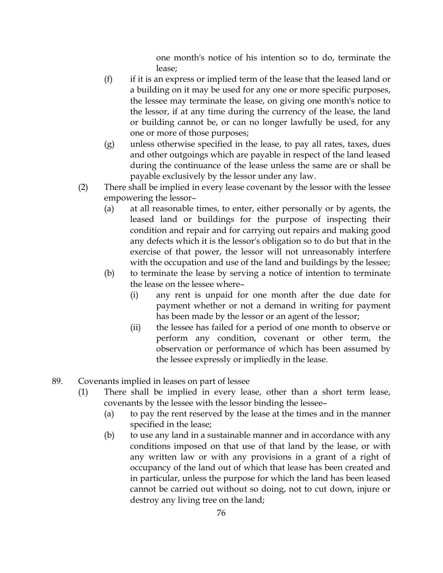one month's notice of his intention so to do, terminate the lease;

- (f) if it is an express or implied term of the lease that the leased land or a building on it may be used for any one or more specific purposes, the lessee may terminate the lease, on giving one month's notice to the lessor, if at any time during the currency of the lease, the land or building cannot be, or can no longer lawfully be used, for any one or more of those purposes;
- (g) unless otherwise specified in the lease, to pay all rates, taxes, dues and other outgoings which are payable in respect of the land leased during the continuance of the lease unless the same are or shall be payable exclusively by the lessor under any law.
- (2) There shall be implied in every lease covenant by the lessor with the lessee empowering the lessor–
	- (a) at all reasonable times, to enter, either personally or by agents, the leased land or buildings for the purpose of inspecting their condition and repair and for carrying out repairs and making good any defects which it is the lessor's obligation so to do but that in the exercise of that power, the lessor will not unreasonably interfere with the occupation and use of the land and buildings by the lessee;
	- (b) to terminate the lease by serving a notice of intention to terminate the lease on the lessee where–
		- (i) any rent is unpaid for one month after the due date for payment whether or not a demand in writing for payment has been made by the lessor or an agent of the lessor;
		- (ii) the lessee has failed for a period of one month to observe or perform any condition, covenant or other term, the observation or performance of which has been assumed by the lessee expressly or impliedly in the lease.
- 89. Covenants implied in leases on part of lessee
	- (1) There shall be implied in every lease, other than a short term lease, covenants by the lessee with the lessor binding the lessee–
		- (a) to pay the rent reserved by the lease at the times and in the manner specified in the lease;
		- (b) to use any land in a sustainable manner and in accordance with any conditions imposed on that use of that land by the lease, or with any written law or with any provisions in a grant of a right of occupancy of the land out of which that lease has been created and in particular, unless the purpose for which the land has been leased cannot be carried out without so doing, not to cut down, injure or destroy any living tree on the land;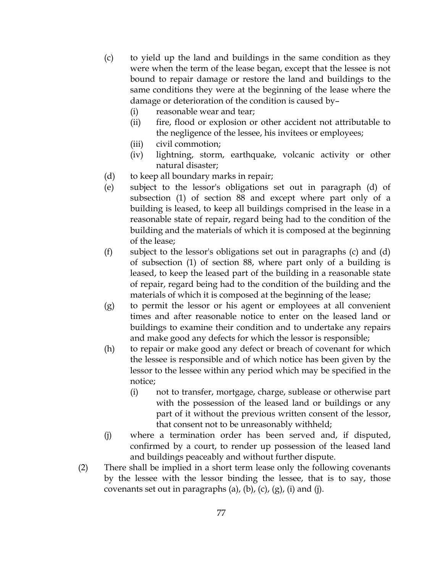- (c) to yield up the land and buildings in the same condition as they were when the term of the lease began, except that the lessee is not bound to repair damage or restore the land and buildings to the same conditions they were at the beginning of the lease where the damage or deterioration of the condition is caused by–
	- (i) reasonable wear and tear;
	- (ii) fire, flood or explosion or other accident not attributable to the negligence of the lessee, his invitees or employees;
	- (iii) civil commotion;
	- (iv) lightning, storm, earthquake, volcanic activity or other natural disaster;
- (d) to keep all boundary marks in repair;
- (e) subject to the lessor's obligations set out in paragraph (d) of subsection (1) of section 88 and except where part only of a building is leased, to keep all buildings comprised in the lease in a reasonable state of repair, regard being had to the condition of the building and the materials of which it is composed at the beginning of the lease;
- (f) subject to the lessor's obligations set out in paragraphs (c) and (d) of subsection (1) of section 88, where part only of a building is leased, to keep the leased part of the building in a reasonable state of repair, regard being had to the condition of the building and the materials of which it is composed at the beginning of the lease;
- (g) to permit the lessor or his agent or employees at all convenient times and after reasonable notice to enter on the leased land or buildings to examine their condition and to undertake any repairs and make good any defects for which the lessor is responsible;
- (h) to repair or make good any defect or breach of covenant for which the lessee is responsible and of which notice has been given by the lessor to the lessee within any period which may be specified in the notice;
	- (i) not to transfer, mortgage, charge, sublease or otherwise part with the possession of the leased land or buildings or any part of it without the previous written consent of the lessor, that consent not to be unreasonably withheld;
- (j) where a termination order has been served and, if disputed, confirmed by a court, to render up possession of the leased land and buildings peaceably and without further dispute.
- (2) There shall be implied in a short term lease only the following covenants by the lessee with the lessor binding the lessee, that is to say, those covenants set out in paragraphs (a), (b), (c), (g), (i) and (j).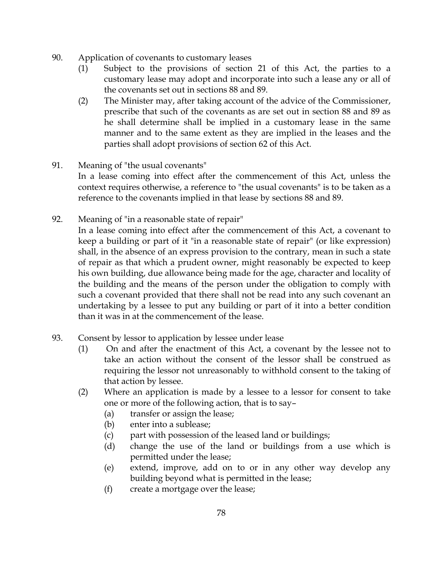- 90. Application of covenants to customary leases
	- (1) Subject to the provisions of section 21 of this Act, the parties to a customary lease may adopt and incorporate into such a lease any or all of the covenants set out in sections 88 and 89.
	- (2) The Minister may, after taking account of the advice of the Commissioner, prescribe that such of the covenants as are set out in section 88 and 89 as he shall determine shall be implied in a customary lease in the same manner and to the same extent as they are implied in the leases and the parties shall adopt provisions of section 62 of this Act.
- 91. Meaning of "the usual covenants"

In a lease coming into effect after the commencement of this Act, unless the context requires otherwise, a reference to "the usual covenants" is to be taken as a reference to the covenants implied in that lease by sections 88 and 89.

92. Meaning of "in a reasonable state of repair"

In a lease coming into effect after the commencement of this Act, a covenant to keep a building or part of it "in a reasonable state of repair" (or like expression) shall, in the absence of an express provision to the contrary, mean in such a state of repair as that which a prudent owner, might reasonably be expected to keep his own building, due allowance being made for the age, character and locality of the building and the means of the person under the obligation to comply with such a covenant provided that there shall not be read into any such covenant an undertaking by a lessee to put any building or part of it into a better condition than it was in at the commencement of the lease.

- 93. Consent by lessor to application by lessee under lease
	- (1) On and after the enactment of this Act, a covenant by the lessee not to take an action without the consent of the lessor shall be construed as requiring the lessor not unreasonably to withhold consent to the taking of that action by lessee.
	- (2) Where an application is made by a lessee to a lessor for consent to take one or more of the following action, that is to say–
		- (a) transfer or assign the lease;
		- (b) enter into a sublease;
		- (c) part with possession of the leased land or buildings;
		- (d) change the use of the land or buildings from a use which is permitted under the lease;
		- (e) extend, improve, add on to or in any other way develop any building beyond what is permitted in the lease;
		- (f) create a mortgage over the lease;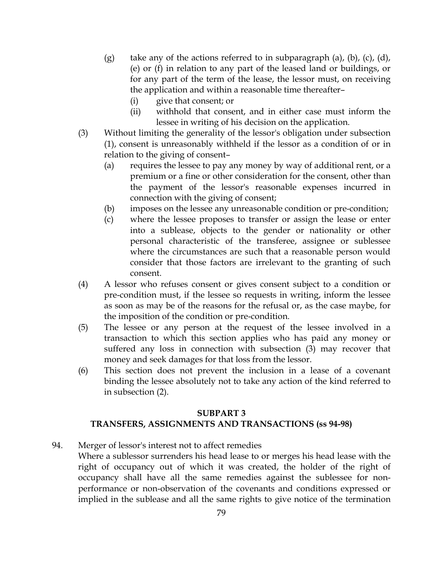- (g) take any of the actions referred to in subparagraph (a), (b), (c), (d), (e) or (f) in relation to any part of the leased land or buildings, or for any part of the term of the lease, the lessor must, on receiving the application and within a reasonable time thereafter–
	- (i) give that consent; or
	- (ii) withhold that consent, and in either case must inform the lessee in writing of his decision on the application.
- (3) Without limiting the generality of the lessor's obligation under subsection (1), consent is unreasonably withheld if the lessor as a condition of or in relation to the giving of consent–
	- (a) requires the lessee to pay any money by way of additional rent, or a premium or a fine or other consideration for the consent, other than the payment of the lessor's reasonable expenses incurred in connection with the giving of consent;
	- (b) imposes on the lessee any unreasonable condition or pre-condition;
	- (c) where the lessee proposes to transfer or assign the lease or enter into a sublease, objects to the gender or nationality or other personal characteristic of the transferee, assignee or sublessee where the circumstances are such that a reasonable person would consider that those factors are irrelevant to the granting of such consent.
- (4) A lessor who refuses consent or gives consent subject to a condition or pre-condition must, if the lessee so requests in writing, inform the lessee as soon as may be of the reasons for the refusal or, as the case maybe, for the imposition of the condition or pre-condition.
- (5) The lessee or any person at the request of the lessee involved in a transaction to which this section applies who has paid any money or suffered any loss in connection with subsection (3) may recover that money and seek damages for that loss from the lessor.
- (6) This section does not prevent the inclusion in a lease of a covenant binding the lessee absolutely not to take any action of the kind referred to in subsection (2).

#### SUBPART 3

## TRANSFERS, ASSIGNMENTS AND TRANSACTIONS (ss 94-98)

- 94. Merger of lessor's interest not to affect remedies
	- Where a sublessor surrenders his head lease to or merges his head lease with the right of occupancy out of which it was created, the holder of the right of occupancy shall have all the same remedies against the sublessee for nonperformance or non-observation of the covenants and conditions expressed or implied in the sublease and all the same rights to give notice of the termination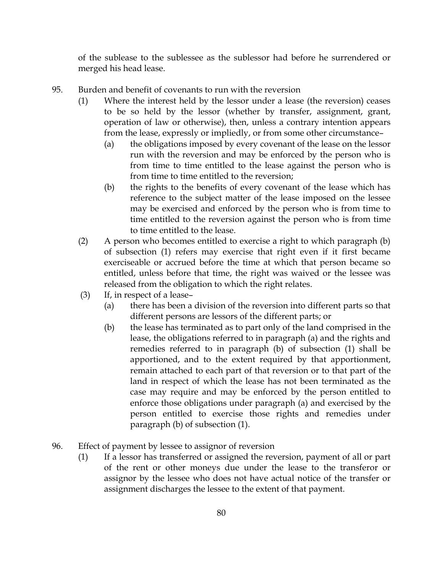of the sublease to the sublessee as the sublessor had before he surrendered or merged his head lease.

- 95. Burden and benefit of covenants to run with the reversion
	- (1) Where the interest held by the lessor under a lease (the reversion) ceases to be so held by the lessor (whether by transfer, assignment, grant, operation of law or otherwise), then, unless a contrary intention appears from the lease, expressly or impliedly, or from some other circumstance–
		- (a) the obligations imposed by every covenant of the lease on the lessor run with the reversion and may be enforced by the person who is from time to time entitled to the lease against the person who is from time to time entitled to the reversion;
		- (b) the rights to the benefits of every covenant of the lease which has reference to the subject matter of the lease imposed on the lessee may be exercised and enforced by the person who is from time to time entitled to the reversion against the person who is from time to time entitled to the lease.
	- (2) A person who becomes entitled to exercise a right to which paragraph (b) of subsection (1) refers may exercise that right even if it first became exerciseable or accrued before the time at which that person became so entitled, unless before that time, the right was waived or the lessee was released from the obligation to which the right relates.
	- (3) If, in respect of a lease–
		- (a) there has been a division of the reversion into different parts so that different persons are lessors of the different parts; or
		- (b) the lease has terminated as to part only of the land comprised in the lease, the obligations referred to in paragraph (a) and the rights and remedies referred to in paragraph (b) of subsection (1) shall be apportioned, and to the extent required by that apportionment, remain attached to each part of that reversion or to that part of the land in respect of which the lease has not been terminated as the case may require and may be enforced by the person entitled to enforce those obligations under paragraph (a) and exercised by the person entitled to exercise those rights and remedies under paragraph (b) of subsection (1).
- 96. Effect of payment by lessee to assignor of reversion
	- (1) If a lessor has transferred or assigned the reversion, payment of all or part of the rent or other moneys due under the lease to the transferor or assignor by the lessee who does not have actual notice of the transfer or assignment discharges the lessee to the extent of that payment.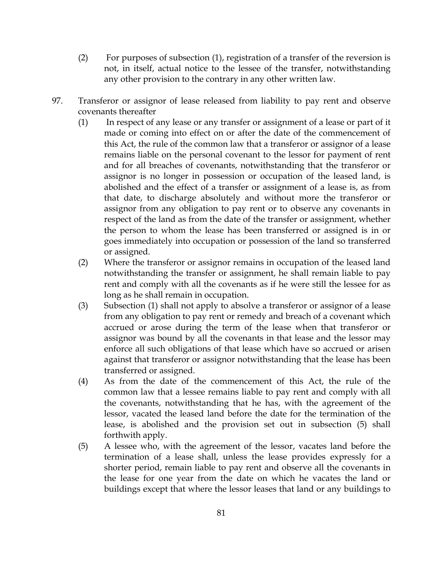- (2) For purposes of subsection (1), registration of a transfer of the reversion is not, in itself, actual notice to the lessee of the transfer, notwithstanding any other provision to the contrary in any other written law.
- 97. Transferor or assignor of lease released from liability to pay rent and observe covenants thereafter
	- (1) In respect of any lease or any transfer or assignment of a lease or part of it made or coming into effect on or after the date of the commencement of this Act, the rule of the common law that a transferor or assignor of a lease remains liable on the personal covenant to the lessor for payment of rent and for all breaches of covenants, notwithstanding that the transferor or assignor is no longer in possession or occupation of the leased land, is abolished and the effect of a transfer or assignment of a lease is, as from that date, to discharge absolutely and without more the transferor or assignor from any obligation to pay rent or to observe any covenants in respect of the land as from the date of the transfer or assignment, whether the person to whom the lease has been transferred or assigned is in or goes immediately into occupation or possession of the land so transferred or assigned.
	- (2) Where the transferor or assignor remains in occupation of the leased land notwithstanding the transfer or assignment, he shall remain liable to pay rent and comply with all the covenants as if he were still the lessee for as long as he shall remain in occupation.
	- (3) Subsection (1) shall not apply to absolve a transferor or assignor of a lease from any obligation to pay rent or remedy and breach of a covenant which accrued or arose during the term of the lease when that transferor or assignor was bound by all the covenants in that lease and the lessor may enforce all such obligations of that lease which have so accrued or arisen against that transferor or assignor notwithstanding that the lease has been transferred or assigned.
	- (4) As from the date of the commencement of this Act, the rule of the common law that a lessee remains liable to pay rent and comply with all the covenants, notwithstanding that he has, with the agreement of the lessor, vacated the leased land before the date for the termination of the lease, is abolished and the provision set out in subsection (5) shall forthwith apply.
	- (5) A lessee who, with the agreement of the lessor, vacates land before the termination of a lease shall, unless the lease provides expressly for a shorter period, remain liable to pay rent and observe all the covenants in the lease for one year from the date on which he vacates the land or buildings except that where the lessor leases that land or any buildings to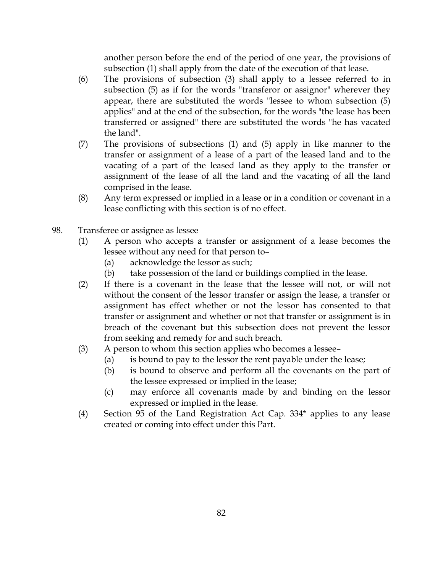another person before the end of the period of one year, the provisions of subsection (1) shall apply from the date of the execution of that lease.

- (6) The provisions of subsection (3) shall apply to a lessee referred to in subsection (5) as if for the words "transferor or assignor" wherever they appear, there are substituted the words "lessee to whom subsection (5) applies" and at the end of the subsection, for the words "the lease has been transferred or assigned" there are substituted the words "he has vacated the land".
- (7) The provisions of subsections (1) and (5) apply in like manner to the transfer or assignment of a lease of a part of the leased land and to the vacating of a part of the leased land as they apply to the transfer or assignment of the lease of all the land and the vacating of all the land comprised in the lease.
- (8) Any term expressed or implied in a lease or in a condition or covenant in a lease conflicting with this section is of no effect.
- 98. Transferee or assignee as lessee
	- (1) A person who accepts a transfer or assignment of a lease becomes the lessee without any need for that person to–
		- (a) acknowledge the lessor as such;
		- (b) take possession of the land or buildings complied in the lease.
	- (2) If there is a covenant in the lease that the lessee will not, or will not without the consent of the lessor transfer or assign the lease, a transfer or assignment has effect whether or not the lessor has consented to that transfer or assignment and whether or not that transfer or assignment is in breach of the covenant but this subsection does not prevent the lessor from seeking and remedy for and such breach.
	- (3) A person to whom this section applies who becomes a lessee–
		- (a) is bound to pay to the lessor the rent payable under the lease;
		- (b) is bound to observe and perform all the covenants on the part of the lessee expressed or implied in the lease;
		- (c) may enforce all covenants made by and binding on the lessor expressed or implied in the lease.
	- (4) Section 95 of the Land Registration Act Cap. 334\* applies to any lease created or coming into effect under this Part.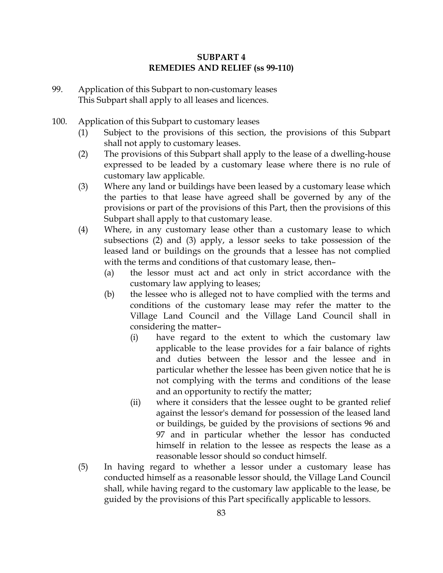## SUBPART 4 REMEDIES AND RELIEF (ss 99-110)

- 99. Application of this Subpart to non-customary leases This Subpart shall apply to all leases and licences.
- 100. Application of this Subpart to customary leases
	- (1) Subject to the provisions of this section, the provisions of this Subpart shall not apply to customary leases.
	- (2) The provisions of this Subpart shall apply to the lease of a dwelling-house expressed to be leaded by a customary lease where there is no rule of customary law applicable.
	- (3) Where any land or buildings have been leased by a customary lease which the parties to that lease have agreed shall be governed by any of the provisions or part of the provisions of this Part, then the provisions of this Subpart shall apply to that customary lease.
	- (4) Where, in any customary lease other than a customary lease to which subsections (2) and (3) apply, a lessor seeks to take possession of the leased land or buildings on the grounds that a lessee has not complied with the terms and conditions of that customary lease, then–
		- (a) the lessor must act and act only in strict accordance with the customary law applying to leases;
		- (b) the lessee who is alleged not to have complied with the terms and conditions of the customary lease may refer the matter to the Village Land Council and the Village Land Council shall in considering the matter–
			- (i) have regard to the extent to which the customary law applicable to the lease provides for a fair balance of rights and duties between the lessor and the lessee and in particular whether the lessee has been given notice that he is not complying with the terms and conditions of the lease and an opportunity to rectify the matter;
			- (ii) where it considers that the lessee ought to be granted relief against the lessor's demand for possession of the leased land or buildings, be guided by the provisions of sections 96 and 97 and in particular whether the lessor has conducted himself in relation to the lessee as respects the lease as a reasonable lessor should so conduct himself.
	- (5) In having regard to whether a lessor under a customary lease has conducted himself as a reasonable lessor should, the Village Land Council shall, while having regard to the customary law applicable to the lease, be guided by the provisions of this Part specifically applicable to lessors.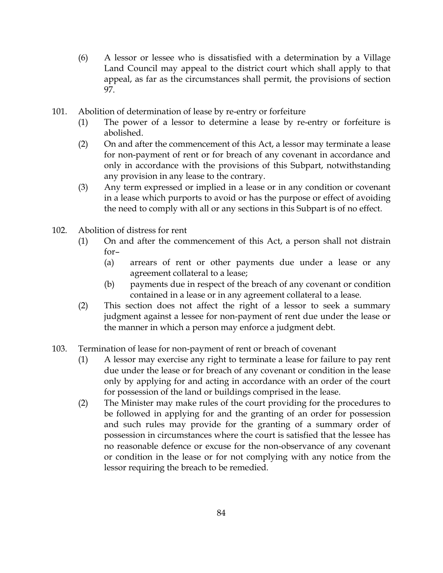- (6) A lessor or lessee who is dissatisfied with a determination by a Village Land Council may appeal to the district court which shall apply to that appeal, as far as the circumstances shall permit, the provisions of section 97.
- 101. Abolition of determination of lease by re-entry or forfeiture
	- (1) The power of a lessor to determine a lease by re-entry or forfeiture is abolished.
	- (2) On and after the commencement of this Act, a lessor may terminate a lease for non-payment of rent or for breach of any covenant in accordance and only in accordance with the provisions of this Subpart, notwithstanding any provision in any lease to the contrary.
	- (3) Any term expressed or implied in a lease or in any condition or covenant in a lease which purports to avoid or has the purpose or effect of avoiding the need to comply with all or any sections in this Subpart is of no effect.
- 102. Abolition of distress for rent
	- (1) On and after the commencement of this Act, a person shall not distrain for–
		- (a) arrears of rent or other payments due under a lease or any agreement collateral to a lease;
		- (b) payments due in respect of the breach of any covenant or condition contained in a lease or in any agreement collateral to a lease.
	- (2) This section does not affect the right of a lessor to seek a summary judgment against a lessee for non-payment of rent due under the lease or the manner in which a person may enforce a judgment debt.
- 103. Termination of lease for non-payment of rent or breach of covenant
	- (1) A lessor may exercise any right to terminate a lease for failure to pay rent due under the lease or for breach of any covenant or condition in the lease only by applying for and acting in accordance with an order of the court for possession of the land or buildings comprised in the lease.
	- (2) The Minister may make rules of the court providing for the procedures to be followed in applying for and the granting of an order for possession and such rules may provide for the granting of a summary order of possession in circumstances where the court is satisfied that the lessee has no reasonable defence or excuse for the non-observance of any covenant or condition in the lease or for not complying with any notice from the lessor requiring the breach to be remedied.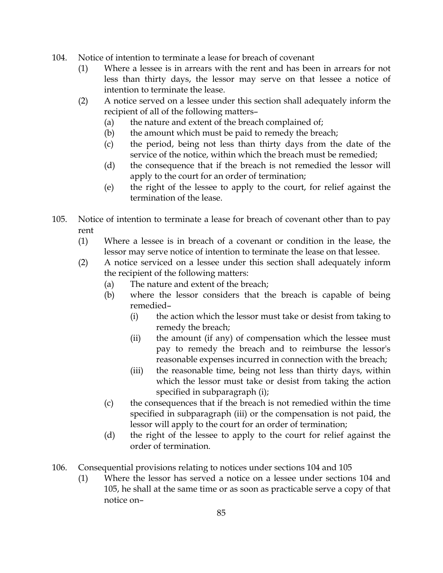- 104. Notice of intention to terminate a lease for breach of covenant
	- (1) Where a lessee is in arrears with the rent and has been in arrears for not less than thirty days, the lessor may serve on that lessee a notice of intention to terminate the lease.
	- (2) A notice served on a lessee under this section shall adequately inform the recipient of all of the following matters–
		- (a) the nature and extent of the breach complained of;
		- (b) the amount which must be paid to remedy the breach;
		- (c) the period, being not less than thirty days from the date of the service of the notice, within which the breach must be remedied;
		- (d) the consequence that if the breach is not remedied the lessor will apply to the court for an order of termination;
		- (e) the right of the lessee to apply to the court, for relief against the termination of the lease.
- 105. Notice of intention to terminate a lease for breach of covenant other than to pay rent
	- (1) Where a lessee is in breach of a covenant or condition in the lease, the lessor may serve notice of intention to terminate the lease on that lessee.
	- (2) A notice serviced on a lessee under this section shall adequately inform the recipient of the following matters:
		- (a) The nature and extent of the breach;
		- (b) where the lessor considers that the breach is capable of being remedied–
			- (i) the action which the lessor must take or desist from taking to remedy the breach;
			- (ii) the amount (if any) of compensation which the lessee must pay to remedy the breach and to reimburse the lessor's reasonable expenses incurred in connection with the breach;
			- (iii) the reasonable time, being not less than thirty days, within which the lessor must take or desist from taking the action specified in subparagraph (i);
		- (c) the consequences that if the breach is not remedied within the time specified in subparagraph (iii) or the compensation is not paid, the lessor will apply to the court for an order of termination;
		- (d) the right of the lessee to apply to the court for relief against the order of termination.
- 106. Consequential provisions relating to notices under sections 104 and 105
	- (1) Where the lessor has served a notice on a lessee under sections 104 and 105, he shall at the same time or as soon as practicable serve a copy of that notice on–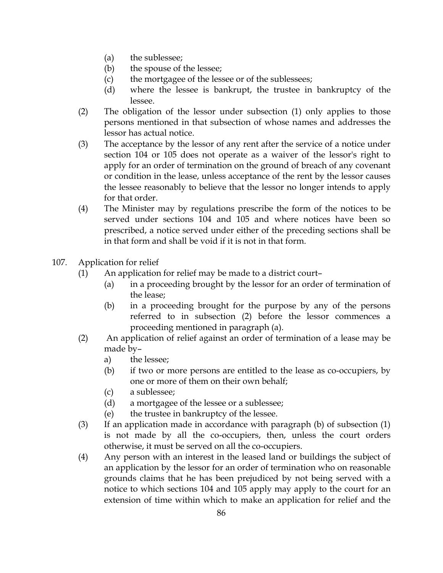- (a) the sublessee;
- (b) the spouse of the lessee;
- (c) the mortgagee of the lessee or of the sublessees;
- (d) where the lessee is bankrupt, the trustee in bankruptcy of the lessee.
- (2) The obligation of the lessor under subsection (1) only applies to those persons mentioned in that subsection of whose names and addresses the lessor has actual notice.
- (3) The acceptance by the lessor of any rent after the service of a notice under section 104 or 105 does not operate as a waiver of the lessor's right to apply for an order of termination on the ground of breach of any covenant or condition in the lease, unless acceptance of the rent by the lessor causes the lessee reasonably to believe that the lessor no longer intends to apply for that order.
- (4) The Minister may by regulations prescribe the form of the notices to be served under sections 104 and 105 and where notices have been so prescribed, a notice served under either of the preceding sections shall be in that form and shall be void if it is not in that form.
- 107. Application for relief
	- (1) An application for relief may be made to a district court–
		- (a) in a proceeding brought by the lessor for an order of termination of the lease;
		- (b) in a proceeding brought for the purpose by any of the persons referred to in subsection (2) before the lessor commences a proceeding mentioned in paragraph (a).
	- (2) An application of relief against an order of termination of a lease may be made by–
		- a) the lessee;
		- (b) if two or more persons are entitled to the lease as co-occupiers, by one or more of them on their own behalf;
		- (c) a sublessee;
		- (d) a mortgagee of the lessee or a sublessee;
		- (e) the trustee in bankruptcy of the lessee.
	- (3) If an application made in accordance with paragraph (b) of subsection (1) is not made by all the co-occupiers, then, unless the court orders otherwise, it must be served on all the co-occupiers.
	- (4) Any person with an interest in the leased land or buildings the subject of an application by the lessor for an order of termination who on reasonable grounds claims that he has been prejudiced by not being served with a notice to which sections 104 and 105 apply may apply to the court for an extension of time within which to make an application for relief and the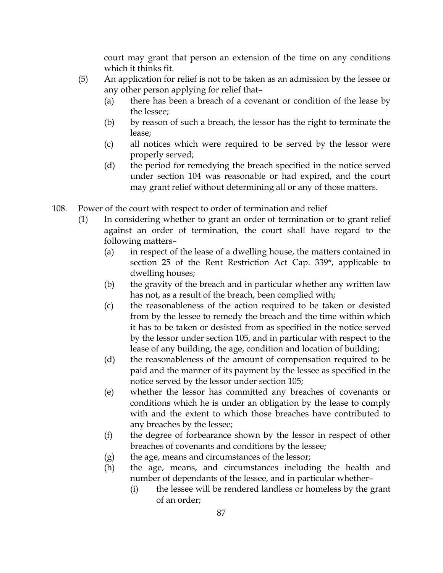court may grant that person an extension of the time on any conditions which it thinks fit.

- (5) An application for relief is not to be taken as an admission by the lessee or any other person applying for relief that–
	- (a) there has been a breach of a covenant or condition of the lease by the lessee;
	- (b) by reason of such a breach, the lessor has the right to terminate the lease;
	- (c) all notices which were required to be served by the lessor were properly served;
	- (d) the period for remedying the breach specified in the notice served under section 104 was reasonable or had expired, and the court may grant relief without determining all or any of those matters.
- 108. Power of the court with respect to order of termination and relief
	- (1) In considering whether to grant an order of termination or to grant relief against an order of termination, the court shall have regard to the following matters–
		- (a) in respect of the lease of a dwelling house, the matters contained in section 25 of the Rent Restriction Act Cap. 339\*, applicable to dwelling houses;
		- (b) the gravity of the breach and in particular whether any written law has not, as a result of the breach, been complied with;
		- (c) the reasonableness of the action required to be taken or desisted from by the lessee to remedy the breach and the time within which it has to be taken or desisted from as specified in the notice served by the lessor under section 105, and in particular with respect to the lease of any building, the age, condition and location of building;
		- (d) the reasonableness of the amount of compensation required to be paid and the manner of its payment by the lessee as specified in the notice served by the lessor under section 105;
		- (e) whether the lessor has committed any breaches of covenants or conditions which he is under an obligation by the lease to comply with and the extent to which those breaches have contributed to any breaches by the lessee;
		- (f) the degree of forbearance shown by the lessor in respect of other breaches of covenants and conditions by the lessee;
		- (g) the age, means and circumstances of the lessor;
		- (h) the age, means, and circumstances including the health and number of dependants of the lessee, and in particular whether–
			- (i) the lessee will be rendered landless or homeless by the grant of an order;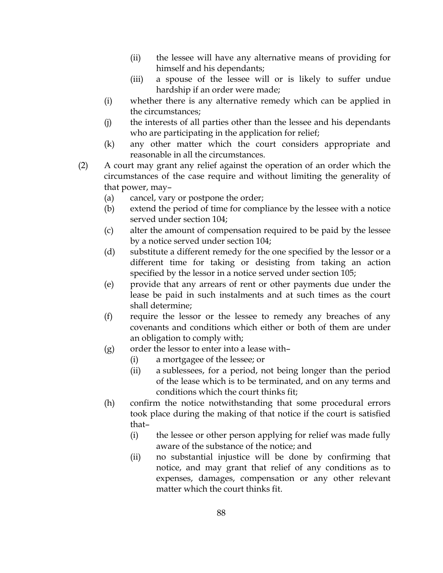- (ii) the lessee will have any alternative means of providing for himself and his dependants;
- (iii) a spouse of the lessee will or is likely to suffer undue hardship if an order were made;
- (i) whether there is any alternative remedy which can be applied in the circumstances;
- (j) the interests of all parties other than the lessee and his dependants who are participating in the application for relief;
- (k) any other matter which the court considers appropriate and reasonable in all the circumstances.
- (2) A court may grant any relief against the operation of an order which the circumstances of the case require and without limiting the generality of that power, may–
	- (a) cancel, vary or postpone the order;
	- (b) extend the period of time for compliance by the lessee with a notice served under section 104;
	- (c) alter the amount of compensation required to be paid by the lessee by a notice served under section 104;
	- (d) substitute a different remedy for the one specified by the lessor or a different time for taking or desisting from taking an action specified by the lessor in a notice served under section 105;
	- (e) provide that any arrears of rent or other payments due under the lease be paid in such instalments and at such times as the court shall determine;
	- (f) require the lessor or the lessee to remedy any breaches of any covenants and conditions which either or both of them are under an obligation to comply with;
	- (g) order the lessor to enter into a lease with–
		- (i) a mortgagee of the lessee; or
		- (ii) a sublessees, for a period, not being longer than the period of the lease which is to be terminated, and on any terms and conditions which the court thinks fit;
	- (h) confirm the notice notwithstanding that some procedural errors took place during the making of that notice if the court is satisfied that–
		- (i) the lessee or other person applying for relief was made fully aware of the substance of the notice; and
		- (ii) no substantial injustice will be done by confirming that notice, and may grant that relief of any conditions as to expenses, damages, compensation or any other relevant matter which the court thinks fit.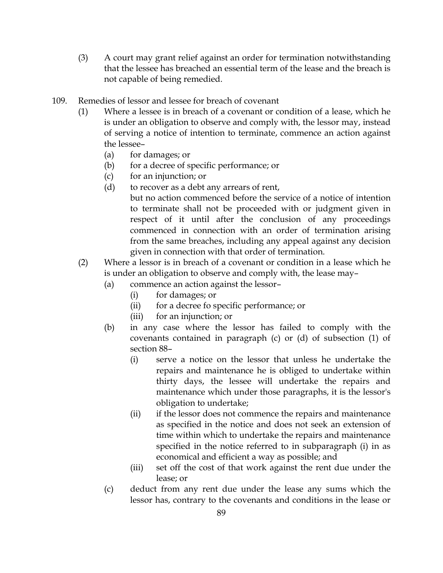- (3) A court may grant relief against an order for termination notwithstanding that the lessee has breached an essential term of the lease and the breach is not capable of being remedied.
- 109. Remedies of lessor and lessee for breach of covenant
	- (1) Where a lessee is in breach of a covenant or condition of a lease, which he is under an obligation to observe and comply with, the lessor may, instead of serving a notice of intention to terminate, commence an action against the lessee–
		- (a) for damages; or
		- (b) for a decree of specific performance; or
		- (c) for an injunction; or
		- (d) to recover as a debt any arrears of rent,

but no action commenced before the service of a notice of intention to terminate shall not be proceeded with or judgment given in respect of it until after the conclusion of any proceedings commenced in connection with an order of termination arising from the same breaches, including any appeal against any decision given in connection with that order of termination.

- (2) Where a lessor is in breach of a covenant or condition in a lease which he is under an obligation to observe and comply with, the lease may–
	- (a) commence an action against the lessor–
		- (i) for damages; or
		- (ii) for a decree fo specific performance; or
		- (iii) for an injunction; or
	- (b) in any case where the lessor has failed to comply with the covenants contained in paragraph (c) or (d) of subsection (1) of section 88–
		- (i) serve a notice on the lessor that unless he undertake the repairs and maintenance he is obliged to undertake within thirty days, the lessee will undertake the repairs and maintenance which under those paragraphs, it is the lessor's obligation to undertake;
		- (ii) if the lessor does not commence the repairs and maintenance as specified in the notice and does not seek an extension of time within which to undertake the repairs and maintenance specified in the notice referred to in subparagraph (i) in as economical and efficient a way as possible; and
		- (iii) set off the cost of that work against the rent due under the lease; or
	- (c) deduct from any rent due under the lease any sums which the lessor has, contrary to the covenants and conditions in the lease or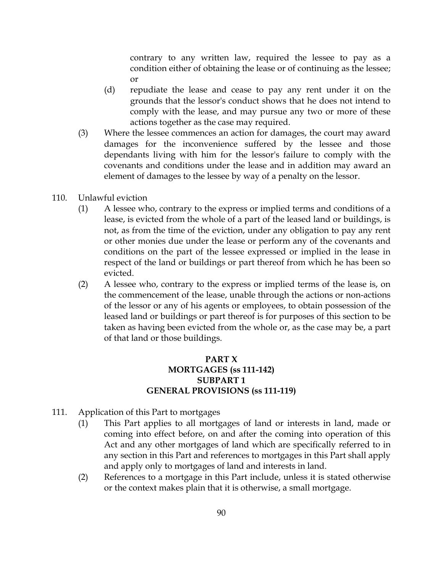contrary to any written law, required the lessee to pay as a condition either of obtaining the lease or of continuing as the lessee; or

- (d) repudiate the lease and cease to pay any rent under it on the grounds that the lessor's conduct shows that he does not intend to comply with the lease, and may pursue any two or more of these actions together as the case may required.
- (3) Where the lessee commences an action for damages, the court may award damages for the inconvenience suffered by the lessee and those dependants living with him for the lessor's failure to comply with the covenants and conditions under the lease and in addition may award an element of damages to the lessee by way of a penalty on the lessor.
- 110. Unlawful eviction
	- (1) A lessee who, contrary to the express or implied terms and conditions of a lease, is evicted from the whole of a part of the leased land or buildings, is not, as from the time of the eviction, under any obligation to pay any rent or other monies due under the lease or perform any of the covenants and conditions on the part of the lessee expressed or implied in the lease in respect of the land or buildings or part thereof from which he has been so evicted.
	- (2) A lessee who, contrary to the express or implied terms of the lease is, on the commencement of the lease, unable through the actions or non-actions of the lessor or any of his agents or employees, to obtain possession of the leased land or buildings or part thereof is for purposes of this section to be taken as having been evicted from the whole or, as the case may be, a part of that land or those buildings.

## PART X MORTGAGES (ss 111-142) SUBPART 1 GENERAL PROVISIONS (ss 111-119)

- 111. Application of this Part to mortgages
	- (1) This Part applies to all mortgages of land or interests in land, made or coming into effect before, on and after the coming into operation of this Act and any other mortgages of land which are specifically referred to in any section in this Part and references to mortgages in this Part shall apply and apply only to mortgages of land and interests in land.
	- (2) References to a mortgage in this Part include, unless it is stated otherwise or the context makes plain that it is otherwise, a small mortgage.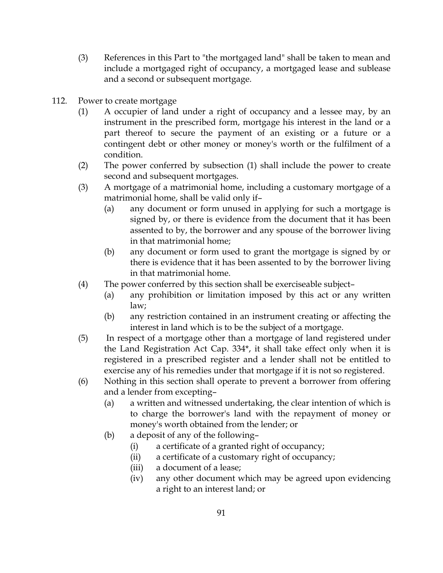- (3) References in this Part to "the mortgaged land" shall be taken to mean and include a mortgaged right of occupancy, a mortgaged lease and sublease and a second or subsequent mortgage.
- 112. Power to create mortgage
	- (1) A occupier of land under a right of occupancy and a lessee may, by an instrument in the prescribed form, mortgage his interest in the land or a part thereof to secure the payment of an existing or a future or a contingent debt or other money or money's worth or the fulfilment of a condition.
	- (2) The power conferred by subsection (1) shall include the power to create second and subsequent mortgages.
	- (3) A mortgage of a matrimonial home, including a customary mortgage of a matrimonial home, shall be valid only if–
		- (a) any document or form unused in applying for such a mortgage is signed by, or there is evidence from the document that it has been assented to by, the borrower and any spouse of the borrower living in that matrimonial home;
		- (b) any document or form used to grant the mortgage is signed by or there is evidence that it has been assented to by the borrower living in that matrimonial home.
	- (4) The power conferred by this section shall be exerciseable subject–
		- (a) any prohibition or limitation imposed by this act or any written law;
		- (b) any restriction contained in an instrument creating or affecting the interest in land which is to be the subject of a mortgage.
	- (5) In respect of a mortgage other than a mortgage of land registered under the Land Registration Act Cap. 334\*, it shall take effect only when it is registered in a prescribed register and a lender shall not be entitled to exercise any of his remedies under that mortgage if it is not so registered.
	- (6) Nothing in this section shall operate to prevent a borrower from offering and a lender from excepting–
		- (a) a written and witnessed undertaking, the clear intention of which is to charge the borrower's land with the repayment of money or money's worth obtained from the lender; or
		- (b) a deposit of any of the following–
			- (i) a certificate of a granted right of occupancy;
			- (ii) a certificate of a customary right of occupancy;
			- (iii) a document of a lease;
			- (iv) any other document which may be agreed upon evidencing a right to an interest land; or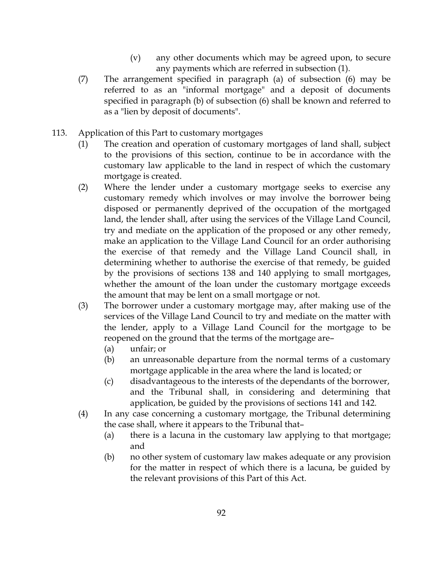- (v) any other documents which may be agreed upon, to secure any payments which are referred in subsection (1).
- (7) The arrangement specified in paragraph (a) of subsection (6) may be referred to as an "informal mortgage" and a deposit of documents specified in paragraph (b) of subsection (6) shall be known and referred to as a "lien by deposit of documents".
- 113. Application of this Part to customary mortgages
	- (1) The creation and operation of customary mortgages of land shall, subject to the provisions of this section, continue to be in accordance with the customary law applicable to the land in respect of which the customary mortgage is created.
	- (2) Where the lender under a customary mortgage seeks to exercise any customary remedy which involves or may involve the borrower being disposed or permanently deprived of the occupation of the mortgaged land, the lender shall, after using the services of the Village Land Council, try and mediate on the application of the proposed or any other remedy, make an application to the Village Land Council for an order authorising the exercise of that remedy and the Village Land Council shall, in determining whether to authorise the exercise of that remedy, be guided by the provisions of sections 138 and 140 applying to small mortgages, whether the amount of the loan under the customary mortgage exceeds the amount that may be lent on a small mortgage or not.
	- (3) The borrower under a customary mortgage may, after making use of the services of the Village Land Council to try and mediate on the matter with the lender, apply to a Village Land Council for the mortgage to be reopened on the ground that the terms of the mortgage are–
		- (a) unfair; or
		- (b) an unreasonable departure from the normal terms of a customary mortgage applicable in the area where the land is located; or
		- (c) disadvantageous to the interests of the dependants of the borrower, and the Tribunal shall, in considering and determining that application, be guided by the provisions of sections 141 and 142.
	- (4) In any case concerning a customary mortgage, the Tribunal determining the case shall, where it appears to the Tribunal that–
		- (a) there is a lacuna in the customary law applying to that mortgage; and
		- (b) no other system of customary law makes adequate or any provision for the matter in respect of which there is a lacuna, be guided by the relevant provisions of this Part of this Act.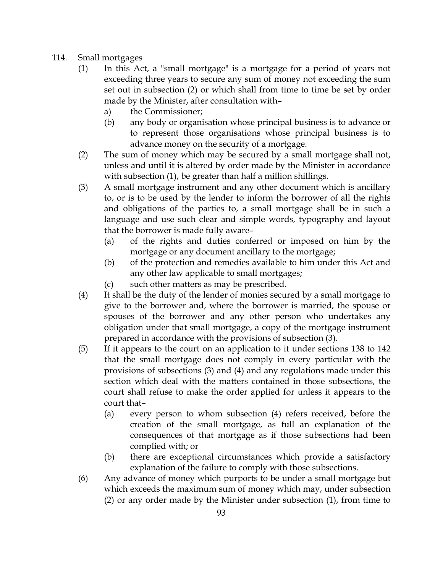- 114. Small mortgages
	- (1) In this Act, a "small mortgage" is a mortgage for a period of years not exceeding three years to secure any sum of money not exceeding the sum set out in subsection (2) or which shall from time to time be set by order made by the Minister, after consultation with–
		- a) the Commissioner;
		- (b) any body or organisation whose principal business is to advance or to represent those organisations whose principal business is to advance money on the security of a mortgage.
	- (2) The sum of money which may be secured by a small mortgage shall not, unless and until it is altered by order made by the Minister in accordance with subsection (1), be greater than half a million shillings.
	- (3) A small mortgage instrument and any other document which is ancillary to, or is to be used by the lender to inform the borrower of all the rights and obligations of the parties to, a small mortgage shall be in such a language and use such clear and simple words, typography and layout that the borrower is made fully aware–
		- (a) of the rights and duties conferred or imposed on him by the mortgage or any document ancillary to the mortgage;
		- (b) of the protection and remedies available to him under this Act and any other law applicable to small mortgages;
		- (c) such other matters as may be prescribed.
	- (4) It shall be the duty of the lender of monies secured by a small mortgage to give to the borrower and, where the borrower is married, the spouse or spouses of the borrower and any other person who undertakes any obligation under that small mortgage, a copy of the mortgage instrument prepared in accordance with the provisions of subsection (3).
	- (5) If it appears to the court on an application to it under sections 138 to 142 that the small mortgage does not comply in every particular with the provisions of subsections (3) and (4) and any regulations made under this section which deal with the matters contained in those subsections, the court shall refuse to make the order applied for unless it appears to the court that–
		- (a) every person to whom subsection (4) refers received, before the creation of the small mortgage, as full an explanation of the consequences of that mortgage as if those subsections had been complied with; or
		- (b) there are exceptional circumstances which provide a satisfactory explanation of the failure to comply with those subsections.
	- (6) Any advance of money which purports to be under a small mortgage but which exceeds the maximum sum of money which may, under subsection (2) or any order made by the Minister under subsection (1), from time to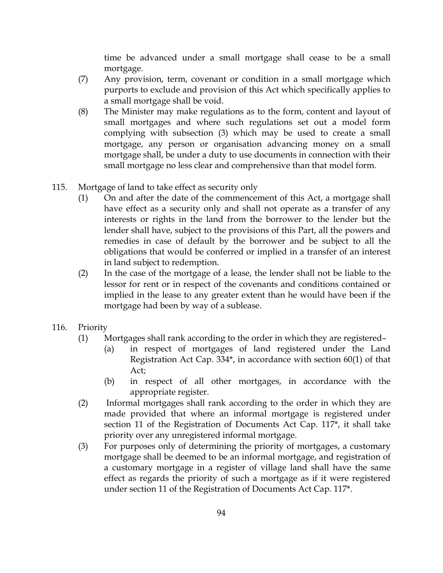time be advanced under a small mortgage shall cease to be a small mortgage.

- (7) Any provision, term, covenant or condition in a small mortgage which purports to exclude and provision of this Act which specifically applies to a small mortgage shall be void.
- (8) The Minister may make regulations as to the form, content and layout of small mortgages and where such regulations set out a model form complying with subsection (3) which may be used to create a small mortgage, any person or organisation advancing money on a small mortgage shall, be under a duty to use documents in connection with their small mortgage no less clear and comprehensive than that model form.
- 115. Mortgage of land to take effect as security only
	- (1) On and after the date of the commencement of this Act, a mortgage shall have effect as a security only and shall not operate as a transfer of any interests or rights in the land from the borrower to the lender but the lender shall have, subject to the provisions of this Part, all the powers and remedies in case of default by the borrower and be subject to all the obligations that would be conferred or implied in a transfer of an interest in land subject to redemption.
	- (2) In the case of the mortgage of a lease, the lender shall not be liable to the lessor for rent or in respect of the covenants and conditions contained or implied in the lease to any greater extent than he would have been if the mortgage had been by way of a sublease.
- 116. Priority
	- (1) Mortgages shall rank according to the order in which they are registered–
		- (a) in respect of mortgages of land registered under the Land Registration Act Cap. 334\*, in accordance with section 60(1) of that Act;
		- (b) in respect of all other mortgages, in accordance with the appropriate register.
	- (2) Informal mortgages shall rank according to the order in which they are made provided that where an informal mortgage is registered under section 11 of the Registration of Documents Act Cap. 117\*, it shall take priority over any unregistered informal mortgage.
	- (3) For purposes only of determining the priority of mortgages, a customary mortgage shall be deemed to be an informal mortgage, and registration of a customary mortgage in a register of village land shall have the same effect as regards the priority of such a mortgage as if it were registered under section 11 of the Registration of Documents Act Cap. 117\*.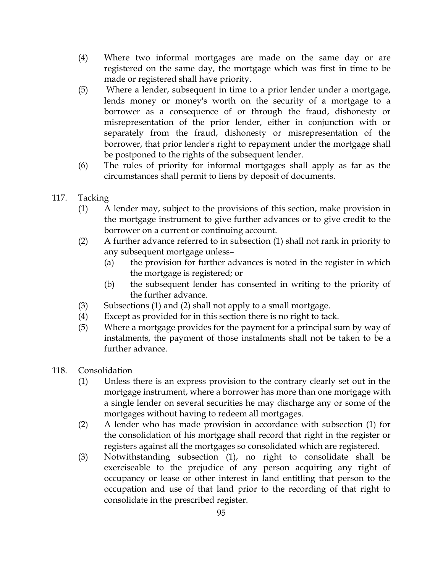- (4) Where two informal mortgages are made on the same day or are registered on the same day, the mortgage which was first in time to be made or registered shall have priority.
- (5) Where a lender, subsequent in time to a prior lender under a mortgage, lends money or money's worth on the security of a mortgage to a borrower as a consequence of or through the fraud, dishonesty or misrepresentation of the prior lender, either in conjunction with or separately from the fraud, dishonesty or misrepresentation of the borrower, that prior lender's right to repayment under the mortgage shall be postponed to the rights of the subsequent lender.
- (6) The rules of priority for informal mortgages shall apply as far as the circumstances shall permit to liens by deposit of documents.
- 117. Tacking
	- (1) A lender may, subject to the provisions of this section, make provision in the mortgage instrument to give further advances or to give credit to the borrower on a current or continuing account.
	- (2) A further advance referred to in subsection (1) shall not rank in priority to any subsequent mortgage unless–
		- (a) the provision for further advances is noted in the register in which the mortgage is registered; or
		- (b) the subsequent lender has consented in writing to the priority of the further advance.
	- (3) Subsections (1) and (2) shall not apply to a small mortgage.
	- (4) Except as provided for in this section there is no right to tack.
	- (5) Where a mortgage provides for the payment for a principal sum by way of instalments, the payment of those instalments shall not be taken to be a further advance.
- 118. Consolidation
	- (1) Unless there is an express provision to the contrary clearly set out in the mortgage instrument, where a borrower has more than one mortgage with a single lender on several securities he may discharge any or some of the mortgages without having to redeem all mortgages.
	- (2) A lender who has made provision in accordance with subsection (1) for the consolidation of his mortgage shall record that right in the register or registers against all the mortgages so consolidated which are registered.
	- (3) Notwithstanding subsection (1), no right to consolidate shall be exerciseable to the prejudice of any person acquiring any right of occupancy or lease or other interest in land entitling that person to the occupation and use of that land prior to the recording of that right to consolidate in the prescribed register.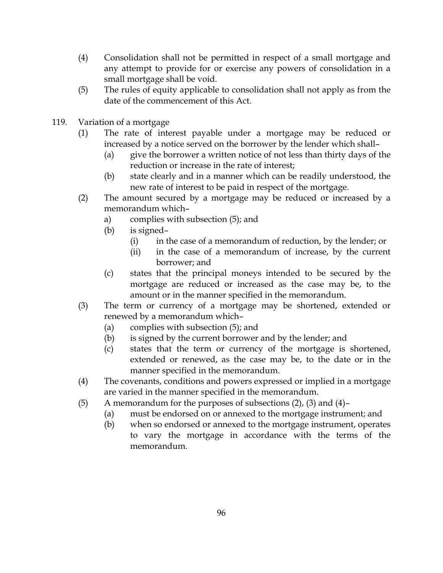- (4) Consolidation shall not be permitted in respect of a small mortgage and any attempt to provide for or exercise any powers of consolidation in a small mortgage shall be void.
- (5) The rules of equity applicable to consolidation shall not apply as from the date of the commencement of this Act.
- 119. Variation of a mortgage
	- (1) The rate of interest payable under a mortgage may be reduced or increased by a notice served on the borrower by the lender which shall–
		- (a) give the borrower a written notice of not less than thirty days of the reduction or increase in the rate of interest;
		- (b) state clearly and in a manner which can be readily understood, the new rate of interest to be paid in respect of the mortgage.
	- (2) The amount secured by a mortgage may be reduced or increased by a memorandum which–
		- a) complies with subsection (5); and
		- (b) is signed–
			- (i) in the case of a memorandum of reduction, by the lender; or
			- (ii) in the case of a memorandum of increase, by the current borrower; and
		- (c) states that the principal moneys intended to be secured by the mortgage are reduced or increased as the case may be, to the amount or in the manner specified in the memorandum.
	- (3) The term or currency of a mortgage may be shortened, extended or renewed by a memorandum which–
		- (a) complies with subsection (5); and
		- (b) is signed by the current borrower and by the lender; and
		- (c) states that the term or currency of the mortgage is shortened, extended or renewed, as the case may be, to the date or in the manner specified in the memorandum.
	- (4) The covenants, conditions and powers expressed or implied in a mortgage are varied in the manner specified in the memorandum.
	- (5) A memorandum for the purposes of subsections (2), (3) and (4)–
		- (a) must be endorsed on or annexed to the mortgage instrument; and
		- (b) when so endorsed or annexed to the mortgage instrument, operates to vary the mortgage in accordance with the terms of the memorandum.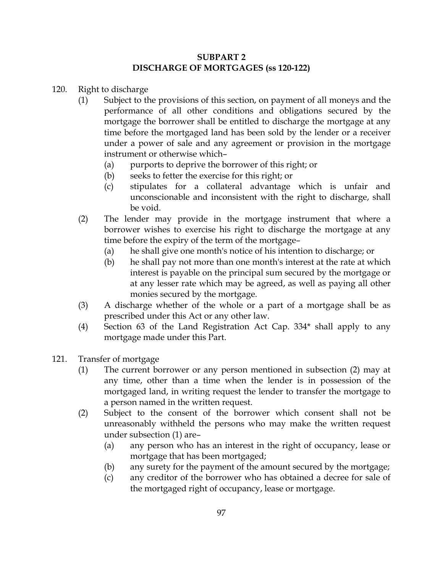## SUBPART 2 DISCHARGE OF MORTGAGES (ss 120-122)

- 120. Right to discharge
	- (1) Subject to the provisions of this section, on payment of all moneys and the performance of all other conditions and obligations secured by the mortgage the borrower shall be entitled to discharge the mortgage at any time before the mortgaged land has been sold by the lender or a receiver under a power of sale and any agreement or provision in the mortgage instrument or otherwise which–
		- (a) purports to deprive the borrower of this right; or
		- (b) seeks to fetter the exercise for this right; or
		- (c) stipulates for a collateral advantage which is unfair and unconscionable and inconsistent with the right to discharge, shall be void.
	- (2) The lender may provide in the mortgage instrument that where a borrower wishes to exercise his right to discharge the mortgage at any time before the expiry of the term of the mortgage–
		- (a) he shall give one month's notice of his intention to discharge; or
		- (b) he shall pay not more than one month's interest at the rate at which interest is payable on the principal sum secured by the mortgage or at any lesser rate which may be agreed, as well as paying all other monies secured by the mortgage.
	- (3) A discharge whether of the whole or a part of a mortgage shall be as prescribed under this Act or any other law.
	- (4) Section 63 of the Land Registration Act Cap. 334\* shall apply to any mortgage made under this Part.
- 121. Transfer of mortgage
	- (1) The current borrower or any person mentioned in subsection (2) may at any time, other than a time when the lender is in possession of the mortgaged land, in writing request the lender to transfer the mortgage to a person named in the written request.
	- (2) Subject to the consent of the borrower which consent shall not be unreasonably withheld the persons who may make the written request under subsection (1) are–
		- (a) any person who has an interest in the right of occupancy, lease or mortgage that has been mortgaged;
		- (b) any surety for the payment of the amount secured by the mortgage;
		- (c) any creditor of the borrower who has obtained a decree for sale of the mortgaged right of occupancy, lease or mortgage.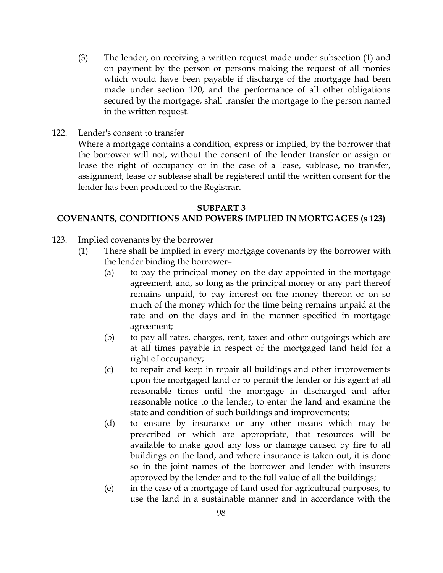- (3) The lender, on receiving a written request made under subsection (1) and on payment by the person or persons making the request of all monies which would have been payable if discharge of the mortgage had been made under section 120, and the performance of all other obligations secured by the mortgage, shall transfer the mortgage to the person named in the written request.
- 122. Lender's consent to transfer

Where a mortgage contains a condition, express or implied, by the borrower that the borrower will not, without the consent of the lender transfer or assign or lease the right of occupancy or in the case of a lease, sublease, no transfer, assignment, lease or sublease shall be registered until the written consent for the lender has been produced to the Registrar.

#### SUBPART 3

#### COVENANTS, CONDITIONS AND POWERS IMPLIED IN MORTGAGES (s 123)

- 123. Implied covenants by the borrower
	- (1) There shall be implied in every mortgage covenants by the borrower with the lender binding the borrower–
		- (a) to pay the principal money on the day appointed in the mortgage agreement, and, so long as the principal money or any part thereof remains unpaid, to pay interest on the money thereon or on so much of the money which for the time being remains unpaid at the rate and on the days and in the manner specified in mortgage agreement;
		- (b) to pay all rates, charges, rent, taxes and other outgoings which are at all times payable in respect of the mortgaged land held for a right of occupancy;
		- (c) to repair and keep in repair all buildings and other improvements upon the mortgaged land or to permit the lender or his agent at all reasonable times until the mortgage in discharged and after reasonable notice to the lender, to enter the land and examine the state and condition of such buildings and improvements;
		- (d) to ensure by insurance or any other means which may be prescribed or which are appropriate, that resources will be available to make good any loss or damage caused by fire to all buildings on the land, and where insurance is taken out, it is done so in the joint names of the borrower and lender with insurers approved by the lender and to the full value of all the buildings;
		- (e) in the case of a mortgage of land used for agricultural purposes, to use the land in a sustainable manner and in accordance with the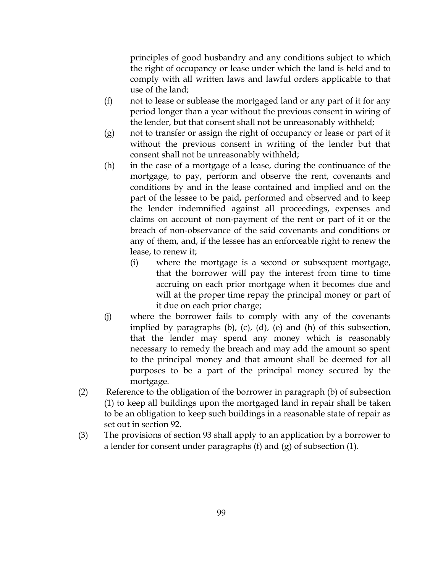principles of good husbandry and any conditions subject to which the right of occupancy or lease under which the land is held and to comply with all written laws and lawful orders applicable to that use of the land;

- (f) not to lease or sublease the mortgaged land or any part of it for any period longer than a year without the previous consent in wiring of the lender, but that consent shall not be unreasonably withheld;
- (g) not to transfer or assign the right of occupancy or lease or part of it without the previous consent in writing of the lender but that consent shall not be unreasonably withheld;
- (h) in the case of a mortgage of a lease, during the continuance of the mortgage, to pay, perform and observe the rent, covenants and conditions by and in the lease contained and implied and on the part of the lessee to be paid, performed and observed and to keep the lender indemnified against all proceedings, expenses and claims on account of non-payment of the rent or part of it or the breach of non-observance of the said covenants and conditions or any of them, and, if the lessee has an enforceable right to renew the lease, to renew it;
	- (i) where the mortgage is a second or subsequent mortgage, that the borrower will pay the interest from time to time accruing on each prior mortgage when it becomes due and will at the proper time repay the principal money or part of it due on each prior charge;
- (j) where the borrower fails to comply with any of the covenants implied by paragraphs (b), (c), (d), (e) and (h) of this subsection, that the lender may spend any money which is reasonably necessary to remedy the breach and may add the amount so spent to the principal money and that amount shall be deemed for all purposes to be a part of the principal money secured by the mortgage.
- (2) Reference to the obligation of the borrower in paragraph (b) of subsection (1) to keep all buildings upon the mortgaged land in repair shall be taken to be an obligation to keep such buildings in a reasonable state of repair as set out in section 92.
- (3) The provisions of section 93 shall apply to an application by a borrower to a lender for consent under paragraphs (f) and (g) of subsection (1).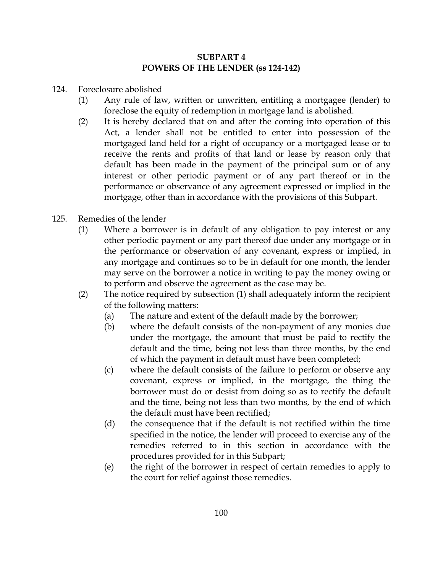## SUBPART 4 POWERS OF THE LENDER (ss 124-142)

- 124. Foreclosure abolished
	- (1) Any rule of law, written or unwritten, entitling a mortgagee (lender) to foreclose the equity of redemption in mortgage land is abolished.
	- (2) It is hereby declared that on and after the coming into operation of this Act, a lender shall not be entitled to enter into possession of the mortgaged land held for a right of occupancy or a mortgaged lease or to receive the rents and profits of that land or lease by reason only that default has been made in the payment of the principal sum or of any interest or other periodic payment or of any part thereof or in the performance or observance of any agreement expressed or implied in the mortgage, other than in accordance with the provisions of this Subpart.
- 125. Remedies of the lender
	- (1) Where a borrower is in default of any obligation to pay interest or any other periodic payment or any part thereof due under any mortgage or in the performance or observation of any covenant, express or implied, in any mortgage and continues so to be in default for one month, the lender may serve on the borrower a notice in writing to pay the money owing or to perform and observe the agreement as the case may be.
	- (2) The notice required by subsection (1) shall adequately inform the recipient of the following matters:
		- (a) The nature and extent of the default made by the borrower;
		- (b) where the default consists of the non-payment of any monies due under the mortgage, the amount that must be paid to rectify the default and the time, being not less than three months, by the end of which the payment in default must have been completed;
		- (c) where the default consists of the failure to perform or observe any covenant, express or implied, in the mortgage, the thing the borrower must do or desist from doing so as to rectify the default and the time, being not less than two months, by the end of which the default must have been rectified;
		- (d) the consequence that if the default is not rectified within the time specified in the notice, the lender will proceed to exercise any of the remedies referred to in this section in accordance with the procedures provided for in this Subpart;
		- (e) the right of the borrower in respect of certain remedies to apply to the court for relief against those remedies.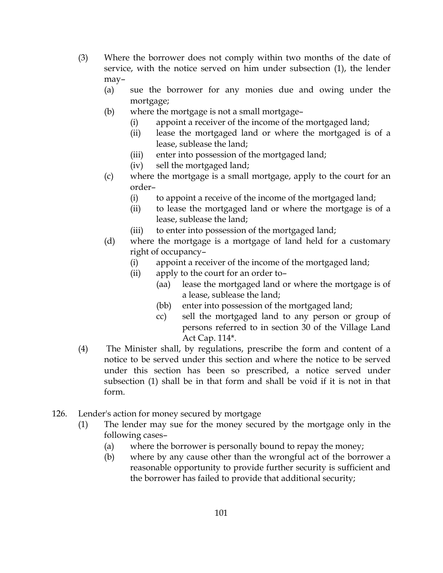- (3) Where the borrower does not comply within two months of the date of service, with the notice served on him under subsection (1), the lender may–
	- (a) sue the borrower for any monies due and owing under the mortgage;
	- (b) where the mortgage is not a small mortgage–
		- (i) appoint a receiver of the income of the mortgaged land;
		- (ii) lease the mortgaged land or where the mortgaged is of a lease, sublease the land;
		- (iii) enter into possession of the mortgaged land;
		- (iv) sell the mortgaged land;
	- (c) where the mortgage is a small mortgage, apply to the court for an order–
		- (i) to appoint a receive of the income of the mortgaged land;
		- (ii) to lease the mortgaged land or where the mortgage is of a lease, sublease the land;
		- (iii) to enter into possession of the mortgaged land;
	- (d) where the mortgage is a mortgage of land held for a customary right of occupancy–
		- (i) appoint a receiver of the income of the mortgaged land;
		- (ii) apply to the court for an order to–
			- (aa) lease the mortgaged land or where the mortgage is of a lease, sublease the land;
			- (bb) enter into possession of the mortgaged land;
			- cc) sell the mortgaged land to any person or group of persons referred to in section 30 of the Village Land Act Cap. 114\*.
- (4) The Minister shall, by regulations, prescribe the form and content of a notice to be served under this section and where the notice to be served under this section has been so prescribed, a notice served under subsection (1) shall be in that form and shall be void if it is not in that form.
- 126. Lender's action for money secured by mortgage
	- (1) The lender may sue for the money secured by the mortgage only in the following cases–
		- (a) where the borrower is personally bound to repay the money;
		- (b) where by any cause other than the wrongful act of the borrower a reasonable opportunity to provide further security is sufficient and the borrower has failed to provide that additional security;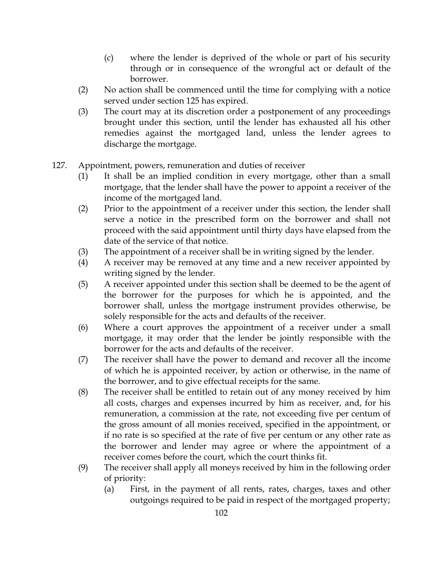- (c) where the lender is deprived of the whole or part of his security through or in consequence of the wrongful act or default of the borrower.
- (2) No action shall be commenced until the time for complying with a notice served under section 125 has expired.
- (3) The court may at its discretion order a postponement of any proceedings brought under this section, until the lender has exhausted all his other remedies against the mortgaged land, unless the lender agrees to discharge the mortgage.
- 127. Appointment, powers, remuneration and duties of receiver
	- (1) It shall be an implied condition in every mortgage, other than a small mortgage, that the lender shall have the power to appoint a receiver of the income of the mortgaged land.
	- (2) Prior to the appointment of a receiver under this section, the lender shall serve a notice in the prescribed form on the borrower and shall not proceed with the said appointment until thirty days have elapsed from the date of the service of that notice.
	- (3) The appointment of a receiver shall be in writing signed by the lender.
	- (4) A receiver may be removed at any time and a new receiver appointed by writing signed by the lender.
	- (5) A receiver appointed under this section shall be deemed to be the agent of the borrower for the purposes for which he is appointed, and the borrower shall, unless the mortgage instrument provides otherwise, be solely responsible for the acts and defaults of the receiver.
	- (6) Where a court approves the appointment of a receiver under a small mortgage, it may order that the lender be jointly responsible with the borrower for the acts and defaults of the receiver.
	- (7) The receiver shall have the power to demand and recover all the income of which he is appointed receiver, by action or otherwise, in the name of the borrower, and to give effectual receipts for the same.
	- (8) The receiver shall be entitled to retain out of any money received by him all costs, charges and expenses incurred by him as receiver, and, for his remuneration, a commission at the rate, not exceeding five per centum of the gross amount of all monies received, specified in the appointment, or if no rate is so specified at the rate of five per centum or any other rate as the borrower and lender may agree or where the appointment of a receiver comes before the court, which the court thinks fit.
	- (9) The receiver shall apply all moneys received by him in the following order of priority:
		- (a) First, in the payment of all rents, rates, charges, taxes and other outgoings required to be paid in respect of the mortgaged property;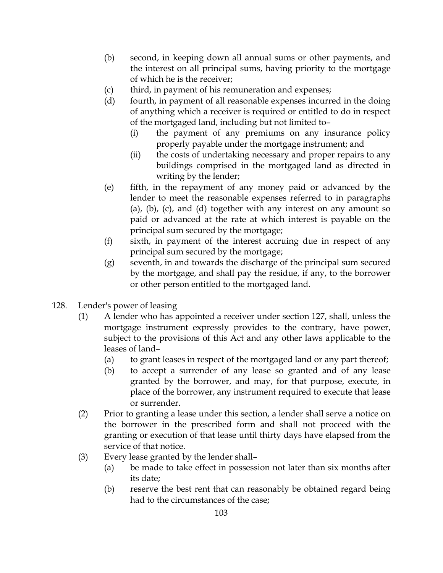- (b) second, in keeping down all annual sums or other payments, and the interest on all principal sums, having priority to the mortgage of which he is the receiver;
- (c) third, in payment of his remuneration and expenses;
- (d) fourth, in payment of all reasonable expenses incurred in the doing of anything which a receiver is required or entitled to do in respect of the mortgaged land, including but not limited to–
	- (i) the payment of any premiums on any insurance policy properly payable under the mortgage instrument; and
	- (ii) the costs of undertaking necessary and proper repairs to any buildings comprised in the mortgaged land as directed in writing by the lender;
- (e) fifth, in the repayment of any money paid or advanced by the lender to meet the reasonable expenses referred to in paragraphs (a), (b), (c), and (d) together with any interest on any amount so paid or advanced at the rate at which interest is payable on the principal sum secured by the mortgage;
- (f) sixth, in payment of the interest accruing due in respect of any principal sum secured by the mortgage;
- (g) seventh, in and towards the discharge of the principal sum secured by the mortgage, and shall pay the residue, if any, to the borrower or other person entitled to the mortgaged land.
- 128. Lender's power of leasing
	- (1) A lender who has appointed a receiver under section 127, shall, unless the mortgage instrument expressly provides to the contrary, have power, subject to the provisions of this Act and any other laws applicable to the leases of land–
		- (a) to grant leases in respect of the mortgaged land or any part thereof;
		- (b) to accept a surrender of any lease so granted and of any lease granted by the borrower, and may, for that purpose, execute, in place of the borrower, any instrument required to execute that lease or surrender.
	- (2) Prior to granting a lease under this section, a lender shall serve a notice on the borrower in the prescribed form and shall not proceed with the granting or execution of that lease until thirty days have elapsed from the service of that notice.
	- (3) Every lease granted by the lender shall–
		- (a) be made to take effect in possession not later than six months after its date;
		- (b) reserve the best rent that can reasonably be obtained regard being had to the circumstances of the case;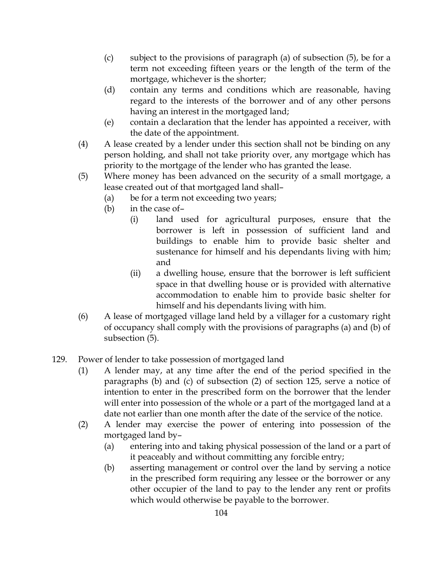- (c) subject to the provisions of paragraph (a) of subsection (5), be for a term not exceeding fifteen years or the length of the term of the mortgage, whichever is the shorter;
- (d) contain any terms and conditions which are reasonable, having regard to the interests of the borrower and of any other persons having an interest in the mortgaged land;
- (e) contain a declaration that the lender has appointed a receiver, with the date of the appointment.
- (4) A lease created by a lender under this section shall not be binding on any person holding, and shall not take priority over, any mortgage which has priority to the mortgage of the lender who has granted the lease.
- (5) Where money has been advanced on the security of a small mortgage, a lease created out of that mortgaged land shall–
	- (a) be for a term not exceeding two years;
	- (b) in the case of–
		- (i) land used for agricultural purposes, ensure that the borrower is left in possession of sufficient land and buildings to enable him to provide basic shelter and sustenance for himself and his dependants living with him; and
		- (ii) a dwelling house, ensure that the borrower is left sufficient space in that dwelling house or is provided with alternative accommodation to enable him to provide basic shelter for himself and his dependants living with him.
- (6) A lease of mortgaged village land held by a villager for a customary right of occupancy shall comply with the provisions of paragraphs (a) and (b) of subsection (5).
- 129. Power of lender to take possession of mortgaged land
	- (1) A lender may, at any time after the end of the period specified in the paragraphs (b) and (c) of subsection (2) of section 125, serve a notice of intention to enter in the prescribed form on the borrower that the lender will enter into possession of the whole or a part of the mortgaged land at a date not earlier than one month after the date of the service of the notice.
	- (2) A lender may exercise the power of entering into possession of the mortgaged land by–
		- (a) entering into and taking physical possession of the land or a part of it peaceably and without committing any forcible entry;
		- (b) asserting management or control over the land by serving a notice in the prescribed form requiring any lessee or the borrower or any other occupier of the land to pay to the lender any rent or profits which would otherwise be payable to the borrower.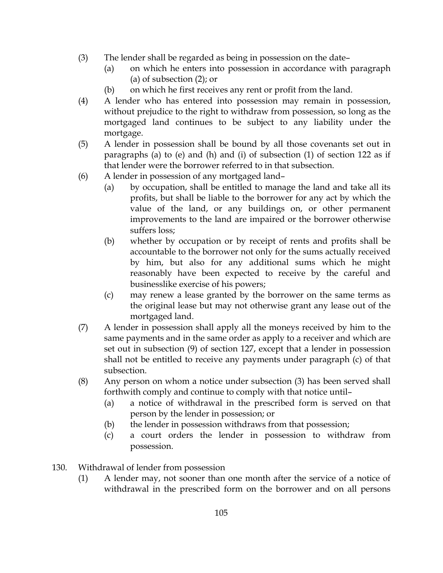- (3) The lender shall be regarded as being in possession on the date–
	- (a) on which he enters into possession in accordance with paragraph (a) of subsection (2); or
	- (b) on which he first receives any rent or profit from the land.
- (4) A lender who has entered into possession may remain in possession, without prejudice to the right to withdraw from possession, so long as the mortgaged land continues to be subject to any liability under the mortgage.
- (5) A lender in possession shall be bound by all those covenants set out in paragraphs (a) to (e) and (h) and (i) of subsection (1) of section 122 as if that lender were the borrower referred to in that subsection.
- (6) A lender in possession of any mortgaged land–
	- (a) by occupation, shall be entitled to manage the land and take all its profits, but shall be liable to the borrower for any act by which the value of the land, or any buildings on, or other permanent improvements to the land are impaired or the borrower otherwise suffers loss;
	- (b) whether by occupation or by receipt of rents and profits shall be accountable to the borrower not only for the sums actually received by him, but also for any additional sums which he might reasonably have been expected to receive by the careful and businesslike exercise of his powers;
	- (c) may renew a lease granted by the borrower on the same terms as the original lease but may not otherwise grant any lease out of the mortgaged land.
- (7) A lender in possession shall apply all the moneys received by him to the same payments and in the same order as apply to a receiver and which are set out in subsection (9) of section 127, except that a lender in possession shall not be entitled to receive any payments under paragraph (c) of that subsection.
- (8) Any person on whom a notice under subsection (3) has been served shall forthwith comply and continue to comply with that notice until–
	- (a) a notice of withdrawal in the prescribed form is served on that person by the lender in possession; or
	- (b) the lender in possession withdraws from that possession;
	- (c) a court orders the lender in possession to withdraw from possession.
- 130. Withdrawal of lender from possession
	- (1) A lender may, not sooner than one month after the service of a notice of withdrawal in the prescribed form on the borrower and on all persons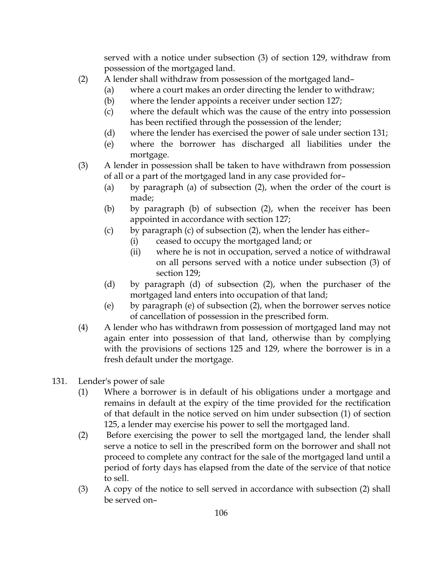served with a notice under subsection (3) of section 129, withdraw from possession of the mortgaged land.

- (2) A lender shall withdraw from possession of the mortgaged land–
	- (a) where a court makes an order directing the lender to withdraw;
		- (b) where the lender appoints a receiver under section 127;
		- (c) where the default which was the cause of the entry into possession has been rectified through the possession of the lender;
	- (d) where the lender has exercised the power of sale under section 131;
	- (e) where the borrower has discharged all liabilities under the mortgage.
- (3) A lender in possession shall be taken to have withdrawn from possession of all or a part of the mortgaged land in any case provided for–
	- (a) by paragraph (a) of subsection (2), when the order of the court is made;
	- (b) by paragraph (b) of subsection (2), when the receiver has been appointed in accordance with section 127;
	- (c) by paragraph (c) of subsection  $(2)$ , when the lender has either–
		- (i) ceased to occupy the mortgaged land; or
		- (ii) where he is not in occupation, served a notice of withdrawal on all persons served with a notice under subsection (3) of section 129;
	- (d) by paragraph (d) of subsection (2), when the purchaser of the mortgaged land enters into occupation of that land;
	- (e) by paragraph (e) of subsection (2), when the borrower serves notice of cancellation of possession in the prescribed form.
- (4) A lender who has withdrawn from possession of mortgaged land may not again enter into possession of that land, otherwise than by complying with the provisions of sections 125 and 129, where the borrower is in a fresh default under the mortgage.
- 131. Lender's power of sale
	- (1) Where a borrower is in default of his obligations under a mortgage and remains in default at the expiry of the time provided for the rectification of that default in the notice served on him under subsection (1) of section 125, a lender may exercise his power to sell the mortgaged land.
	- (2) Before exercising the power to sell the mortgaged land, the lender shall serve a notice to sell in the prescribed form on the borrower and shall not proceed to complete any contract for the sale of the mortgaged land until a period of forty days has elapsed from the date of the service of that notice to sell.
	- (3) A copy of the notice to sell served in accordance with subsection (2) shall be served on–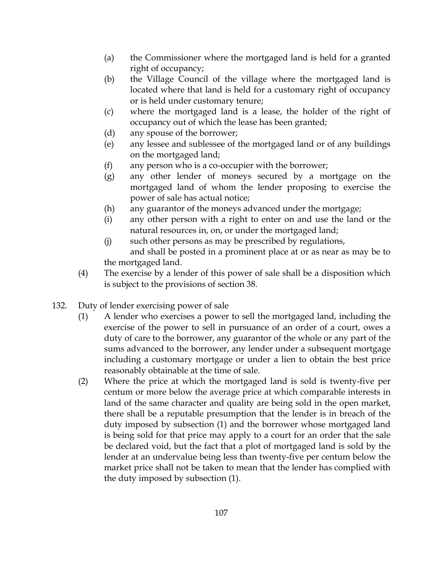- (a) the Commissioner where the mortgaged land is held for a granted right of occupancy;
- (b) the Village Council of the village where the mortgaged land is located where that land is held for a customary right of occupancy or is held under customary tenure;
- (c) where the mortgaged land is a lease, the holder of the right of occupancy out of which the lease has been granted;
- (d) any spouse of the borrower;
- (e) any lessee and sublessee of the mortgaged land or of any buildings on the mortgaged land;
- (f) any person who is a co-occupier with the borrower;
- (g) any other lender of moneys secured by a mortgage on the mortgaged land of whom the lender proposing to exercise the power of sale has actual notice;
- (h) any guarantor of the moneys advanced under the mortgage;
- (i) any other person with a right to enter on and use the land or the natural resources in, on, or under the mortgaged land;
- (j) such other persons as may be prescribed by regulations, and shall be posted in a prominent place at or as near as may be to the mortgaged land.
- (4) The exercise by a lender of this power of sale shall be a disposition which is subject to the provisions of section 38.
- 132. Duty of lender exercising power of sale
	- (1) A lender who exercises a power to sell the mortgaged land, including the exercise of the power to sell in pursuance of an order of a court, owes a duty of care to the borrower, any guarantor of the whole or any part of the sums advanced to the borrower, any lender under a subsequent mortgage including a customary mortgage or under a lien to obtain the best price reasonably obtainable at the time of sale.
	- (2) Where the price at which the mortgaged land is sold is twenty-five per centum or more below the average price at which comparable interests in land of the same character and quality are being sold in the open market, there shall be a reputable presumption that the lender is in breach of the duty imposed by subsection (1) and the borrower whose mortgaged land is being sold for that price may apply to a court for an order that the sale be declared void, but the fact that a plot of mortgaged land is sold by the lender at an undervalue being less than twenty-five per centum below the market price shall not be taken to mean that the lender has complied with the duty imposed by subsection (1).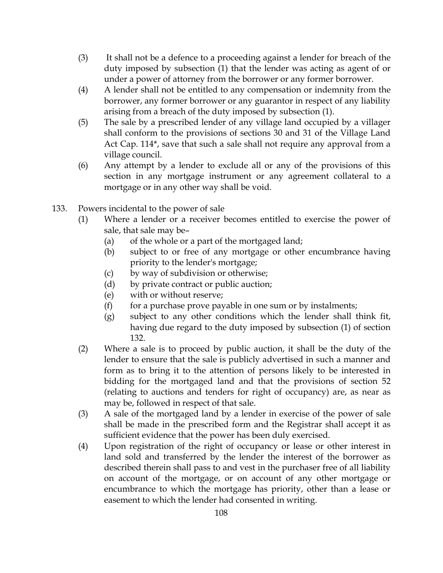- (3) It shall not be a defence to a proceeding against a lender for breach of the duty imposed by subsection (1) that the lender was acting as agent of or under a power of attorney from the borrower or any former borrower.
- (4) A lender shall not be entitled to any compensation or indemnity from the borrower, any former borrower or any guarantor in respect of any liability arising from a breach of the duty imposed by subsection (1).
- (5) The sale by a prescribed lender of any village land occupied by a villager shall conform to the provisions of sections 30 and 31 of the Village Land Act Cap. 114\*, save that such a sale shall not require any approval from a village council.
- (6) Any attempt by a lender to exclude all or any of the provisions of this section in any mortgage instrument or any agreement collateral to a mortgage or in any other way shall be void.
- 133. Powers incidental to the power of sale
	- (1) Where a lender or a receiver becomes entitled to exercise the power of sale, that sale may be–
		- (a) of the whole or a part of the mortgaged land;
		- (b) subject to or free of any mortgage or other encumbrance having priority to the lender's mortgage;
		- (c) by way of subdivision or otherwise;
		- (d) by private contract or public auction;
		- (e) with or without reserve;
		- $(f)$  for a purchase prove payable in one sum or by instalments;
		- (g) subject to any other conditions which the lender shall think fit, having due regard to the duty imposed by subsection (1) of section 132.
	- (2) Where a sale is to proceed by public auction, it shall be the duty of the lender to ensure that the sale is publicly advertised in such a manner and form as to bring it to the attention of persons likely to be interested in bidding for the mortgaged land and that the provisions of section 52 (relating to auctions and tenders for right of occupancy) are, as near as may be, followed in respect of that sale.
	- (3) A sale of the mortgaged land by a lender in exercise of the power of sale shall be made in the prescribed form and the Registrar shall accept it as sufficient evidence that the power has been duly exercised.
	- (4) Upon registration of the right of occupancy or lease or other interest in land sold and transferred by the lender the interest of the borrower as described therein shall pass to and vest in the purchaser free of all liability on account of the mortgage, or on account of any other mortgage or encumbrance to which the mortgage has priority, other than a lease or easement to which the lender had consented in writing.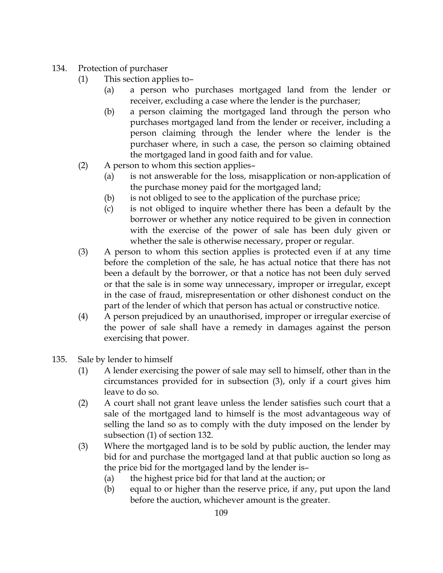# 134. Protection of purchaser

- (1) This section applies to–
	- (a) a person who purchases mortgaged land from the lender or receiver, excluding a case where the lender is the purchaser;
	- (b) a person claiming the mortgaged land through the person who purchases mortgaged land from the lender or receiver, including a person claiming through the lender where the lender is the purchaser where, in such a case, the person so claiming obtained the mortgaged land in good faith and for value.
- (2) A person to whom this section applies–
	- (a) is not answerable for the loss, misapplication or non-application of the purchase money paid for the mortgaged land;
	- (b) is not obliged to see to the application of the purchase price;
	- (c) is not obliged to inquire whether there has been a default by the borrower or whether any notice required to be given in connection with the exercise of the power of sale has been duly given or whether the sale is otherwise necessary, proper or regular.
- (3) A person to whom this section applies is protected even if at any time before the completion of the sale, he has actual notice that there has not been a default by the borrower, or that a notice has not been duly served or that the sale is in some way unnecessary, improper or irregular, except in the case of fraud, misrepresentation or other dishonest conduct on the part of the lender of which that person has actual or constructive notice.
- (4) A person prejudiced by an unauthorised, improper or irregular exercise of the power of sale shall have a remedy in damages against the person exercising that power.
- 135. Sale by lender to himself
	- (1) A lender exercising the power of sale may sell to himself, other than in the circumstances provided for in subsection (3), only if a court gives him leave to do so.
	- (2) A court shall not grant leave unless the lender satisfies such court that a sale of the mortgaged land to himself is the most advantageous way of selling the land so as to comply with the duty imposed on the lender by subsection (1) of section 132.
	- (3) Where the mortgaged land is to be sold by public auction, the lender may bid for and purchase the mortgaged land at that public auction so long as the price bid for the mortgaged land by the lender is–
		- (a) the highest price bid for that land at the auction; or
		- (b) equal to or higher than the reserve price, if any, put upon the land before the auction, whichever amount is the greater.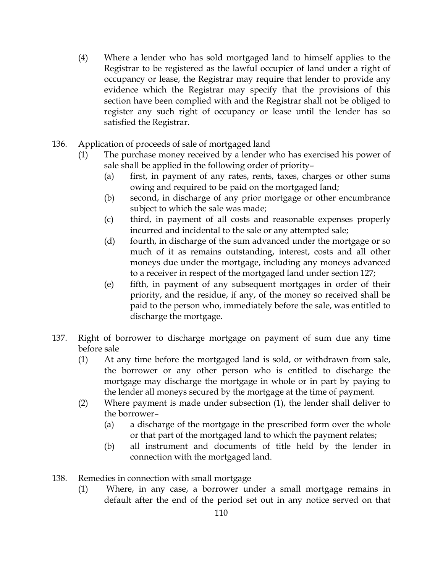- (4) Where a lender who has sold mortgaged land to himself applies to the Registrar to be registered as the lawful occupier of land under a right of occupancy or lease, the Registrar may require that lender to provide any evidence which the Registrar may specify that the provisions of this section have been complied with and the Registrar shall not be obliged to register any such right of occupancy or lease until the lender has so satisfied the Registrar.
- 136. Application of proceeds of sale of mortgaged land
	- (1) The purchase money received by a lender who has exercised his power of sale shall be applied in the following order of priority–
		- (a) first, in payment of any rates, rents, taxes, charges or other sums owing and required to be paid on the mortgaged land;
		- (b) second, in discharge of any prior mortgage or other encumbrance subject to which the sale was made;
		- (c) third, in payment of all costs and reasonable expenses properly incurred and incidental to the sale or any attempted sale;
		- (d) fourth, in discharge of the sum advanced under the mortgage or so much of it as remains outstanding, interest, costs and all other moneys due under the mortgage, including any moneys advanced to a receiver in respect of the mortgaged land under section 127;
		- (e) fifth, in payment of any subsequent mortgages in order of their priority, and the residue, if any, of the money so received shall be paid to the person who, immediately before the sale, was entitled to discharge the mortgage.
- 137. Right of borrower to discharge mortgage on payment of sum due any time before sale
	- (1) At any time before the mortgaged land is sold, or withdrawn from sale, the borrower or any other person who is entitled to discharge the mortgage may discharge the mortgage in whole or in part by paying to the lender all moneys secured by the mortgage at the time of payment.
	- (2) Where payment is made under subsection (1), the lender shall deliver to the borrower–
		- (a) a discharge of the mortgage in the prescribed form over the whole or that part of the mortgaged land to which the payment relates;
		- (b) all instrument and documents of title held by the lender in connection with the mortgaged land.
- 138. Remedies in connection with small mortgage
	- (1) Where, in any case, a borrower under a small mortgage remains in default after the end of the period set out in any notice served on that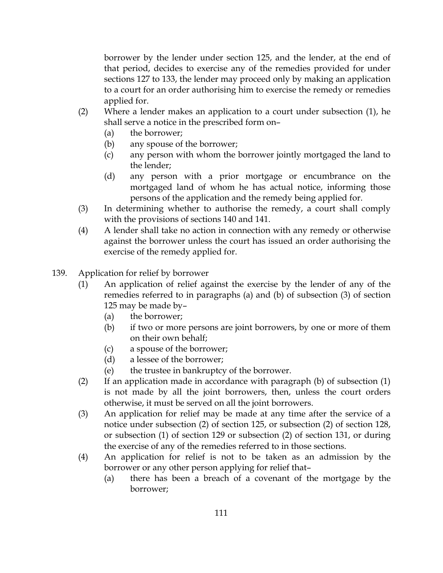borrower by the lender under section 125, and the lender, at the end of that period, decides to exercise any of the remedies provided for under sections 127 to 133, the lender may proceed only by making an application to a court for an order authorising him to exercise the remedy or remedies applied for.

- (2) Where a lender makes an application to a court under subsection (1), he shall serve a notice in the prescribed form on–
	- (a) the borrower;
	- (b) any spouse of the borrower;
	- (c) any person with whom the borrower jointly mortgaged the land to the lender;
	- (d) any person with a prior mortgage or encumbrance on the mortgaged land of whom he has actual notice, informing those persons of the application and the remedy being applied for.
- (3) In determining whether to authorise the remedy, a court shall comply with the provisions of sections 140 and 141.
- (4) A lender shall take no action in connection with any remedy or otherwise against the borrower unless the court has issued an order authorising the exercise of the remedy applied for.
- 139. Application for relief by borrower
	- (1) An application of relief against the exercise by the lender of any of the remedies referred to in paragraphs (a) and (b) of subsection (3) of section 125 may be made by–
		- (a) the borrower;
		- (b) if two or more persons are joint borrowers, by one or more of them on their own behalf;
		- (c) a spouse of the borrower;
		- (d) a lessee of the borrower;
		- (e) the trustee in bankruptcy of the borrower.
	- (2) If an application made in accordance with paragraph (b) of subsection (1) is not made by all the joint borrowers, then, unless the court orders otherwise, it must be served on all the joint borrowers.
	- (3) An application for relief may be made at any time after the service of a notice under subsection (2) of section 125, or subsection (2) of section 128, or subsection (1) of section 129 or subsection (2) of section 131, or during the exercise of any of the remedies referred to in those sections.
	- (4) An application for relief is not to be taken as an admission by the borrower or any other person applying for relief that–
		- (a) there has been a breach of a covenant of the mortgage by the borrower;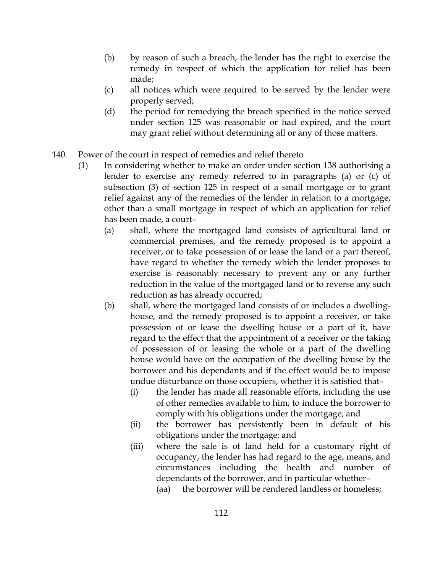- (b) by reason of such a breach, the lender has the right to exercise the remedy in respect of which the application for relief has been made;
- (c) all notices which were required to be served by the lender were properly served;
- (d) the period for remedying the breach specified in the notice served under section 125 was reasonable or had expired, and the court may grant relief without determining all or any of those matters.
- 140. Power of the court in respect of remedies and relief thereto
	- (1) In considering whether to make an order under section 138 authorising a lender to exercise any remedy referred to in paragraphs (a) or (c) of subsection (3) of section 125 in respect of a small mortgage or to grant relief against any of the remedies of the lender in relation to a mortgage, other than a small mortgage in respect of which an application for relief has been made, a court–
		- (a) shall, where the mortgaged land consists of agricultural land or commercial premises, and the remedy proposed is to appoint a receiver, or to take possession of or lease the land or a part thereof, have regard to whether the remedy which the lender proposes to exercise is reasonably necessary to prevent any or any further reduction in the value of the mortgaged land or to reverse any such reduction as has already occurred;
		- (b) shall, where the mortgaged land consists of or includes a dwellinghouse, and the remedy proposed is to appoint a receiver, or take possession of or lease the dwelling house or a part of it, have regard to the effect that the appointment of a receiver or the taking of possession of or leasing the whole or a part of the dwelling house would have on the occupation of the dwelling house by the borrower and his dependants and if the effect would be to impose undue disturbance on those occupiers, whether it is satisfied that–
			- (i) the lender has made all reasonable efforts, including the use of other remedies available to him, to induce the borrower to comply with his obligations under the mortgage; and
			- (ii) the borrower has persistently been in default of his obligations under the mortgage; and
			- (iii) where the sale is of land held for a customary right of occupancy, the lender has had regard to the age, means, and circumstances including the health and number of dependants of the borrower, and in particular whether–
				- (aa) the borrower will be rendered landless or homeless;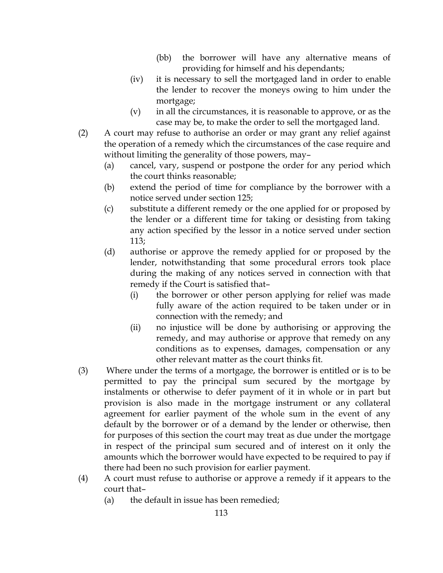- (bb) the borrower will have any alternative means of providing for himself and his dependants;
- (iv) it is necessary to sell the mortgaged land in order to enable the lender to recover the moneys owing to him under the mortgage;
- (v) in all the circumstances, it is reasonable to approve, or as the case may be, to make the order to sell the mortgaged land.
- (2) A court may refuse to authorise an order or may grant any relief against the operation of a remedy which the circumstances of the case require and without limiting the generality of those powers, may–
	- (a) cancel, vary, suspend or postpone the order for any period which the court thinks reasonable;
	- (b) extend the period of time for compliance by the borrower with a notice served under section 125;
	- (c) substitute a different remedy or the one applied for or proposed by the lender or a different time for taking or desisting from taking any action specified by the lessor in a notice served under section 113;
	- (d) authorise or approve the remedy applied for or proposed by the lender, notwithstanding that some procedural errors took place during the making of any notices served in connection with that remedy if the Court is satisfied that–
		- (i) the borrower or other person applying for relief was made fully aware of the action required to be taken under or in connection with the remedy; and
		- (ii) no injustice will be done by authorising or approving the remedy, and may authorise or approve that remedy on any conditions as to expenses, damages, compensation or any other relevant matter as the court thinks fit.
- (3) Where under the terms of a mortgage, the borrower is entitled or is to be permitted to pay the principal sum secured by the mortgage by instalments or otherwise to defer payment of it in whole or in part but provision is also made in the mortgage instrument or any collateral agreement for earlier payment of the whole sum in the event of any default by the borrower or of a demand by the lender or otherwise, then for purposes of this section the court may treat as due under the mortgage in respect of the principal sum secured and of interest on it only the amounts which the borrower would have expected to be required to pay if there had been no such provision for earlier payment.
- (4) A court must refuse to authorise or approve a remedy if it appears to the court that–
	- (a) the default in issue has been remedied;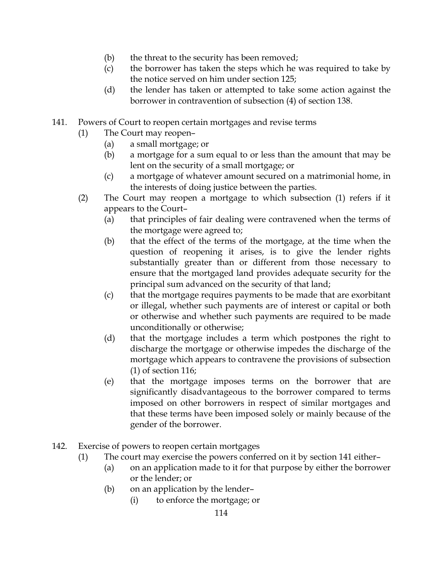- (b) the threat to the security has been removed;
- (c) the borrower has taken the steps which he was required to take by the notice served on him under section 125;
- (d) the lender has taken or attempted to take some action against the borrower in contravention of subsection (4) of section 138.
- 141. Powers of Court to reopen certain mortgages and revise terms
	- (1) The Court may reopen–
		- (a) a small mortgage; or
		- (b) a mortgage for a sum equal to or less than the amount that may be lent on the security of a small mortgage; or
		- (c) a mortgage of whatever amount secured on a matrimonial home, in the interests of doing justice between the parties.
	- (2) The Court may reopen a mortgage to which subsection (1) refers if it appears to the Court–
		- (a) that principles of fair dealing were contravened when the terms of the mortgage were agreed to;
		- (b) that the effect of the terms of the mortgage, at the time when the question of reopening it arises, is to give the lender rights substantially greater than or different from those necessary to ensure that the mortgaged land provides adequate security for the principal sum advanced on the security of that land;
		- (c) that the mortgage requires payments to be made that are exorbitant or illegal, whether such payments are of interest or capital or both or otherwise and whether such payments are required to be made unconditionally or otherwise;
		- (d) that the mortgage includes a term which postpones the right to discharge the mortgage or otherwise impedes the discharge of the mortgage which appears to contravene the provisions of subsection (1) of section 116;
		- (e) that the mortgage imposes terms on the borrower that are significantly disadvantageous to the borrower compared to terms imposed on other borrowers in respect of similar mortgages and that these terms have been imposed solely or mainly because of the gender of the borrower.
- 142. Exercise of powers to reopen certain mortgages
	- (1) The court may exercise the powers conferred on it by section 141 either–
		- (a) on an application made to it for that purpose by either the borrower or the lender; or
		- (b) on an application by the lender–
			- (i) to enforce the mortgage; or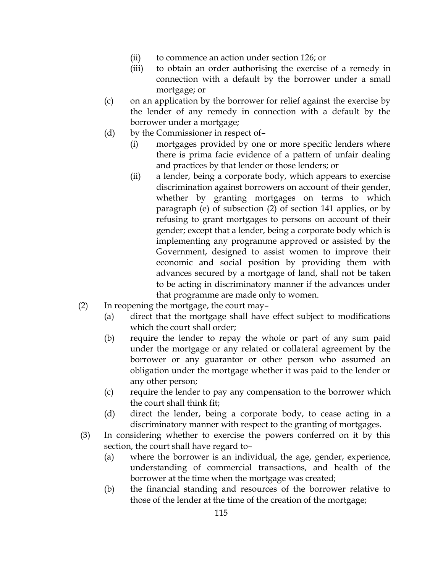- (ii) to commence an action under section 126; or
- (iii) to obtain an order authorising the exercise of a remedy in connection with a default by the borrower under a small mortgage; or
- (c) on an application by the borrower for relief against the exercise by the lender of any remedy in connection with a default by the borrower under a mortgage;
- (d) by the Commissioner in respect of–
	- (i) mortgages provided by one or more specific lenders where there is prima facie evidence of a pattern of unfair dealing and practices by that lender or those lenders; or
	- (ii) a lender, being a corporate body, which appears to exercise discrimination against borrowers on account of their gender, whether by granting mortgages on terms to which paragraph (e) of subsection (2) of section 141 applies, or by refusing to grant mortgages to persons on account of their gender; except that a lender, being a corporate body which is implementing any programme approved or assisted by the Government, designed to assist women to improve their economic and social position by providing them with advances secured by a mortgage of land, shall not be taken to be acting in discriminatory manner if the advances under that programme are made only to women.
- (2) In reopening the mortgage, the court may–
	- (a) direct that the mortgage shall have effect subject to modifications which the court shall order;
	- (b) require the lender to repay the whole or part of any sum paid under the mortgage or any related or collateral agreement by the borrower or any guarantor or other person who assumed an obligation under the mortgage whether it was paid to the lender or any other person;
	- (c) require the lender to pay any compensation to the borrower which the court shall think fit;
	- (d) direct the lender, being a corporate body, to cease acting in a discriminatory manner with respect to the granting of mortgages.
- (3) In considering whether to exercise the powers conferred on it by this section, the court shall have regard to–
	- (a) where the borrower is an individual, the age, gender, experience, understanding of commercial transactions, and health of the borrower at the time when the mortgage was created;
	- (b) the financial standing and resources of the borrower relative to those of the lender at the time of the creation of the mortgage;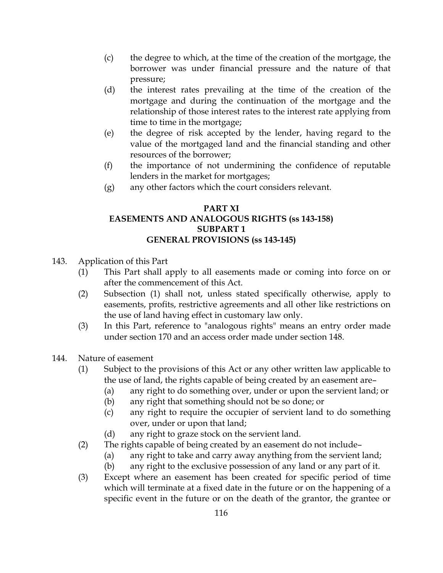- (c) the degree to which, at the time of the creation of the mortgage, the borrower was under financial pressure and the nature of that pressure;
- (d) the interest rates prevailing at the time of the creation of the mortgage and during the continuation of the mortgage and the relationship of those interest rates to the interest rate applying from time to time in the mortgage;
- (e) the degree of risk accepted by the lender, having regard to the value of the mortgaged land and the financial standing and other resources of the borrower;
- (f) the importance of not undermining the confidence of reputable lenders in the market for mortgages;
- (g) any other factors which the court considers relevant.

### PART XI EASEMENTS AND ANALOGOUS RIGHTS (ss 143-158) SUBPART 1 GENERAL PROVISIONS (ss 143-145)

- 143. Application of this Part
	- (1) This Part shall apply to all easements made or coming into force on or after the commencement of this Act.
	- (2) Subsection (1) shall not, unless stated specifically otherwise, apply to easements, profits, restrictive agreements and all other like restrictions on the use of land having effect in customary law only.
	- (3) In this Part, reference to "analogous rights" means an entry order made under section 170 and an access order made under section 148.
- 144. Nature of easement
	- (1) Subject to the provisions of this Act or any other written law applicable to the use of land, the rights capable of being created by an easement are–
		- (a) any right to do something over, under or upon the servient land; or
		- (b) any right that something should not be so done; or
		- (c) any right to require the occupier of servient land to do something over, under or upon that land;
		- (d) any right to graze stock on the servient land.
	- (2) The rights capable of being created by an easement do not include–
		- (a) any right to take and carry away anything from the servient land;
		- (b) any right to the exclusive possession of any land or any part of it.
	- (3) Except where an easement has been created for specific period of time which will terminate at a fixed date in the future or on the happening of a specific event in the future or on the death of the grantor, the grantee or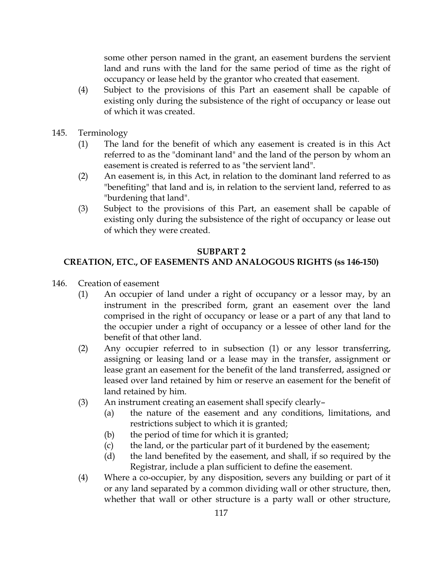some other person named in the grant, an easement burdens the servient land and runs with the land for the same period of time as the right of occupancy or lease held by the grantor who created that easement.

- (4) Subject to the provisions of this Part an easement shall be capable of existing only during the subsistence of the right of occupancy or lease out of which it was created.
- 145. Terminology
	- (1) The land for the benefit of which any easement is created is in this Act referred to as the "dominant land" and the land of the person by whom an easement is created is referred to as "the servient land".
	- (2) An easement is, in this Act, in relation to the dominant land referred to as "benefiting" that land and is, in relation to the servient land, referred to as "burdening that land".
	- (3) Subject to the provisions of this Part, an easement shall be capable of existing only during the subsistence of the right of occupancy or lease out of which they were created.

#### SUBPART 2

## CREATION, ETC., OF EASEMENTS AND ANALOGOUS RIGHTS (ss 146-150)

- 146. Creation of easement
	- (1) An occupier of land under a right of occupancy or a lessor may, by an instrument in the prescribed form, grant an easement over the land comprised in the right of occupancy or lease or a part of any that land to the occupier under a right of occupancy or a lessee of other land for the benefit of that other land.
	- (2) Any occupier referred to in subsection (1) or any lessor transferring, assigning or leasing land or a lease may in the transfer, assignment or lease grant an easement for the benefit of the land transferred, assigned or leased over land retained by him or reserve an easement for the benefit of land retained by him.
	- (3) An instrument creating an easement shall specify clearly–
		- (a) the nature of the easement and any conditions, limitations, and restrictions subject to which it is granted;
		- (b) the period of time for which it is granted;
		- (c) the land, or the particular part of it burdened by the easement;
		- (d) the land benefited by the easement, and shall, if so required by the Registrar, include a plan sufficient to define the easement.
	- (4) Where a co-occupier, by any disposition, severs any building or part of it or any land separated by a common dividing wall or other structure, then, whether that wall or other structure is a party wall or other structure,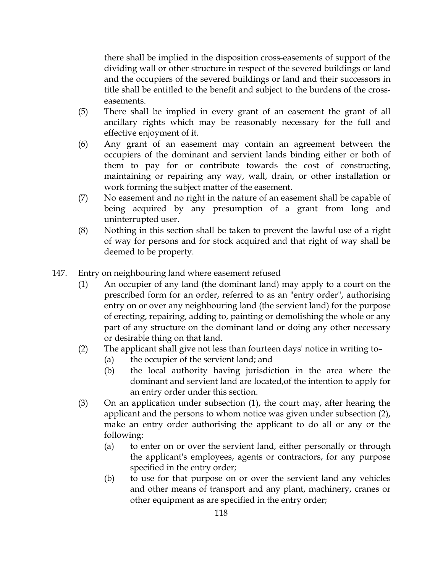there shall be implied in the disposition cross-easements of support of the dividing wall or other structure in respect of the severed buildings or land and the occupiers of the severed buildings or land and their successors in title shall be entitled to the benefit and subject to the burdens of the crosseasements.

- (5) There shall be implied in every grant of an easement the grant of all ancillary rights which may be reasonably necessary for the full and effective enjoyment of it.
- (6) Any grant of an easement may contain an agreement between the occupiers of the dominant and servient lands binding either or both of them to pay for or contribute towards the cost of constructing, maintaining or repairing any way, wall, drain, or other installation or work forming the subject matter of the easement.
- (7) No easement and no right in the nature of an easement shall be capable of being acquired by any presumption of a grant from long and uninterrupted user.
- (8) Nothing in this section shall be taken to prevent the lawful use of a right of way for persons and for stock acquired and that right of way shall be deemed to be property.
- 147. Entry on neighbouring land where easement refused
	- (1) An occupier of any land (the dominant land) may apply to a court on the prescribed form for an order, referred to as an "entry order", authorising entry on or over any neighbouring land (the servient land) for the purpose of erecting, repairing, adding to, painting or demolishing the whole or any part of any structure on the dominant land or doing any other necessary or desirable thing on that land.
	- (2) The applicant shall give not less than fourteen days' notice in writing to–
		- (a) the occupier of the servient land; and
		- (b) the local authority having jurisdiction in the area where the dominant and servient land are located,of the intention to apply for an entry order under this section.
	- (3) On an application under subsection (1), the court may, after hearing the applicant and the persons to whom notice was given under subsection (2), make an entry order authorising the applicant to do all or any or the following:
		- (a) to enter on or over the servient land, either personally or through the applicant's employees, agents or contractors, for any purpose specified in the entry order;
		- (b) to use for that purpose on or over the servient land any vehicles and other means of transport and any plant, machinery, cranes or other equipment as are specified in the entry order;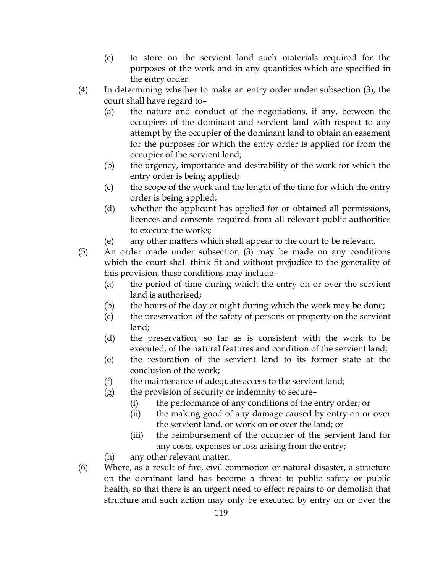- (c) to store on the servient land such materials required for the purposes of the work and in any quantities which are specified in the entry order.
- (4) In determining whether to make an entry order under subsection (3), the court shall have regard to–
	- (a) the nature and conduct of the negotiations, if any, between the occupiers of the dominant and servient land with respect to any attempt by the occupier of the dominant land to obtain an easement for the purposes for which the entry order is applied for from the occupier of the servient land;
	- (b) the urgency, importance and desirability of the work for which the entry order is being applied;
	- (c) the scope of the work and the length of the time for which the entry order is being applied;
	- (d) whether the applicant has applied for or obtained all permissions, licences and consents required from all relevant public authorities to execute the works;
	- (e) any other matters which shall appear to the court to be relevant.

(5) An order made under subsection (3) may be made on any conditions which the court shall think fit and without prejudice to the generality of this provision, these conditions may include–

- (a) the period of time during which the entry on or over the servient land is authorised;
- (b) the hours of the day or night during which the work may be done;
- (c) the preservation of the safety of persons or property on the servient land;
- (d) the preservation, so far as is consistent with the work to be executed, of the natural features and condition of the servient land;
- (e) the restoration of the servient land to its former state at the conclusion of the work;
- (f) the maintenance of adequate access to the servient land;
- (g) the provision of security or indemnity to secure–
	- (i) the performance of any conditions of the entry order; or
	- (ii) the making good of any damage caused by entry on or over the servient land, or work on or over the land; or
	- (iii) the reimbursement of the occupier of the servient land for any costs, expenses or loss arising from the entry;
- (h) any other relevant matter.
- (6) Where, as a result of fire, civil commotion or natural disaster, a structure on the dominant land has become a threat to public safety or public health, so that there is an urgent need to effect repairs to or demolish that structure and such action may only be executed by entry on or over the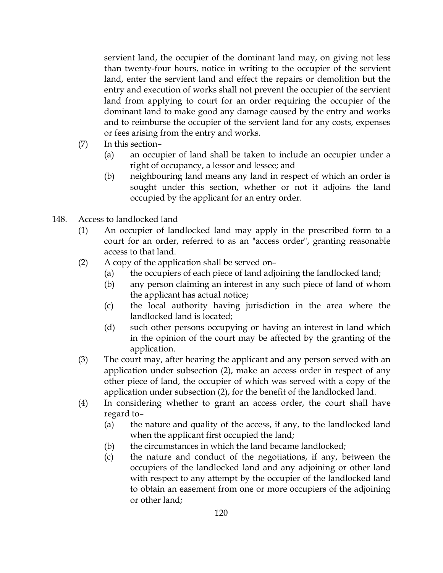servient land, the occupier of the dominant land may, on giving not less than twenty-four hours, notice in writing to the occupier of the servient land, enter the servient land and effect the repairs or demolition but the entry and execution of works shall not prevent the occupier of the servient land from applying to court for an order requiring the occupier of the dominant land to make good any damage caused by the entry and works and to reimburse the occupier of the servient land for any costs, expenses or fees arising from the entry and works.

- (7) In this section–
	- (a) an occupier of land shall be taken to include an occupier under a right of occupancy, a lessor and lessee; and
	- (b) neighbouring land means any land in respect of which an order is sought under this section, whether or not it adjoins the land occupied by the applicant for an entry order.
- 148. Access to landlocked land
	- (1) An occupier of landlocked land may apply in the prescribed form to a court for an order, referred to as an "access order", granting reasonable access to that land.
	- (2) A copy of the application shall be served on–
		- (a) the occupiers of each piece of land adjoining the landlocked land;
		- (b) any person claiming an interest in any such piece of land of whom the applicant has actual notice;
		- (c) the local authority having jurisdiction in the area where the landlocked land is located;
		- (d) such other persons occupying or having an interest in land which in the opinion of the court may be affected by the granting of the application.
	- (3) The court may, after hearing the applicant and any person served with an application under subsection (2), make an access order in respect of any other piece of land, the occupier of which was served with a copy of the application under subsection (2), for the benefit of the landlocked land.
	- (4) In considering whether to grant an access order, the court shall have regard to–
		- (a) the nature and quality of the access, if any, to the landlocked land when the applicant first occupied the land;
		- (b) the circumstances in which the land became landlocked;
		- (c) the nature and conduct of the negotiations, if any, between the occupiers of the landlocked land and any adjoining or other land with respect to any attempt by the occupier of the landlocked land to obtain an easement from one or more occupiers of the adjoining or other land;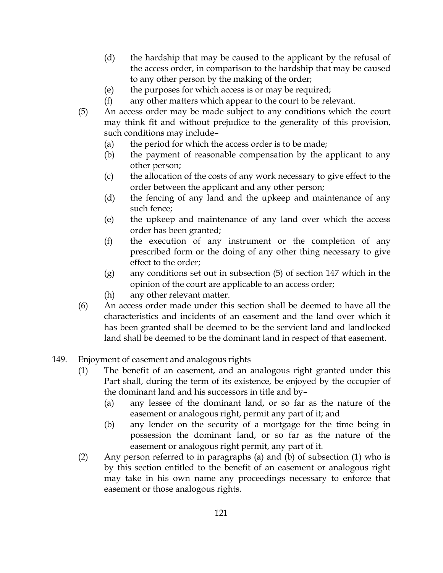- (d) the hardship that may be caused to the applicant by the refusal of the access order, in comparison to the hardship that may be caused to any other person by the making of the order;
- (e) the purposes for which access is or may be required;
- (f) any other matters which appear to the court to be relevant.
- (5) An access order may be made subject to any conditions which the court may think fit and without prejudice to the generality of this provision, such conditions may include–
	- (a) the period for which the access order is to be made;
	- (b) the payment of reasonable compensation by the applicant to any other person;
	- (c) the allocation of the costs of any work necessary to give effect to the order between the applicant and any other person;
	- (d) the fencing of any land and the upkeep and maintenance of any such fence;
	- (e) the upkeep and maintenance of any land over which the access order has been granted;
	- (f) the execution of any instrument or the completion of any prescribed form or the doing of any other thing necessary to give effect to the order;
	- (g) any conditions set out in subsection (5) of section 147 which in the opinion of the court are applicable to an access order;
	- (h) any other relevant matter.
- (6) An access order made under this section shall be deemed to have all the characteristics and incidents of an easement and the land over which it has been granted shall be deemed to be the servient land and landlocked land shall be deemed to be the dominant land in respect of that easement.
- 149. Enjoyment of easement and analogous rights
	- (1) The benefit of an easement, and an analogous right granted under this Part shall, during the term of its existence, be enjoyed by the occupier of the dominant land and his successors in title and by–
		- (a) any lessee of the dominant land, or so far as the nature of the easement or analogous right, permit any part of it; and
		- (b) any lender on the security of a mortgage for the time being in possession the dominant land, or so far as the nature of the easement or analogous right permit, any part of it.
	- (2) Any person referred to in paragraphs (a) and (b) of subsection (1) who is by this section entitled to the benefit of an easement or analogous right may take in his own name any proceedings necessary to enforce that easement or those analogous rights.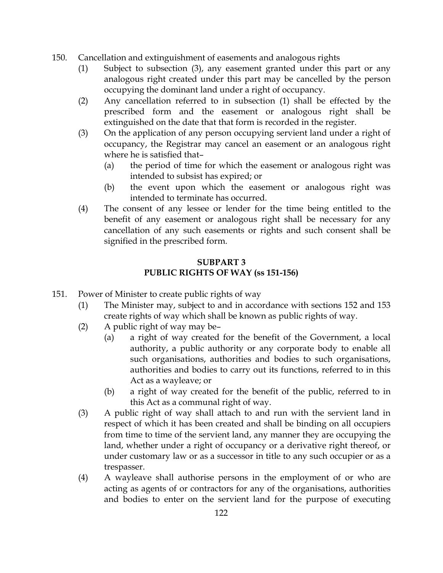- 150. Cancellation and extinguishment of easements and analogous rights
	- (1) Subject to subsection (3), any easement granted under this part or any analogous right created under this part may be cancelled by the person occupying the dominant land under a right of occupancy.
	- (2) Any cancellation referred to in subsection (1) shall be effected by the prescribed form and the easement or analogous right shall be extinguished on the date that that form is recorded in the register.
	- (3) On the application of any person occupying servient land under a right of occupancy, the Registrar may cancel an easement or an analogous right where he is satisfied that–
		- (a) the period of time for which the easement or analogous right was intended to subsist has expired; or
		- (b) the event upon which the easement or analogous right was intended to terminate has occurred.
	- (4) The consent of any lessee or lender for the time being entitled to the benefit of any easement or analogous right shall be necessary for any cancellation of any such easements or rights and such consent shall be signified in the prescribed form.

# SUBPART 3 PUBLIC RIGHTS OF WAY (ss 151-156)

- 151. Power of Minister to create public rights of way
	- (1) The Minister may, subject to and in accordance with sections 152 and 153 create rights of way which shall be known as public rights of way.
	- (2) A public right of way may be–
		- (a) a right of way created for the benefit of the Government, a local authority, a public authority or any corporate body to enable all such organisations, authorities and bodies to such organisations, authorities and bodies to carry out its functions, referred to in this Act as a wayleave; or
		- (b) a right of way created for the benefit of the public, referred to in this Act as a communal right of way.
	- (3) A public right of way shall attach to and run with the servient land in respect of which it has been created and shall be binding on all occupiers from time to time of the servient land, any manner they are occupying the land, whether under a right of occupancy or a derivative right thereof, or under customary law or as a successor in title to any such occupier or as a trespasser.
	- (4) A wayleave shall authorise persons in the employment of or who are acting as agents of or contractors for any of the organisations, authorities and bodies to enter on the servient land for the purpose of executing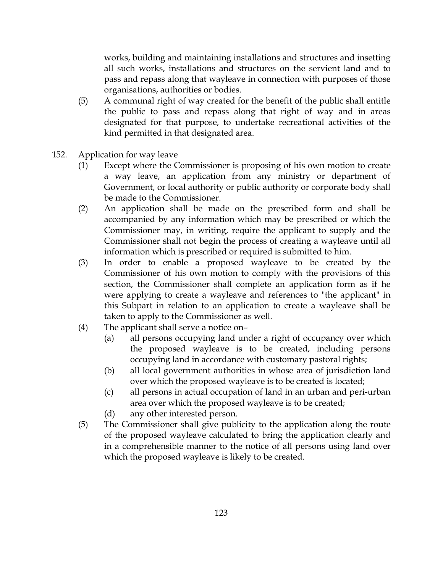works, building and maintaining installations and structures and insetting all such works, installations and structures on the servient land and to pass and repass along that wayleave in connection with purposes of those organisations, authorities or bodies.

- (5) A communal right of way created for the benefit of the public shall entitle the public to pass and repass along that right of way and in areas designated for that purpose, to undertake recreational activities of the kind permitted in that designated area.
- 152. Application for way leave
	- (1) Except where the Commissioner is proposing of his own motion to create a way leave, an application from any ministry or department of Government, or local authority or public authority or corporate body shall be made to the Commissioner.
	- (2) An application shall be made on the prescribed form and shall be accompanied by any information which may be prescribed or which the Commissioner may, in writing, require the applicant to supply and the Commissioner shall not begin the process of creating a wayleave until all information which is prescribed or required is submitted to him.
	- (3) In order to enable a proposed wayleave to be created by the Commissioner of his own motion to comply with the provisions of this section, the Commissioner shall complete an application form as if he were applying to create a wayleave and references to "the applicant" in this Subpart in relation to an application to create a wayleave shall be taken to apply to the Commissioner as well.
	- (4) The applicant shall serve a notice on–
		- (a) all persons occupying land under a right of occupancy over which the proposed wayleave is to be created, including persons occupying land in accordance with customary pastoral rights;
		- (b) all local government authorities in whose area of jurisdiction land over which the proposed wayleave is to be created is located;
		- (c) all persons in actual occupation of land in an urban and peri-urban area over which the proposed wayleave is to be created;
		- (d) any other interested person.
	- (5) The Commissioner shall give publicity to the application along the route of the proposed wayleave calculated to bring the application clearly and in a comprehensible manner to the notice of all persons using land over which the proposed wayleave is likely to be created.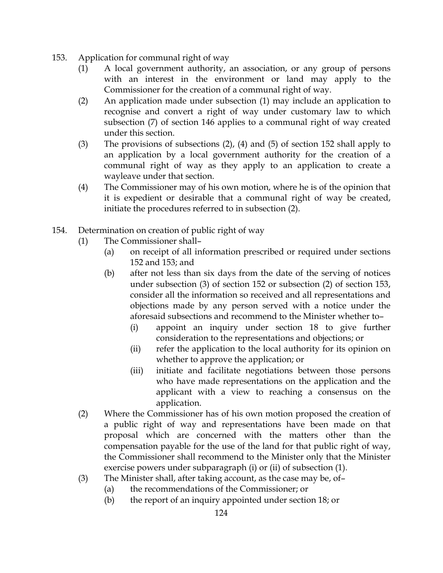- 153. Application for communal right of way
	- (1) A local government authority, an association, or any group of persons with an interest in the environment or land may apply to the Commissioner for the creation of a communal right of way.
	- (2) An application made under subsection (1) may include an application to recognise and convert a right of way under customary law to which subsection (7) of section 146 applies to a communal right of way created under this section.
	- (3) The provisions of subsections (2), (4) and (5) of section 152 shall apply to an application by a local government authority for the creation of a communal right of way as they apply to an application to create a wayleave under that section.
	- (4) The Commissioner may of his own motion, where he is of the opinion that it is expedient or desirable that a communal right of way be created, initiate the procedures referred to in subsection (2).
- 154. Determination on creation of public right of way
	- (1) The Commissioner shall–
		- (a) on receipt of all information prescribed or required under sections 152 and 153; and
		- (b) after not less than six days from the date of the serving of notices under subsection (3) of section 152 or subsection (2) of section 153, consider all the information so received and all representations and objections made by any person served with a notice under the aforesaid subsections and recommend to the Minister whether to–
			- (i) appoint an inquiry under section 18 to give further consideration to the representations and objections; or
			- (ii) refer the application to the local authority for its opinion on whether to approve the application; or
			- (iii) initiate and facilitate negotiations between those persons who have made representations on the application and the applicant with a view to reaching a consensus on the application.
	- (2) Where the Commissioner has of his own motion proposed the creation of a public right of way and representations have been made on that proposal which are concerned with the matters other than the compensation payable for the use of the land for that public right of way, the Commissioner shall recommend to the Minister only that the Minister exercise powers under subparagraph (i) or (ii) of subsection (1).
	- (3) The Minister shall, after taking account, as the case may be, of–
		- (a) the recommendations of the Commissioner; or
		- (b) the report of an inquiry appointed under section 18; or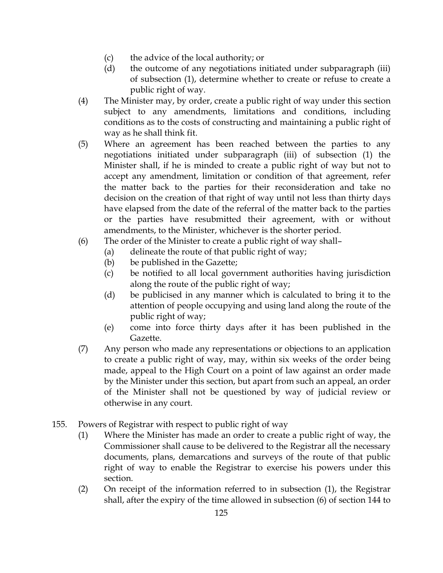- (c) the advice of the local authority; or
- (d) the outcome of any negotiations initiated under subparagraph (iii) of subsection (1), determine whether to create or refuse to create a public right of way.
- (4) The Minister may, by order, create a public right of way under this section subject to any amendments, limitations and conditions, including conditions as to the costs of constructing and maintaining a public right of way as he shall think fit.
- (5) Where an agreement has been reached between the parties to any negotiations initiated under subparagraph (iii) of subsection (1) the Minister shall, if he is minded to create a public right of way but not to accept any amendment, limitation or condition of that agreement, refer the matter back to the parties for their reconsideration and take no decision on the creation of that right of way until not less than thirty days have elapsed from the date of the referral of the matter back to the parties or the parties have resubmitted their agreement, with or without amendments, to the Minister, whichever is the shorter period.
- (6) The order of the Minister to create a public right of way shall–
	- (a) delineate the route of that public right of way;
	- (b) be published in the Gazette;
	- (c) be notified to all local government authorities having jurisdiction along the route of the public right of way;
	- (d) be publicised in any manner which is calculated to bring it to the attention of people occupying and using land along the route of the public right of way;
	- (e) come into force thirty days after it has been published in the Gazette.
- (7) Any person who made any representations or objections to an application to create a public right of way, may, within six weeks of the order being made, appeal to the High Court on a point of law against an order made by the Minister under this section, but apart from such an appeal, an order of the Minister shall not be questioned by way of judicial review or otherwise in any court.
- 155. Powers of Registrar with respect to public right of way
	- (1) Where the Minister has made an order to create a public right of way, the Commissioner shall cause to be delivered to the Registrar all the necessary documents, plans, demarcations and surveys of the route of that public right of way to enable the Registrar to exercise his powers under this section.
	- (2) On receipt of the information referred to in subsection (1), the Registrar shall, after the expiry of the time allowed in subsection (6) of section 144 to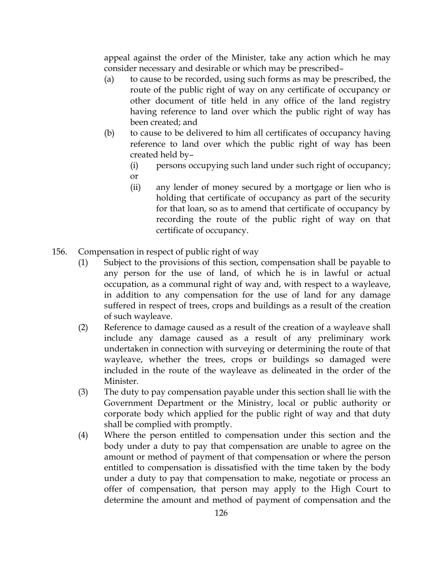appeal against the order of the Minister, take any action which he may consider necessary and desirable or which may be prescribed–

- (a) to cause to be recorded, using such forms as may be prescribed, the route of the public right of way on any certificate of occupancy or other document of title held in any office of the land registry having reference to land over which the public right of way has been created; and
- (b) to cause to be delivered to him all certificates of occupancy having reference to land over which the public right of way has been created held by–
	- (i) persons occupying such land under such right of occupancy; or
	- (ii) any lender of money secured by a mortgage or lien who is holding that certificate of occupancy as part of the security for that loan, so as to amend that certificate of occupancy by recording the route of the public right of way on that certificate of occupancy.
- 156. Compensation in respect of public right of way
	- (1) Subject to the provisions of this section, compensation shall be payable to any person for the use of land, of which he is in lawful or actual occupation, as a communal right of way and, with respect to a wayleave, in addition to any compensation for the use of land for any damage suffered in respect of trees, crops and buildings as a result of the creation of such wayleave.
	- (2) Reference to damage caused as a result of the creation of a wayleave shall include any damage caused as a result of any preliminary work undertaken in connection with surveying or determining the route of that wayleave, whether the trees, crops or buildings so damaged were included in the route of the wayleave as delineated in the order of the Minister.
	- (3) The duty to pay compensation payable under this section shall lie with the Government Department or the Ministry, local or public authority or corporate body which applied for the public right of way and that duty shall be complied with promptly.
	- (4) Where the person entitled to compensation under this section and the body under a duty to pay that compensation are unable to agree on the amount or method of payment of that compensation or where the person entitled to compensation is dissatisfied with the time taken by the body under a duty to pay that compensation to make, negotiate or process an offer of compensation, that person may apply to the High Court to determine the amount and method of payment of compensation and the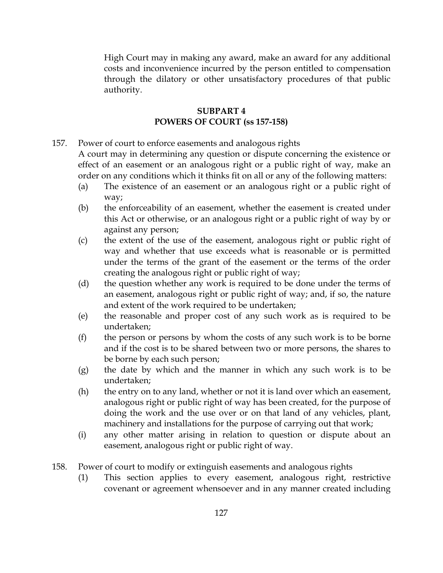High Court may in making any award, make an award for any additional costs and inconvenience incurred by the person entitled to compensation through the dilatory or other unsatisfactory procedures of that public authority.

### SUBPART 4 POWERS OF COURT (ss 157-158)

157. Power of court to enforce easements and analogous rights

A court may in determining any question or dispute concerning the existence or effect of an easement or an analogous right or a public right of way, make an order on any conditions which it thinks fit on all or any of the following matters:

- (a) The existence of an easement or an analogous right or a public right of way;
- (b) the enforceability of an easement, whether the easement is created under this Act or otherwise, or an analogous right or a public right of way by or against any person;
- (c) the extent of the use of the easement, analogous right or public right of way and whether that use exceeds what is reasonable or is permitted under the terms of the grant of the easement or the terms of the order creating the analogous right or public right of way;
- (d) the question whether any work is required to be done under the terms of an easement, analogous right or public right of way; and, if so, the nature and extent of the work required to be undertaken;
- (e) the reasonable and proper cost of any such work as is required to be undertaken;
- (f) the person or persons by whom the costs of any such work is to be borne and if the cost is to be shared between two or more persons, the shares to be borne by each such person;
- (g) the date by which and the manner in which any such work is to be undertaken;
- (h) the entry on to any land, whether or not it is land over which an easement, analogous right or public right of way has been created, for the purpose of doing the work and the use over or on that land of any vehicles, plant, machinery and installations for the purpose of carrying out that work;
- (i) any other matter arising in relation to question or dispute about an easement, analogous right or public right of way.
- 158. Power of court to modify or extinguish easements and analogous rights
	- (1) This section applies to every easement, analogous right, restrictive covenant or agreement whensoever and in any manner created including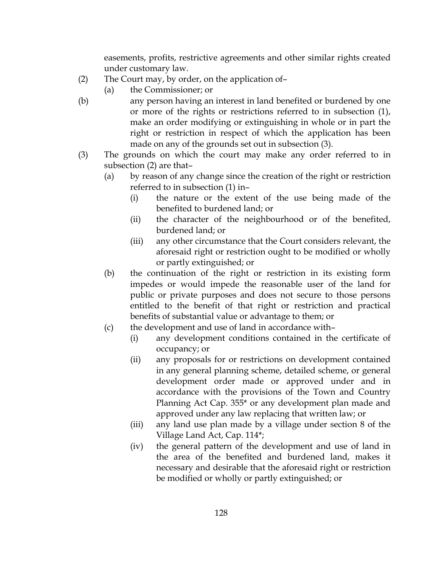easements, profits, restrictive agreements and other similar rights created under customary law.

- (2) The Court may, by order, on the application of–
	- (a) the Commissioner; or
- (b) any person having an interest in land benefited or burdened by one or more of the rights or restrictions referred to in subsection (1), make an order modifying or extinguishing in whole or in part the right or restriction in respect of which the application has been made on any of the grounds set out in subsection (3).
- (3) The grounds on which the court may make any order referred to in subsection (2) are that–
	- (a) by reason of any change since the creation of the right or restriction referred to in subsection (1) in–
		- (i) the nature or the extent of the use being made of the benefited to burdened land; or
		- (ii) the character of the neighbourhood or of the benefited, burdened land; or
		- (iii) any other circumstance that the Court considers relevant, the aforesaid right or restriction ought to be modified or wholly or partly extinguished; or
	- (b) the continuation of the right or restriction in its existing form impedes or would impede the reasonable user of the land for public or private purposes and does not secure to those persons entitled to the benefit of that right or restriction and practical benefits of substantial value or advantage to them; or
	- (c) the development and use of land in accordance with–
		- (i) any development conditions contained in the certificate of occupancy; or
		- (ii) any proposals for or restrictions on development contained in any general planning scheme, detailed scheme, or general development order made or approved under and in accordance with the provisions of the Town and Country Planning Act Cap. 355\* or any development plan made and approved under any law replacing that written law; or
		- (iii) any land use plan made by a village under section 8 of the Village Land Act, Cap. 114\*;
		- (iv) the general pattern of the development and use of land in the area of the benefited and burdened land, makes it necessary and desirable that the aforesaid right or restriction be modified or wholly or partly extinguished; or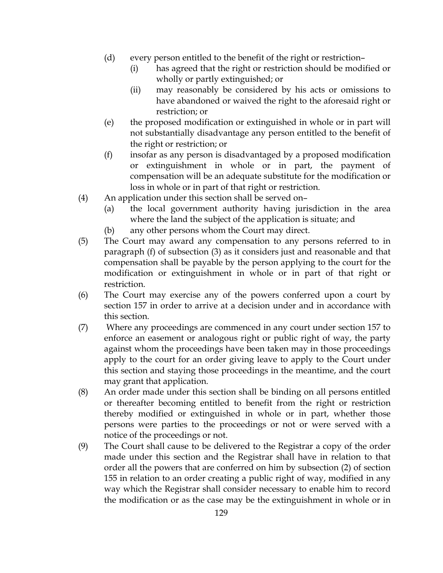- (d) every person entitled to the benefit of the right or restriction–
	- (i) has agreed that the right or restriction should be modified or wholly or partly extinguished; or
	- (ii) may reasonably be considered by his acts or omissions to have abandoned or waived the right to the aforesaid right or restriction; or
- (e) the proposed modification or extinguished in whole or in part will not substantially disadvantage any person entitled to the benefit of the right or restriction; or
- (f) insofar as any person is disadvantaged by a proposed modification or extinguishment in whole or in part, the payment of compensation will be an adequate substitute for the modification or loss in whole or in part of that right or restriction.
- (4) An application under this section shall be served on–
	- (a) the local government authority having jurisdiction in the area where the land the subject of the application is situate; and
	- (b) any other persons whom the Court may direct.
- (5) The Court may award any compensation to any persons referred to in paragraph (f) of subsection (3) as it considers just and reasonable and that compensation shall be payable by the person applying to the court for the modification or extinguishment in whole or in part of that right or restriction.
- (6) The Court may exercise any of the powers conferred upon a court by section 157 in order to arrive at a decision under and in accordance with this section.
- (7) Where any proceedings are commenced in any court under section 157 to enforce an easement or analogous right or public right of way, the party against whom the proceedings have been taken may in those proceedings apply to the court for an order giving leave to apply to the Court under this section and staying those proceedings in the meantime, and the court may grant that application.
- (8) An order made under this section shall be binding on all persons entitled or thereafter becoming entitled to benefit from the right or restriction thereby modified or extinguished in whole or in part, whether those persons were parties to the proceedings or not or were served with a notice of the proceedings or not.
- (9) The Court shall cause to be delivered to the Registrar a copy of the order made under this section and the Registrar shall have in relation to that order all the powers that are conferred on him by subsection (2) of section 155 in relation to an order creating a public right of way, modified in any way which the Registrar shall consider necessary to enable him to record the modification or as the case may be the extinguishment in whole or in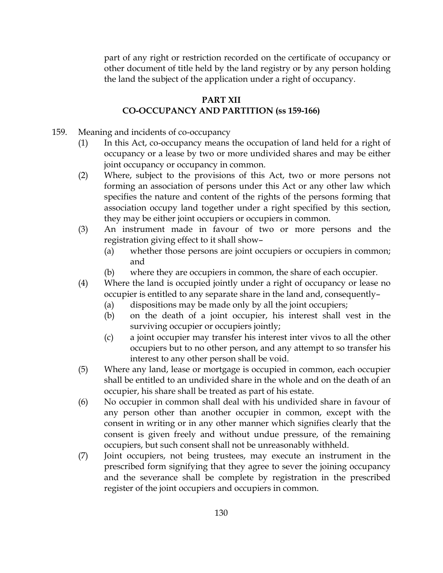part of any right or restriction recorded on the certificate of occupancy or other document of title held by the land registry or by any person holding the land the subject of the application under a right of occupancy.

# PART XII CO-OCCUPANCY AND PARTITION (ss 159-166)

- 159. Meaning and incidents of co-occupancy
	- (1) In this Act, co-occupancy means the occupation of land held for a right of occupancy or a lease by two or more undivided shares and may be either joint occupancy or occupancy in common.
	- (2) Where, subject to the provisions of this Act, two or more persons not forming an association of persons under this Act or any other law which specifies the nature and content of the rights of the persons forming that association occupy land together under a right specified by this section, they may be either joint occupiers or occupiers in common.
	- (3) An instrument made in favour of two or more persons and the registration giving effect to it shall show–
		- (a) whether those persons are joint occupiers or occupiers in common; and
		- (b) where they are occupiers in common, the share of each occupier.
	- (4) Where the land is occupied jointly under a right of occupancy or lease no occupier is entitled to any separate share in the land and, consequently–
		- (a) dispositions may be made only by all the joint occupiers;
		- (b) on the death of a joint occupier, his interest shall vest in the surviving occupier or occupiers jointly;
		- (c) a joint occupier may transfer his interest inter vivos to all the other occupiers but to no other person, and any attempt to so transfer his interest to any other person shall be void.
	- (5) Where any land, lease or mortgage is occupied in common, each occupier shall be entitled to an undivided share in the whole and on the death of an occupier, his share shall be treated as part of his estate.
	- (6) No occupier in common shall deal with his undivided share in favour of any person other than another occupier in common, except with the consent in writing or in any other manner which signifies clearly that the consent is given freely and without undue pressure, of the remaining occupiers, but such consent shall not be unreasonably withheld.
	- (7) Joint occupiers, not being trustees, may execute an instrument in the prescribed form signifying that they agree to sever the joining occupancy and the severance shall be complete by registration in the prescribed register of the joint occupiers and occupiers in common.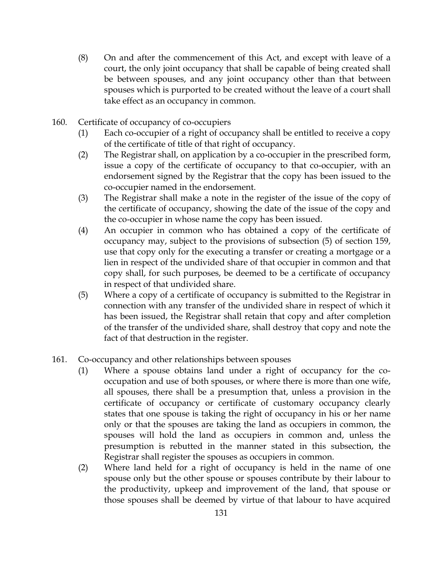- (8) On and after the commencement of this Act, and except with leave of a court, the only joint occupancy that shall be capable of being created shall be between spouses, and any joint occupancy other than that between spouses which is purported to be created without the leave of a court shall take effect as an occupancy in common.
- 160. Certificate of occupancy of co-occupiers
	- (1) Each co-occupier of a right of occupancy shall be entitled to receive a copy of the certificate of title of that right of occupancy.
	- (2) The Registrar shall, on application by a co-occupier in the prescribed form, issue a copy of the certificate of occupancy to that co-occupier, with an endorsement signed by the Registrar that the copy has been issued to the co-occupier named in the endorsement.
	- (3) The Registrar shall make a note in the register of the issue of the copy of the certificate of occupancy, showing the date of the issue of the copy and the co-occupier in whose name the copy has been issued.
	- (4) An occupier in common who has obtained a copy of the certificate of occupancy may, subject to the provisions of subsection (5) of section 159, use that copy only for the executing a transfer or creating a mortgage or a lien in respect of the undivided share of that occupier in common and that copy shall, for such purposes, be deemed to be a certificate of occupancy in respect of that undivided share.
	- (5) Where a copy of a certificate of occupancy is submitted to the Registrar in connection with any transfer of the undivided share in respect of which it has been issued, the Registrar shall retain that copy and after completion of the transfer of the undivided share, shall destroy that copy and note the fact of that destruction in the register.
- 161. Co-occupancy and other relationships between spouses
	- (1) Where a spouse obtains land under a right of occupancy for the cooccupation and use of both spouses, or where there is more than one wife, all spouses, there shall be a presumption that, unless a provision in the certificate of occupancy or certificate of customary occupancy clearly states that one spouse is taking the right of occupancy in his or her name only or that the spouses are taking the land as occupiers in common, the spouses will hold the land as occupiers in common and, unless the presumption is rebutted in the manner stated in this subsection, the Registrar shall register the spouses as occupiers in common.
	- (2) Where land held for a right of occupancy is held in the name of one spouse only but the other spouse or spouses contribute by their labour to the productivity, upkeep and improvement of the land, that spouse or those spouses shall be deemed by virtue of that labour to have acquired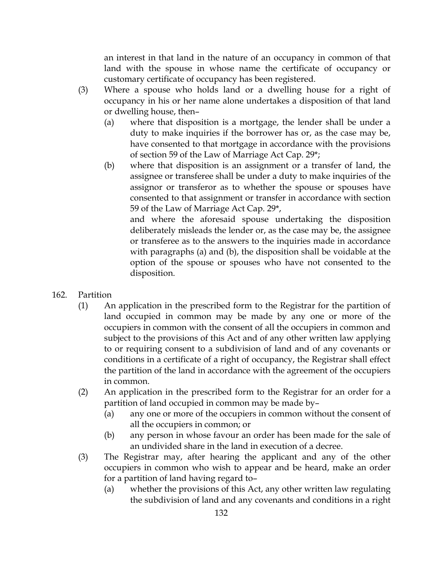an interest in that land in the nature of an occupancy in common of that land with the spouse in whose name the certificate of occupancy or customary certificate of occupancy has been registered.

- (3) Where a spouse who holds land or a dwelling house for a right of occupancy in his or her name alone undertakes a disposition of that land or dwelling house, then–
	- (a) where that disposition is a mortgage, the lender shall be under a duty to make inquiries if the borrower has or, as the case may be, have consented to that mortgage in accordance with the provisions of section 59 of the Law of Marriage Act Cap. 29\*;
	- (b) where that disposition is an assignment or a transfer of land, the assignee or transferee shall be under a duty to make inquiries of the assignor or transferor as to whether the spouse or spouses have consented to that assignment or transfer in accordance with section 59 of the Law of Marriage Act Cap. 29\*,

and where the aforesaid spouse undertaking the disposition deliberately misleads the lender or, as the case may be, the assignee or transferee as to the answers to the inquiries made in accordance with paragraphs (a) and (b), the disposition shall be voidable at the option of the spouse or spouses who have not consented to the disposition.

- 162. Partition
	- (1) An application in the prescribed form to the Registrar for the partition of land occupied in common may be made by any one or more of the occupiers in common with the consent of all the occupiers in common and subject to the provisions of this Act and of any other written law applying to or requiring consent to a subdivision of land and of any covenants or conditions in a certificate of a right of occupancy, the Registrar shall effect the partition of the land in accordance with the agreement of the occupiers in common.
	- (2) An application in the prescribed form to the Registrar for an order for a partition of land occupied in common may be made by–
		- (a) any one or more of the occupiers in common without the consent of all the occupiers in common; or
		- (b) any person in whose favour an order has been made for the sale of an undivided share in the land in execution of a decree.
	- (3) The Registrar may, after hearing the applicant and any of the other occupiers in common who wish to appear and be heard, make an order for a partition of land having regard to–
		- (a) whether the provisions of this Act, any other written law regulating the subdivision of land and any covenants and conditions in a right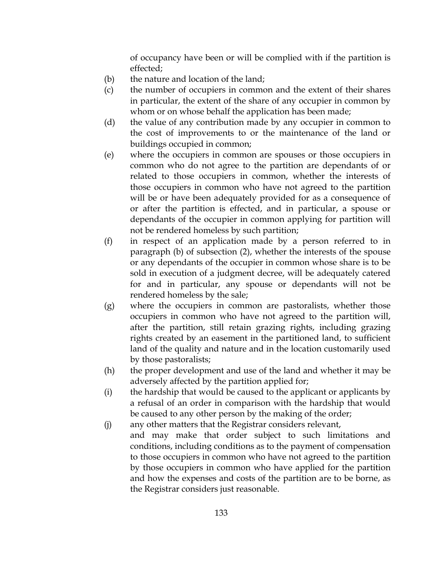of occupancy have been or will be complied with if the partition is effected;

- (b) the nature and location of the land;
- (c) the number of occupiers in common and the extent of their shares in particular, the extent of the share of any occupier in common by whom or on whose behalf the application has been made;
- (d) the value of any contribution made by any occupier in common to the cost of improvements to or the maintenance of the land or buildings occupied in common;
- (e) where the occupiers in common are spouses or those occupiers in common who do not agree to the partition are dependants of or related to those occupiers in common, whether the interests of those occupiers in common who have not agreed to the partition will be or have been adequately provided for as a consequence of or after the partition is effected, and in particular, a spouse or dependants of the occupier in common applying for partition will not be rendered homeless by such partition;
- (f) in respect of an application made by a person referred to in paragraph (b) of subsection (2), whether the interests of the spouse or any dependants of the occupier in common whose share is to be sold in execution of a judgment decree, will be adequately catered for and in particular, any spouse or dependants will not be rendered homeless by the sale;
- (g) where the occupiers in common are pastoralists, whether those occupiers in common who have not agreed to the partition will, after the partition, still retain grazing rights, including grazing rights created by an easement in the partitioned land, to sufficient land of the quality and nature and in the location customarily used by those pastoralists;
- (h) the proper development and use of the land and whether it may be adversely affected by the partition applied for;
- (i) the hardship that would be caused to the applicant or applicants by a refusal of an order in comparison with the hardship that would be caused to any other person by the making of the order;
- (j) any other matters that the Registrar considers relevant,
	- and may make that order subject to such limitations and conditions, including conditions as to the payment of compensation to those occupiers in common who have not agreed to the partition by those occupiers in common who have applied for the partition and how the expenses and costs of the partition are to be borne, as the Registrar considers just reasonable.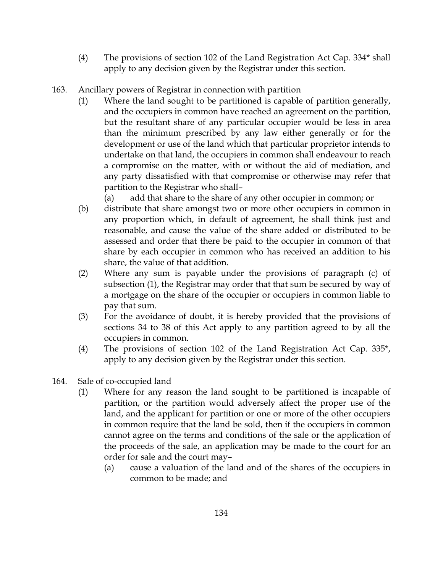- (4) The provisions of section 102 of the Land Registration Act Cap. 334\* shall apply to any decision given by the Registrar under this section.
- 163. Ancillary powers of Registrar in connection with partition
	- (1) Where the land sought to be partitioned is capable of partition generally, and the occupiers in common have reached an agreement on the partition, but the resultant share of any particular occupier would be less in area than the minimum prescribed by any law either generally or for the development or use of the land which that particular proprietor intends to undertake on that land, the occupiers in common shall endeavour to reach a compromise on the matter, with or without the aid of mediation, and any party dissatisfied with that compromise or otherwise may refer that partition to the Registrar who shall–

(a) add that share to the share of any other occupier in common; or

- (b) distribute that share amongst two or more other occupiers in common in any proportion which, in default of agreement, he shall think just and reasonable, and cause the value of the share added or distributed to be assessed and order that there be paid to the occupier in common of that share by each occupier in common who has received an addition to his share, the value of that addition.
- (2) Where any sum is payable under the provisions of paragraph (c) of subsection (1), the Registrar may order that that sum be secured by way of a mortgage on the share of the occupier or occupiers in common liable to pay that sum.
- (3) For the avoidance of doubt, it is hereby provided that the provisions of sections 34 to 38 of this Act apply to any partition agreed to by all the occupiers in common.
- (4) The provisions of section 102 of the Land Registration Act Cap. 335\*, apply to any decision given by the Registrar under this section.
- 164. Sale of co-occupied land
	- (1) Where for any reason the land sought to be partitioned is incapable of partition, or the partition would adversely affect the proper use of the land, and the applicant for partition or one or more of the other occupiers in common require that the land be sold, then if the occupiers in common cannot agree on the terms and conditions of the sale or the application of the proceeds of the sale, an application may be made to the court for an order for sale and the court may–
		- (a) cause a valuation of the land and of the shares of the occupiers in common to be made; and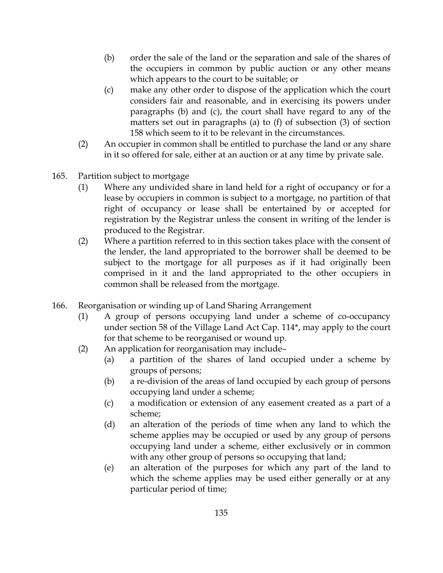- (b) order the sale of the land or the separation and sale of the shares of the occupiers in common by public auction or any other means which appears to the court to be suitable; or
- (c) make any other order to dispose of the application which the court considers fair and reasonable, and in exercising its powers under paragraphs (b) and (c), the court shall have regard to any of the matters set out in paragraphs (a) to (f) of subsection (3) of section 158 which seem to it to be relevant in the circumstances.
- (2) An occupier in common shall be entitled to purchase the land or any share in it so offered for sale, either at an auction or at any time by private sale.
- 165. Partition subject to mortgage
	- (1) Where any undivided share in land held for a right of occupancy or for a lease by occupiers in common is subject to a mortgage, no partition of that right of occupancy or lease shall be entertained by or accepted for registration by the Registrar unless the consent in writing of the lender is produced to the Registrar.
	- (2) Where a partition referred to in this section takes place with the consent of the lender, the land appropriated to the borrower shall be deemed to be subject to the mortgage for all purposes as if it had originally been comprised in it and the land appropriated to the other occupiers in common shall be released from the mortgage.
- 166. Reorganisation or winding up of Land Sharing Arrangement
	- (1) A group of persons occupying land under a scheme of co-occupancy under section 58 of the Village Land Act Cap. 114\*, may apply to the court for that scheme to be reorganised or wound up.
	- (2) An application for reorganisation may include–
		- (a) a partition of the shares of land occupied under a scheme by groups of persons;
		- (b) a re-division of the areas of land occupied by each group of persons occupying land under a scheme;
		- (c) a modification or extension of any easement created as a part of a scheme;
		- (d) an alteration of the periods of time when any land to which the scheme applies may be occupied or used by any group of persons occupying land under a scheme, either exclusively or in common with any other group of persons so occupying that land;
		- (e) an alteration of the purposes for which any part of the land to which the scheme applies may be used either generally or at any particular period of time;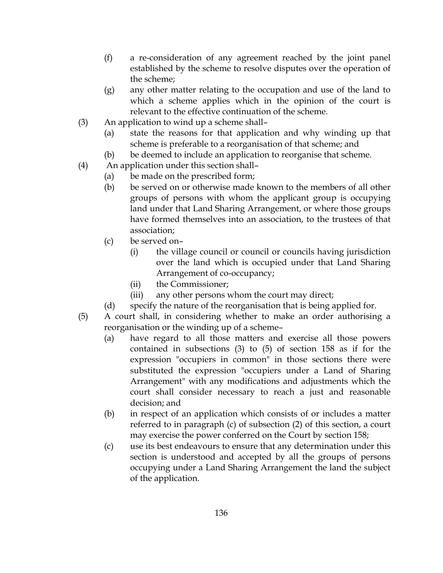- (f) a re-consideration of any agreement reached by the joint panel established by the scheme to resolve disputes over the operation of the scheme;
- (g) any other matter relating to the occupation and use of the land to which a scheme applies which in the opinion of the court is relevant to the effective continuation of the scheme.
- (3) An application to wind up a scheme shall–
	- (a) state the reasons for that application and why winding up that scheme is preferable to a reorganisation of that scheme; and
	- (b) be deemed to include an application to reorganise that scheme.
- (4) An application under this section shall–
	- (a) be made on the prescribed form;
		- (b) be served on or otherwise made known to the members of all other groups of persons with whom the applicant group is occupying land under that Land Sharing Arrangement, or where those groups have formed themselves into an association, to the trustees of that association;
		- (c) be served on–
			- (i) the village council or council or councils having jurisdiction over the land which is occupied under that Land Sharing Arrangement of co-occupancy;
			- (ii) the Commissioner;
			- (iii) any other persons whom the court may direct;
		- (d) specify the nature of the reorganisation that is being applied for.
- (5) A court shall, in considering whether to make an order authorising a reorganisation or the winding up of a scheme–
	- (a) have regard to all those matters and exercise all those powers contained in subsections (3) to (5) of section 158 as if for the expression "occupiers in common" in those sections there were substituted the expression "occupiers under a Land of Sharing Arrangement" with any modifications and adjustments which the court shall consider necessary to reach a just and reasonable decision; and
	- (b) in respect of an application which consists of or includes a matter referred to in paragraph (c) of subsection (2) of this section, a court may exercise the power conferred on the Court by section 158;
	- (c) use its best endeavours to ensure that any determination under this section is understood and accepted by all the groups of persons occupying under a Land Sharing Arrangement the land the subject of the application.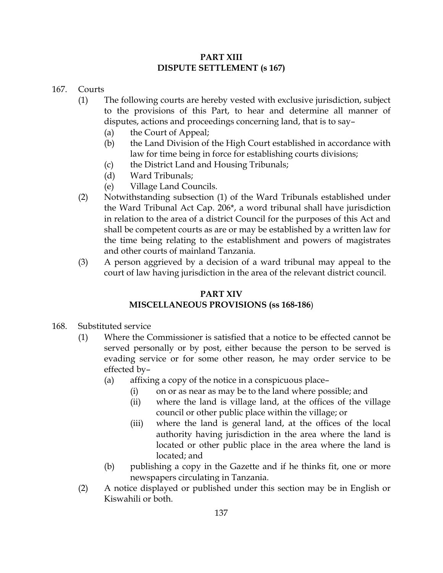### PART XIII DISPUTE SETTLEMENT (s 167)

#### 167. Courts

- (1) The following courts are hereby vested with exclusive jurisdiction, subject to the provisions of this Part, to hear and determine all manner of disputes, actions and proceedings concerning land, that is to say–
	- (a) the Court of Appeal;
	- (b) the Land Division of the High Court established in accordance with law for time being in force for establishing courts divisions;
	- (c) the District Land and Housing Tribunals;
	- (d) Ward Tribunals;
	- (e) Village Land Councils.
- (2) Notwithstanding subsection (1) of the Ward Tribunals established under the Ward Tribunal Act Cap. 206\*, a word tribunal shall have jurisdiction in relation to the area of a district Council for the purposes of this Act and shall be competent courts as are or may be established by a written law for the time being relating to the establishment and powers of magistrates and other courts of mainland Tanzania.
- (3) A person aggrieved by a decision of a ward tribunal may appeal to the court of law having jurisdiction in the area of the relevant district council.

## PART XIV

# MISCELLANEOUS PROVISIONS (ss 168-186)

- 168. Substituted service
	- (1) Where the Commissioner is satisfied that a notice to be effected cannot be served personally or by post, either because the person to be served is evading service or for some other reason, he may order service to be effected by–
		- (a) affixing a copy of the notice in a conspicuous place–
			- (i) on or as near as may be to the land where possible; and
			- (ii) where the land is village land, at the offices of the village council or other public place within the village; or
			- (iii) where the land is general land, at the offices of the local authority having jurisdiction in the area where the land is located or other public place in the area where the land is located; and
		- (b) publishing a copy in the Gazette and if he thinks fit, one or more newspapers circulating in Tanzania.
	- (2) A notice displayed or published under this section may be in English or Kiswahili or both.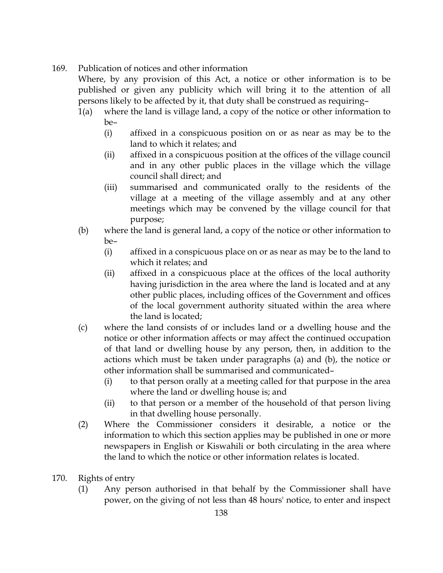## 169. Publication of notices and other information

Where, by any provision of this Act, a notice or other information is to be published or given any publicity which will bring it to the attention of all persons likely to be affected by it, that duty shall be construed as requiring–

- 1(a) where the land is village land, a copy of the notice or other information to be–
	- (i) affixed in a conspicuous position on or as near as may be to the land to which it relates; and
	- (ii) affixed in a conspicuous position at the offices of the village council and in any other public places in the village which the village council shall direct; and
	- (iii) summarised and communicated orally to the residents of the village at a meeting of the village assembly and at any other meetings which may be convened by the village council for that purpose;
- (b) where the land is general land, a copy of the notice or other information to be–
	- (i) affixed in a conspicuous place on or as near as may be to the land to which it relates; and
	- (ii) affixed in a conspicuous place at the offices of the local authority having jurisdiction in the area where the land is located and at any other public places, including offices of the Government and offices of the local government authority situated within the area where the land is located;
- (c) where the land consists of or includes land or a dwelling house and the notice or other information affects or may affect the continued occupation of that land or dwelling house by any person, then, in addition to the actions which must be taken under paragraphs (a) and (b), the notice or other information shall be summarised and communicated–
	- (i) to that person orally at a meeting called for that purpose in the area where the land or dwelling house is; and
	- (ii) to that person or a member of the household of that person living in that dwelling house personally.
- (2) Where the Commissioner considers it desirable, a notice or the information to which this section applies may be published in one or more newspapers in English or Kiswahili or both circulating in the area where the land to which the notice or other information relates is located.
- 170. Rights of entry
	- (1) Any person authorised in that behalf by the Commissioner shall have power, on the giving of not less than 48 hours' notice, to enter and inspect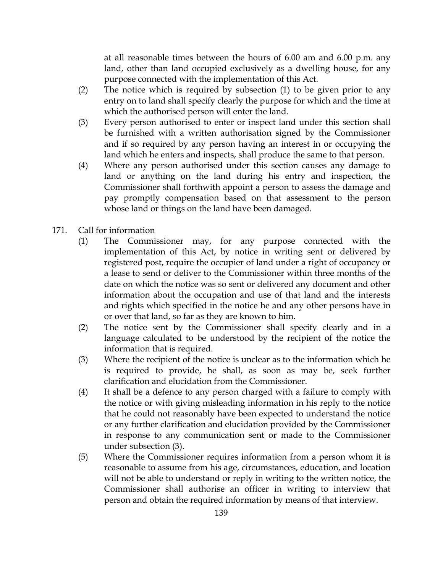at all reasonable times between the hours of 6.00 am and 6.00 p.m. any land, other than land occupied exclusively as a dwelling house, for any purpose connected with the implementation of this Act.

- (2) The notice which is required by subsection (1) to be given prior to any entry on to land shall specify clearly the purpose for which and the time at which the authorised person will enter the land.
- (3) Every person authorised to enter or inspect land under this section shall be furnished with a written authorisation signed by the Commissioner and if so required by any person having an interest in or occupying the land which he enters and inspects, shall produce the same to that person.
- (4) Where any person authorised under this section causes any damage to land or anything on the land during his entry and inspection, the Commissioner shall forthwith appoint a person to assess the damage and pay promptly compensation based on that assessment to the person whose land or things on the land have been damaged.
- 171. Call for information
	- (1) The Commissioner may, for any purpose connected with the implementation of this Act, by notice in writing sent or delivered by registered post, require the occupier of land under a right of occupancy or a lease to send or deliver to the Commissioner within three months of the date on which the notice was so sent or delivered any document and other information about the occupation and use of that land and the interests and rights which specified in the notice he and any other persons have in or over that land, so far as they are known to him.
	- (2) The notice sent by the Commissioner shall specify clearly and in a language calculated to be understood by the recipient of the notice the information that is required.
	- (3) Where the recipient of the notice is unclear as to the information which he is required to provide, he shall, as soon as may be, seek further clarification and elucidation from the Commissioner.
	- (4) It shall be a defence to any person charged with a failure to comply with the notice or with giving misleading information in his reply to the notice that he could not reasonably have been expected to understand the notice or any further clarification and elucidation provided by the Commissioner in response to any communication sent or made to the Commissioner under subsection (3).
	- (5) Where the Commissioner requires information from a person whom it is reasonable to assume from his age, circumstances, education, and location will not be able to understand or reply in writing to the written notice, the Commissioner shall authorise an officer in writing to interview that person and obtain the required information by means of that interview.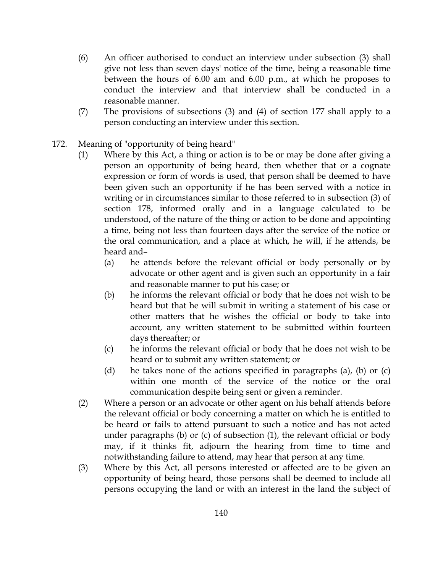- (6) An officer authorised to conduct an interview under subsection (3) shall give not less than seven days' notice of the time, being a reasonable time between the hours of 6.00 am and 6.00 p.m., at which he proposes to conduct the interview and that interview shall be conducted in a reasonable manner.
- (7) The provisions of subsections (3) and (4) of section 177 shall apply to a person conducting an interview under this section.
- 172. Meaning of "opportunity of being heard"
	- (1) Where by this Act, a thing or action is to be or may be done after giving a person an opportunity of being heard, then whether that or a cognate expression or form of words is used, that person shall be deemed to have been given such an opportunity if he has been served with a notice in writing or in circumstances similar to those referred to in subsection (3) of section 178, informed orally and in a language calculated to be understood, of the nature of the thing or action to be done and appointing a time, being not less than fourteen days after the service of the notice or the oral communication, and a place at which, he will, if he attends, be heard and–
		- (a) he attends before the relevant official or body personally or by advocate or other agent and is given such an opportunity in a fair and reasonable manner to put his case; or
		- (b) he informs the relevant official or body that he does not wish to be heard but that he will submit in writing a statement of his case or other matters that he wishes the official or body to take into account, any written statement to be submitted within fourteen days thereafter; or
		- (c) he informs the relevant official or body that he does not wish to be heard or to submit any written statement; or
		- (d) he takes none of the actions specified in paragraphs (a), (b) or (c) within one month of the service of the notice or the oral communication despite being sent or given a reminder.
	- (2) Where a person or an advocate or other agent on his behalf attends before the relevant official or body concerning a matter on which he is entitled to be heard or fails to attend pursuant to such a notice and has not acted under paragraphs (b) or (c) of subsection (1), the relevant official or body may, if it thinks fit, adjourn the hearing from time to time and notwithstanding failure to attend, may hear that person at any time.
	- (3) Where by this Act, all persons interested or affected are to be given an opportunity of being heard, those persons shall be deemed to include all persons occupying the land or with an interest in the land the subject of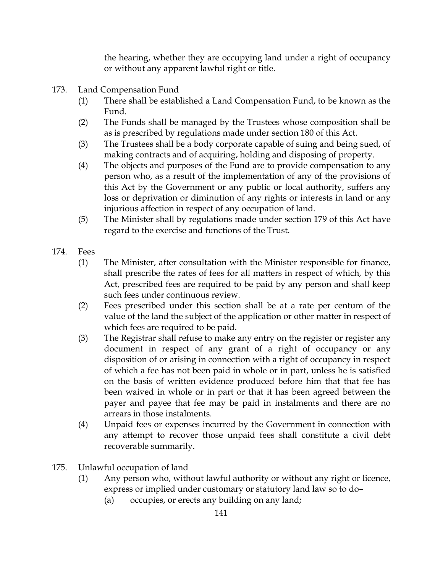the hearing, whether they are occupying land under a right of occupancy or without any apparent lawful right or title.

- 173. Land Compensation Fund
	- (1) There shall be established a Land Compensation Fund, to be known as the Fund.
	- (2) The Funds shall be managed by the Trustees whose composition shall be as is prescribed by regulations made under section 180 of this Act.
	- (3) The Trustees shall be a body corporate capable of suing and being sued, of making contracts and of acquiring, holding and disposing of property.
	- (4) The objects and purposes of the Fund are to provide compensation to any person who, as a result of the implementation of any of the provisions of this Act by the Government or any public or local authority, suffers any loss or deprivation or diminution of any rights or interests in land or any injurious affection in respect of any occupation of land.
	- (5) The Minister shall by regulations made under section 179 of this Act have regard to the exercise and functions of the Trust.
- 174. Fees
	- (1) The Minister, after consultation with the Minister responsible for finance, shall prescribe the rates of fees for all matters in respect of which, by this Act, prescribed fees are required to be paid by any person and shall keep such fees under continuous review.
	- (2) Fees prescribed under this section shall be at a rate per centum of the value of the land the subject of the application or other matter in respect of which fees are required to be paid.
	- (3) The Registrar shall refuse to make any entry on the register or register any document in respect of any grant of a right of occupancy or any disposition of or arising in connection with a right of occupancy in respect of which a fee has not been paid in whole or in part, unless he is satisfied on the basis of written evidence produced before him that that fee has been waived in whole or in part or that it has been agreed between the payer and payee that fee may be paid in instalments and there are no arrears in those instalments.
	- (4) Unpaid fees or expenses incurred by the Government in connection with any attempt to recover those unpaid fees shall constitute a civil debt recoverable summarily.
- 175. Unlawful occupation of land
	- (1) Any person who, without lawful authority or without any right or licence, express or implied under customary or statutory land law so to do–
		- (a) occupies, or erects any building on any land;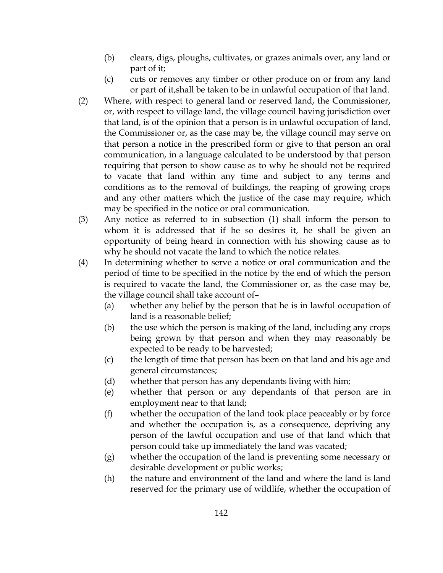- (b) clears, digs, ploughs, cultivates, or grazes animals over, any land or part of it;
- (c) cuts or removes any timber or other produce on or from any land or part of it,shall be taken to be in unlawful occupation of that land.
- (2) Where, with respect to general land or reserved land, the Commissioner, or, with respect to village land, the village council having jurisdiction over that land, is of the opinion that a person is in unlawful occupation of land, the Commissioner or, as the case may be, the village council may serve on that person a notice in the prescribed form or give to that person an oral communication, in a language calculated to be understood by that person requiring that person to show cause as to why he should not be required to vacate that land within any time and subject to any terms and conditions as to the removal of buildings, the reaping of growing crops and any other matters which the justice of the case may require, which may be specified in the notice or oral communication.
- (3) Any notice as referred to in subsection (1) shall inform the person to whom it is addressed that if he so desires it, he shall be given an opportunity of being heard in connection with his showing cause as to why he should not vacate the land to which the notice relates.
- (4) In determining whether to serve a notice or oral communication and the period of time to be specified in the notice by the end of which the person is required to vacate the land, the Commissioner or, as the case may be, the village council shall take account of–
	- (a) whether any belief by the person that he is in lawful occupation of land is a reasonable belief;
	- (b) the use which the person is making of the land, including any crops being grown by that person and when they may reasonably be expected to be ready to be harvested;
	- (c) the length of time that person has been on that land and his age and general circumstances;
	- (d) whether that person has any dependants living with him;
	- (e) whether that person or any dependants of that person are in employment near to that land;
	- (f) whether the occupation of the land took place peaceably or by force and whether the occupation is, as a consequence, depriving any person of the lawful occupation and use of that land which that person could take up immediately the land was vacated;
	- (g) whether the occupation of the land is preventing some necessary or desirable development or public works;
	- (h) the nature and environment of the land and where the land is land reserved for the primary use of wildlife, whether the occupation of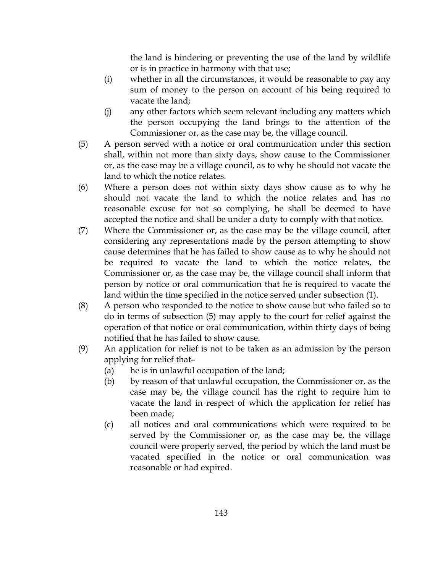the land is hindering or preventing the use of the land by wildlife or is in practice in harmony with that use;

- (i) whether in all the circumstances, it would be reasonable to pay any sum of money to the person on account of his being required to vacate the land;
- (j) any other factors which seem relevant including any matters which the person occupying the land brings to the attention of the Commissioner or, as the case may be, the village council.
- (5) A person served with a notice or oral communication under this section shall, within not more than sixty days, show cause to the Commissioner or, as the case may be a village council, as to why he should not vacate the land to which the notice relates.
- (6) Where a person does not within sixty days show cause as to why he should not vacate the land to which the notice relates and has no reasonable excuse for not so complying, he shall be deemed to have accepted the notice and shall be under a duty to comply with that notice.
- (7) Where the Commissioner or, as the case may be the village council, after considering any representations made by the person attempting to show cause determines that he has failed to show cause as to why he should not be required to vacate the land to which the notice relates, the Commissioner or, as the case may be, the village council shall inform that person by notice or oral communication that he is required to vacate the land within the time specified in the notice served under subsection (1).
- (8) A person who responded to the notice to show cause but who failed so to do in terms of subsection (5) may apply to the court for relief against the operation of that notice or oral communication, within thirty days of being notified that he has failed to show cause.
- (9) An application for relief is not to be taken as an admission by the person applying for relief that–
	- (a) he is in unlawful occupation of the land;
	- (b) by reason of that unlawful occupation, the Commissioner or, as the case may be, the village council has the right to require him to vacate the land in respect of which the application for relief has been made;
	- (c) all notices and oral communications which were required to be served by the Commissioner or, as the case may be, the village council were properly served, the period by which the land must be vacated specified in the notice or oral communication was reasonable or had expired.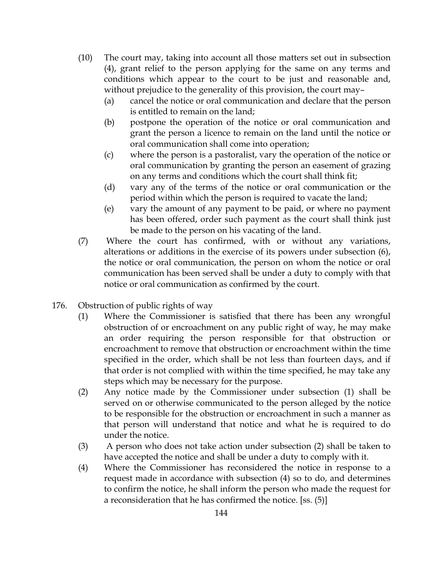- (10) The court may, taking into account all those matters set out in subsection (4), grant relief to the person applying for the same on any terms and conditions which appear to the court to be just and reasonable and, without prejudice to the generality of this provision, the court may–
	- (a) cancel the notice or oral communication and declare that the person is entitled to remain on the land;
	- (b) postpone the operation of the notice or oral communication and grant the person a licence to remain on the land until the notice or oral communication shall come into operation;
	- (c) where the person is a pastoralist, vary the operation of the notice or oral communication by granting the person an easement of grazing on any terms and conditions which the court shall think fit;
	- (d) vary any of the terms of the notice or oral communication or the period within which the person is required to vacate the land;
	- (e) vary the amount of any payment to be paid, or where no payment has been offered, order such payment as the court shall think just be made to the person on his vacating of the land.
- (7) Where the court has confirmed, with or without any variations, alterations or additions in the exercise of its powers under subsection (6), the notice or oral communication, the person on whom the notice or oral communication has been served shall be under a duty to comply with that notice or oral communication as confirmed by the court.
- 176. Obstruction of public rights of way
	- (1) Where the Commissioner is satisfied that there has been any wrongful obstruction of or encroachment on any public right of way, he may make an order requiring the person responsible for that obstruction or encroachment to remove that obstruction or encroachment within the time specified in the order, which shall be not less than fourteen days, and if that order is not complied with within the time specified, he may take any steps which may be necessary for the purpose.
	- (2) Any notice made by the Commissioner under subsection (1) shall be served on or otherwise communicated to the person alleged by the notice to be responsible for the obstruction or encroachment in such a manner as that person will understand that notice and what he is required to do under the notice.
	- (3) A person who does not take action under subsection (2) shall be taken to have accepted the notice and shall be under a duty to comply with it.
	- (4) Where the Commissioner has reconsidered the notice in response to a request made in accordance with subsection (4) so to do, and determines to confirm the notice, he shall inform the person who made the request for a reconsideration that he has confirmed the notice. [ss. (5)]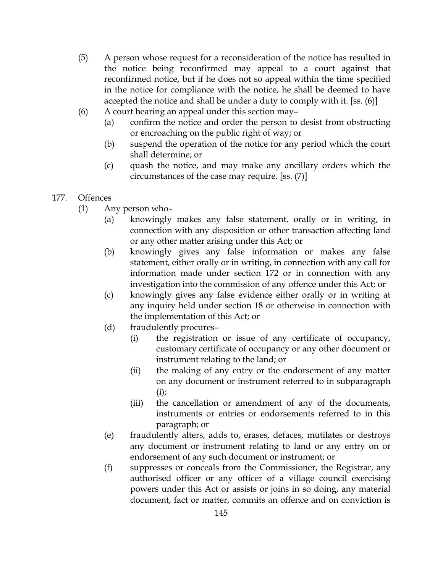- (5) A person whose request for a reconsideration of the notice has resulted in the notice being reconfirmed may appeal to a court against that reconfirmed notice, but if he does not so appeal within the time specified in the notice for compliance with the notice, he shall be deemed to have accepted the notice and shall be under a duty to comply with it. [ss. (6)]
- (6) A court hearing an appeal under this section may–
	- (a) confirm the notice and order the person to desist from obstructing or encroaching on the public right of way; or
	- (b) suspend the operation of the notice for any period which the court shall determine; or
	- (c) quash the notice, and may make any ancillary orders which the circumstances of the case may require. [ss. (7)]
- 177. Offences
	- (1) Any person who–
		- (a) knowingly makes any false statement, orally or in writing, in connection with any disposition or other transaction affecting land or any other matter arising under this Act; or
		- (b) knowingly gives any false information or makes any false statement, either orally or in writing, in connection with any call for information made under section 172 or in connection with any investigation into the commission of any offence under this Act; or
		- (c) knowingly gives any false evidence either orally or in writing at any inquiry held under section 18 or otherwise in connection with the implementation of this Act; or
		- (d) fraudulently procures–
			- (i) the registration or issue of any certificate of occupancy, customary certificate of occupancy or any other document or instrument relating to the land; or
			- (ii) the making of any entry or the endorsement of any matter on any document or instrument referred to in subparagraph  $(i)$ ;
			- (iii) the cancellation or amendment of any of the documents, instruments or entries or endorsements referred to in this paragraph; or
		- (e) fraudulently alters, adds to, erases, defaces, mutilates or destroys any document or instrument relating to land or any entry on or endorsement of any such document or instrument; or
		- (f) suppresses or conceals from the Commissioner, the Registrar, any authorised officer or any officer of a village council exercising powers under this Act or assists or joins in so doing, any material document, fact or matter, commits an offence and on conviction is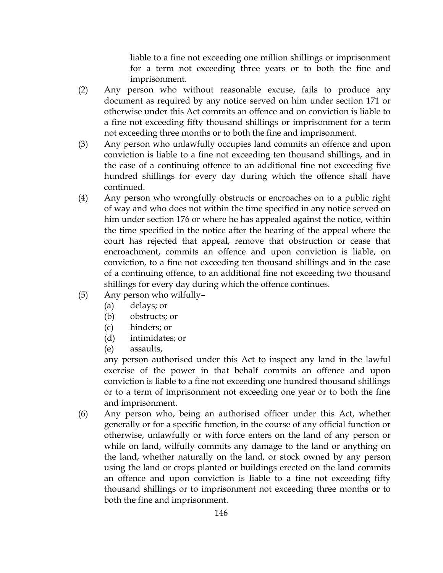liable to a fine not exceeding one million shillings or imprisonment for a term not exceeding three years or to both the fine and imprisonment.

- (2) Any person who without reasonable excuse, fails to produce any document as required by any notice served on him under section 171 or otherwise under this Act commits an offence and on conviction is liable to a fine not exceeding fifty thousand shillings or imprisonment for a term not exceeding three months or to both the fine and imprisonment.
- (3) Any person who unlawfully occupies land commits an offence and upon conviction is liable to a fine not exceeding ten thousand shillings, and in the case of a continuing offence to an additional fine not exceeding five hundred shillings for every day during which the offence shall have continued.
- (4) Any person who wrongfully obstructs or encroaches on to a public right of way and who does not within the time specified in any notice served on him under section 176 or where he has appealed against the notice, within the time specified in the notice after the hearing of the appeal where the court has rejected that appeal, remove that obstruction or cease that encroachment, commits an offence and upon conviction is liable, on conviction, to a fine not exceeding ten thousand shillings and in the case of a continuing offence, to an additional fine not exceeding two thousand shillings for every day during which the offence continues.
- (5) Any person who wilfully–
	- (a) delays; or
		- (b) obstructs; or
		- (c) hinders; or
		- (d) intimidates; or
		- (e) assaults,

any person authorised under this Act to inspect any land in the lawful exercise of the power in that behalf commits an offence and upon conviction is liable to a fine not exceeding one hundred thousand shillings or to a term of imprisonment not exceeding one year or to both the fine and imprisonment.

(6) Any person who, being an authorised officer under this Act, whether generally or for a specific function, in the course of any official function or otherwise, unlawfully or with force enters on the land of any person or while on land, wilfully commits any damage to the land or anything on the land, whether naturally on the land, or stock owned by any person using the land or crops planted or buildings erected on the land commits an offence and upon conviction is liable to a fine not exceeding fifty thousand shillings or to imprisonment not exceeding three months or to both the fine and imprisonment.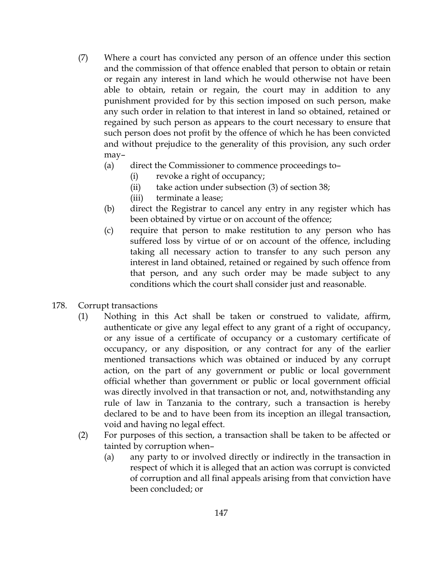- (7) Where a court has convicted any person of an offence under this section and the commission of that offence enabled that person to obtain or retain or regain any interest in land which he would otherwise not have been able to obtain, retain or regain, the court may in addition to any punishment provided for by this section imposed on such person, make any such order in relation to that interest in land so obtained, retained or regained by such person as appears to the court necessary to ensure that such person does not profit by the offence of which he has been convicted and without prejudice to the generality of this provision, any such order may–
	- (a) direct the Commissioner to commence proceedings to–
		- (i) revoke a right of occupancy;
		- (ii) take action under subsection (3) of section 38;
		- (iii) terminate a lease;
	- (b) direct the Registrar to cancel any entry in any register which has been obtained by virtue or on account of the offence;
	- (c) require that person to make restitution to any person who has suffered loss by virtue of or on account of the offence, including taking all necessary action to transfer to any such person any interest in land obtained, retained or regained by such offence from that person, and any such order may be made subject to any conditions which the court shall consider just and reasonable.
- 178. Corrupt transactions
	- (1) Nothing in this Act shall be taken or construed to validate, affirm, authenticate or give any legal effect to any grant of a right of occupancy, or any issue of a certificate of occupancy or a customary certificate of occupancy, or any disposition, or any contract for any of the earlier mentioned transactions which was obtained or induced by any corrupt action, on the part of any government or public or local government official whether than government or public or local government official was directly involved in that transaction or not, and, notwithstanding any rule of law in Tanzania to the contrary, such a transaction is hereby declared to be and to have been from its inception an illegal transaction, void and having no legal effect.
	- (2) For purposes of this section, a transaction shall be taken to be affected or tainted by corruption when–
		- (a) any party to or involved directly or indirectly in the transaction in respect of which it is alleged that an action was corrupt is convicted of corruption and all final appeals arising from that conviction have been concluded; or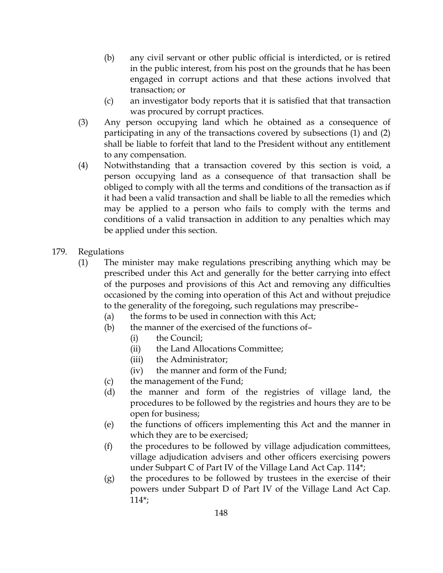- (b) any civil servant or other public official is interdicted, or is retired in the public interest, from his post on the grounds that he has been engaged in corrupt actions and that these actions involved that transaction; or
- (c) an investigator body reports that it is satisfied that that transaction was procured by corrupt practices.
- (3) Any person occupying land which he obtained as a consequence of participating in any of the transactions covered by subsections (1) and (2) shall be liable to forfeit that land to the President without any entitlement to any compensation.
- (4) Notwithstanding that a transaction covered by this section is void, a person occupying land as a consequence of that transaction shall be obliged to comply with all the terms and conditions of the transaction as if it had been a valid transaction and shall be liable to all the remedies which may be applied to a person who fails to comply with the terms and conditions of a valid transaction in addition to any penalties which may be applied under this section.
- 179. Regulations
	- (1) The minister may make regulations prescribing anything which may be prescribed under this Act and generally for the better carrying into effect of the purposes and provisions of this Act and removing any difficulties occasioned by the coming into operation of this Act and without prejudice to the generality of the foregoing, such regulations may prescribe–
		- (a) the forms to be used in connection with this Act;
		- (b) the manner of the exercised of the functions of–
			- (i) the Council;
			- (ii) the Land Allocations Committee;
			- (iii) the Administrator;
			- (iv) the manner and form of the Fund;
		- (c) the management of the Fund;
		- (d) the manner and form of the registries of village land, the procedures to be followed by the registries and hours they are to be open for business;
		- (e) the functions of officers implementing this Act and the manner in which they are to be exercised;
		- (f) the procedures to be followed by village adjudication committees, village adjudication advisers and other officers exercising powers under Subpart C of Part IV of the Village Land Act Cap. 114\*;
		- (g) the procedures to be followed by trustees in the exercise of their powers under Subpart D of Part IV of the Village Land Act Cap. 114\*;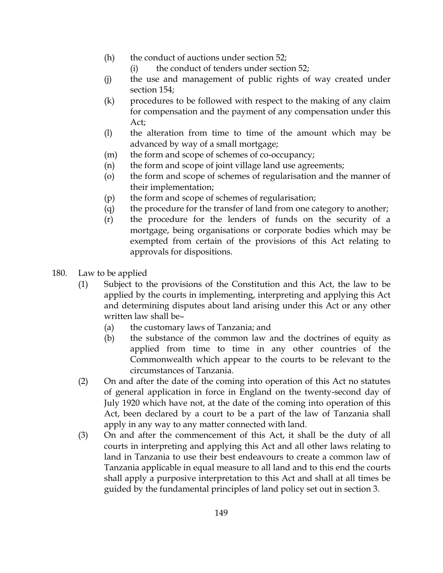- (h) the conduct of auctions under section 52;
	- (i) the conduct of tenders under section 52;
- (j) the use and management of public rights of way created under section 154;
- (k) procedures to be followed with respect to the making of any claim for compensation and the payment of any compensation under this Act;
- (l) the alteration from time to time of the amount which may be advanced by way of a small mortgage;
- (m) the form and scope of schemes of co-occupancy;
- (n) the form and scope of joint village land use agreements;
- (o) the form and scope of schemes of regularisation and the manner of their implementation;
- (p) the form and scope of schemes of regularisation;
- (q) the procedure for the transfer of land from one category to another;
- (r) the procedure for the lenders of funds on the security of a mortgage, being organisations or corporate bodies which may be exempted from certain of the provisions of this Act relating to approvals for dispositions.
- 180. Law to be applied
	- (1) Subject to the provisions of the Constitution and this Act, the law to be applied by the courts in implementing, interpreting and applying this Act and determining disputes about land arising under this Act or any other written law shall be–
		- (a) the customary laws of Tanzania; and
		- (b) the substance of the common law and the doctrines of equity as applied from time to time in any other countries of the Commonwealth which appear to the courts to be relevant to the circumstances of Tanzania.
	- (2) On and after the date of the coming into operation of this Act no statutes of general application in force in England on the twenty-second day of July 1920 which have not, at the date of the coming into operation of this Act, been declared by a court to be a part of the law of Tanzania shall apply in any way to any matter connected with land.
	- (3) On and after the commencement of this Act, it shall be the duty of all courts in interpreting and applying this Act and all other laws relating to land in Tanzania to use their best endeavours to create a common law of Tanzania applicable in equal measure to all land and to this end the courts shall apply a purposive interpretation to this Act and shall at all times be guided by the fundamental principles of land policy set out in section 3.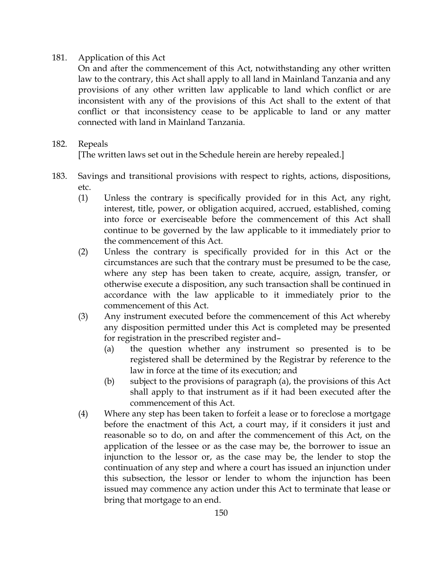## 181. Application of this Act

On and after the commencement of this Act, notwithstanding any other written law to the contrary, this Act shall apply to all land in Mainland Tanzania and any provisions of any other written law applicable to land which conflict or are inconsistent with any of the provisions of this Act shall to the extent of that conflict or that inconsistency cease to be applicable to land or any matter connected with land in Mainland Tanzania.

## 182. Repeals

[The written laws set out in the Schedule herein are hereby repealed.]

- 183. Savings and transitional provisions with respect to rights, actions, dispositions, etc.
	- (1) Unless the contrary is specifically provided for in this Act, any right, interest, title, power, or obligation acquired, accrued, established, coming into force or exerciseable before the commencement of this Act shall continue to be governed by the law applicable to it immediately prior to the commencement of this Act.
	- (2) Unless the contrary is specifically provided for in this Act or the circumstances are such that the contrary must be presumed to be the case, where any step has been taken to create, acquire, assign, transfer, or otherwise execute a disposition, any such transaction shall be continued in accordance with the law applicable to it immediately prior to the commencement of this Act.
	- (3) Any instrument executed before the commencement of this Act whereby any disposition permitted under this Act is completed may be presented for registration in the prescribed register and–
		- (a) the question whether any instrument so presented is to be registered shall be determined by the Registrar by reference to the law in force at the time of its execution; and
		- (b) subject to the provisions of paragraph (a), the provisions of this Act shall apply to that instrument as if it had been executed after the commencement of this Act.
	- (4) Where any step has been taken to forfeit a lease or to foreclose a mortgage before the enactment of this Act, a court may, if it considers it just and reasonable so to do, on and after the commencement of this Act, on the application of the lessee or as the case may be, the borrower to issue an injunction to the lessor or, as the case may be, the lender to stop the continuation of any step and where a court has issued an injunction under this subsection, the lessor or lender to whom the injunction has been issued may commence any action under this Act to terminate that lease or bring that mortgage to an end.